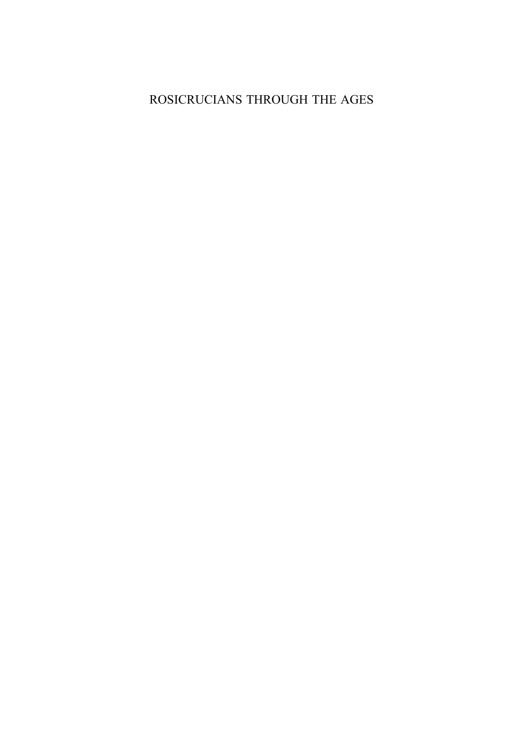# ROSICRUCIANS THROUGH THE AGES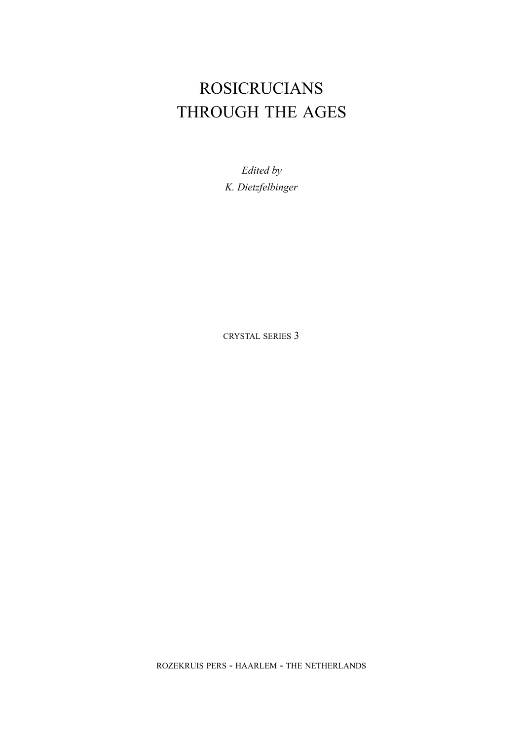# ROSICRUCIANS THROUGH THE AGES

*Edited by K. Dietzfelbinger* 

CRYSTAL SERIES 3

ROZEKRUIS PERS - HAARLEM - THE NETHERLANDS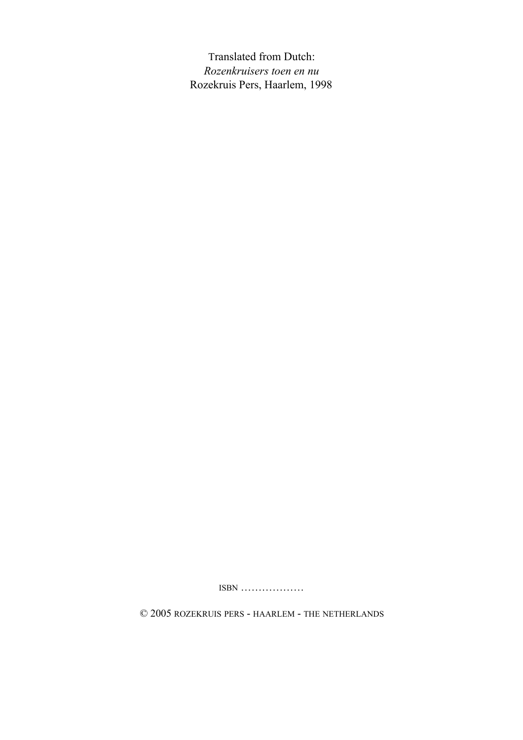Translated from Dutch: *Rozenkruisers toen en nu*  Rozekruis Pers, Haarlem, 1998

ISBN ………………

© 2005 ROZEKRUIS PERS - HAARLEM - THE NETHERLANDS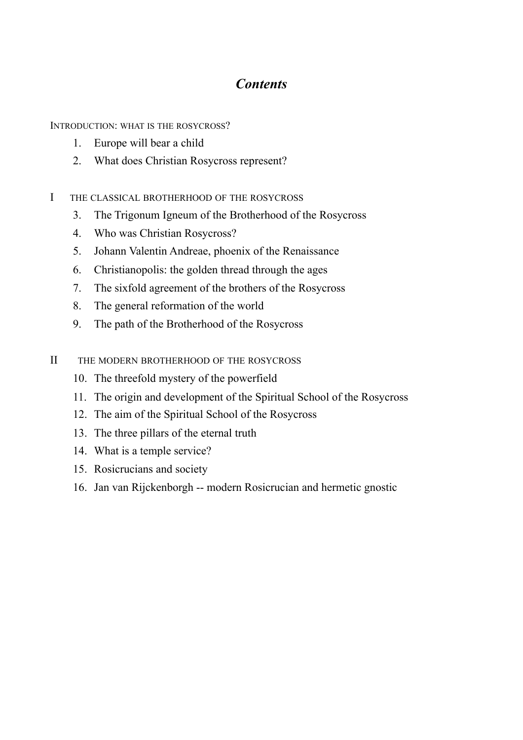# *Contents*

INTRODUCTION: WHAT IS THE ROSYCROSS?

- 1. Europe will bear a child
- 2. What does Christian Rosycross represent?
- I THE CLASSICAL BROTHERHOOD OF THE ROSYCROSS
	- 3. The Trigonum Igneum of the Brotherhood of the Rosycross
	- 4. Who was Christian Rosycross?
	- 5. Johann Valentin Andreae, phoenix of the Renaissance
	- 6. Christianopolis: the golden thread through the ages
	- 7. The sixfold agreement of the brothers of the Rosycross
	- 8. The general reformation of the world
	- 9. The path of the Brotherhood of the Rosycross
- II THE MODERN BROTHERHOOD OF THE ROSYCROSS
	- 10. The threefold mystery of the powerfield
	- 11. The origin and development of the Spiritual School of the Rosycross
	- 12. The aim of the Spiritual School of the Rosycross
	- 13. The three pillars of the eternal truth
	- 14. What is a temple service?
	- 15. Rosicrucians and society
	- 16. Jan van Rijckenborgh -- modern Rosicrucian and hermetic gnostic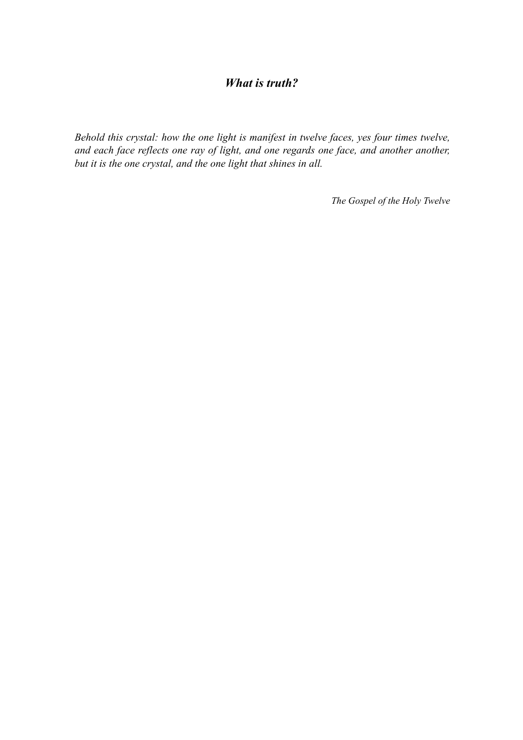# *What is truth?*

*Behold this crystal: how the one light is manifest in twelve faces, yes four times twelve, and each face reflects one ray of light, and one regards one face, and another another, but it is the one crystal, and the one light that shines in all.* 

*The Gospel of the Holy Twelve*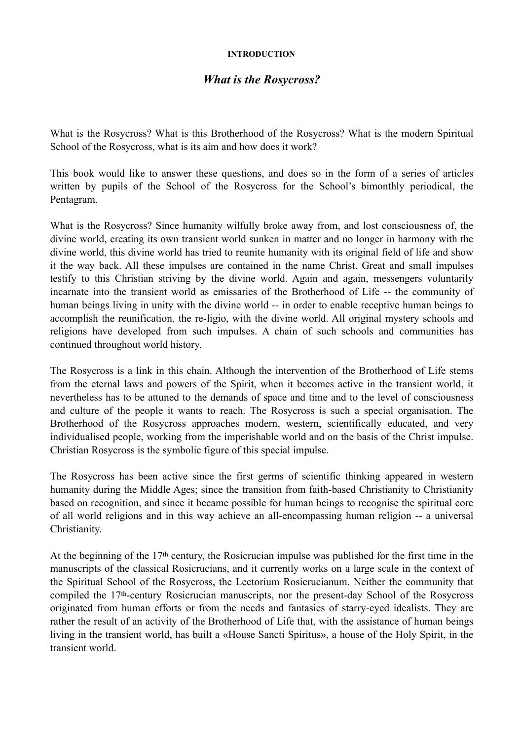#### **INTRODUCTION**

# *What is the Rosycross?*

What is the Rosycross? What is this Brotherhood of the Rosycross? What is the modern Spiritual School of the Rosycross, what is its aim and how does it work?

This book would like to answer these questions, and does so in the form of a series of articles written by pupils of the School of the Rosycross for the School's bimonthly periodical, the Pentagram.

What is the Rosycross? Since humanity wilfully broke away from, and lost consciousness of, the divine world, creating its own transient world sunken in matter and no longer in harmony with the divine world, this divine world has tried to reunite humanity with its original field of life and show it the way back. All these impulses are contained in the name Christ. Great and small impulses testify to this Christian striving by the divine world. Again and again, messengers voluntarily incarnate into the transient world as emissaries of the Brotherhood of Life -- the community of human beings living in unity with the divine world -- in order to enable receptive human beings to accomplish the reunification, the re-ligio, with the divine world. All original mystery schools and religions have developed from such impulses. A chain of such schools and communities has continued throughout world history.

The Rosycross is a link in this chain. Although the intervention of the Brotherhood of Life stems from the eternal laws and powers of the Spirit, when it becomes active in the transient world, it nevertheless has to be attuned to the demands of space and time and to the level of consciousness and culture of the people it wants to reach. The Rosycross is such a special organisation. The Brotherhood of the Rosycross approaches modern, western, scientifically educated, and very individualised people, working from the imperishable world and on the basis of the Christ impulse. Christian Rosycross is the symbolic figure of this special impulse.

The Rosycross has been active since the first germs of scientific thinking appeared in western humanity during the Middle Ages; since the transition from faith-based Christianity to Christianity based on recognition, and since it became possible for human beings to recognise the spiritual core of all world religions and in this way achieve an all-encompassing human religion -- a universal Christianity.

At the beginning of the 17th century, the Rosicrucian impulse was published for the first time in the manuscripts of the classical Rosicrucians, and it currently works on a large scale in the context of the Spiritual School of the Rosycross, the Lectorium Rosicrucianum. Neither the community that compiled the 17th-century Rosicrucian manuscripts, nor the present-day School of the Rosycross originated from human efforts or from the needs and fantasies of starry-eyed idealists. They are rather the result of an activity of the Brotherhood of Life that, with the assistance of human beings living in the transient world, has built a «House Sancti Spiritus», a house of the Holy Spirit, in the transient world.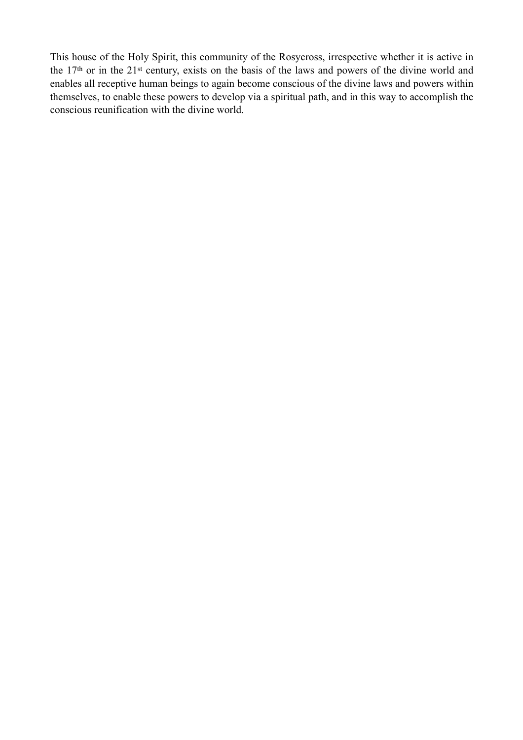This house of the Holy Spirit, this community of the Rosycross, irrespective whether it is active in the 17th or in the 21st century, exists on the basis of the laws and powers of the divine world and enables all receptive human beings to again become conscious of the divine laws and powers within themselves, to enable these powers to develop via a spiritual path, and in this way to accomplish the conscious reunification with the divine world.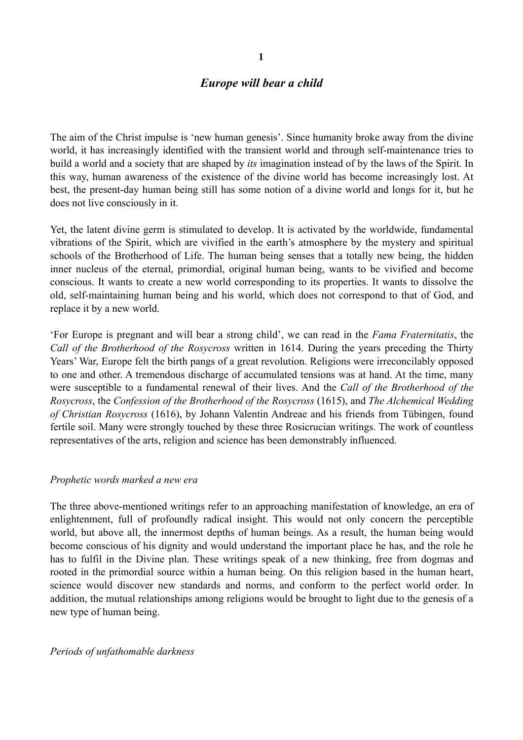## *Europe will bear a child*

The aim of the Christ impulse is 'new human genesis'. Since humanity broke away from the divine world, it has increasingly identified with the transient world and through self-maintenance tries to build a world and a society that are shaped by *its* imagination instead of by the laws of the Spirit. In this way, human awareness of the existence of the divine world has become increasingly lost. At best, the present-day human being still has some notion of a divine world and longs for it, but he does not live consciously in it.

Yet, the latent divine germ is stimulated to develop. It is activated by the worldwide, fundamental vibrations of the Spirit, which are vivified in the earth's atmosphere by the mystery and spiritual schools of the Brotherhood of Life. The human being senses that a totally new being, the hidden inner nucleus of the eternal, primordial, original human being, wants to be vivified and become conscious. It wants to create a new world corresponding to its properties. It wants to dissolve the old, self-maintaining human being and his world, which does not correspond to that of God, and replace it by a new world.

'For Europe is pregnant and will bear a strong child', we can read in the *Fama Fraternitatis*, the *Call of the Brotherhood of the Rosycross* written in 1614. During the years preceding the Thirty Years' War, Europe felt the birth pangs of a great revolution. Religions were irreconcilably opposed to one and other. A tremendous discharge of accumulated tensions was at hand. At the time, many were susceptible to a fundamental renewal of their lives. And the *Call of the Brotherhood of the Rosycross*, the *Confession of the Brotherhood of the Rosycross* (1615), and *The Alchemical Wedding of Christian Rosycross* (1616), by Johann Valentin Andreae and his friends from Tübingen, found fertile soil. Many were strongly touched by these three Rosicrucian writings. The work of countless representatives of the arts, religion and science has been demonstrably influenced.

#### *Prophetic words marked a new era*

The three above-mentioned writings refer to an approaching manifestation of knowledge, an era of enlightenment, full of profoundly radical insight. This would not only concern the perceptible world, but above all, the innermost depths of human beings. As a result, the human being would become conscious of his dignity and would understand the important place he has, and the role he has to fulfil in the Divine plan. These writings speak of a new thinking, free from dogmas and rooted in the primordial source within a human being. On this religion based in the human heart, science would discover new standards and norms, and conform to the perfect world order. In addition, the mutual relationships among religions would be brought to light due to the genesis of a new type of human being.

#### *Periods of unfathomable darkness*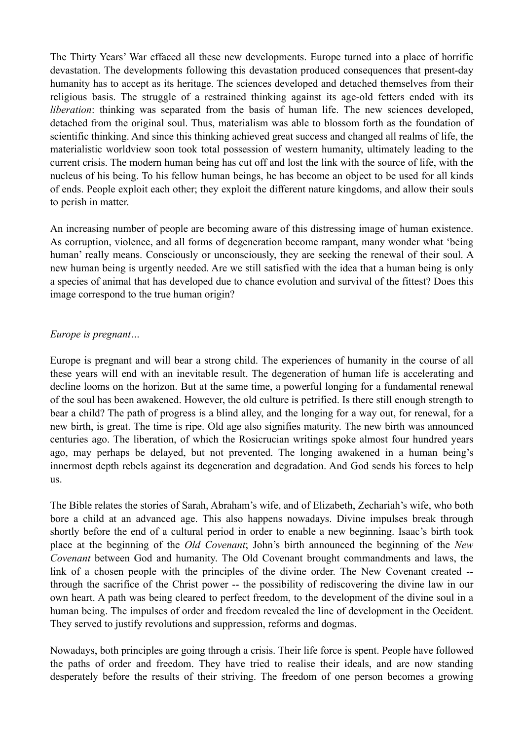The Thirty Years' War effaced all these new developments. Europe turned into a place of horrific devastation. The developments following this devastation produced consequences that present-day humanity has to accept as its heritage. The sciences developed and detached themselves from their religious basis. The struggle of a restrained thinking against its age-old fetters ended with its *liberation*: thinking was separated from the basis of human life. The new sciences developed, detached from the original soul. Thus, materialism was able to blossom forth as the foundation of scientific thinking. And since this thinking achieved great success and changed all realms of life, the materialistic worldview soon took total possession of western humanity, ultimately leading to the current crisis. The modern human being has cut off and lost the link with the source of life, with the nucleus of his being. To his fellow human beings, he has become an object to be used for all kinds of ends. People exploit each other; they exploit the different nature kingdoms, and allow their souls to perish in matter.

An increasing number of people are becoming aware of this distressing image of human existence. As corruption, violence, and all forms of degeneration become rampant, many wonder what 'being human' really means. Consciously or unconsciously, they are seeking the renewal of their soul. A new human being is urgently needed. Are we still satisfied with the idea that a human being is only a species of animal that has developed due to chance evolution and survival of the fittest? Does this image correspond to the true human origin?

#### *Europe is pregnant…*

Europe is pregnant and will bear a strong child. The experiences of humanity in the course of all these years will end with an inevitable result. The degeneration of human life is accelerating and decline looms on the horizon. But at the same time, a powerful longing for a fundamental renewal of the soul has been awakened. However, the old culture is petrified. Is there still enough strength to bear a child? The path of progress is a blind alley, and the longing for a way out, for renewal, for a new birth, is great. The time is ripe. Old age also signifies maturity. The new birth was announced centuries ago. The liberation, of which the Rosicrucian writings spoke almost four hundred years ago, may perhaps be delayed, but not prevented. The longing awakened in a human being's innermost depth rebels against its degeneration and degradation. And God sends his forces to help us.

The Bible relates the stories of Sarah, Abraham's wife, and of Elizabeth, Zechariah's wife, who both bore a child at an advanced age. This also happens nowadays. Divine impulses break through shortly before the end of a cultural period in order to enable a new beginning. Isaac's birth took place at the beginning of the *Old Covenant*; John's birth announced the beginning of the *New Covenant* between God and humanity. The Old Covenant brought commandments and laws, the link of a chosen people with the principles of the divine order. The New Covenant created - through the sacrifice of the Christ power -- the possibility of rediscovering the divine law in our own heart. A path was being cleared to perfect freedom, to the development of the divine soul in a human being. The impulses of order and freedom revealed the line of development in the Occident. They served to justify revolutions and suppression, reforms and dogmas.

Nowadays, both principles are going through a crisis. Their life force is spent. People have followed the paths of order and freedom. They have tried to realise their ideals, and are now standing desperately before the results of their striving. The freedom of one person becomes a growing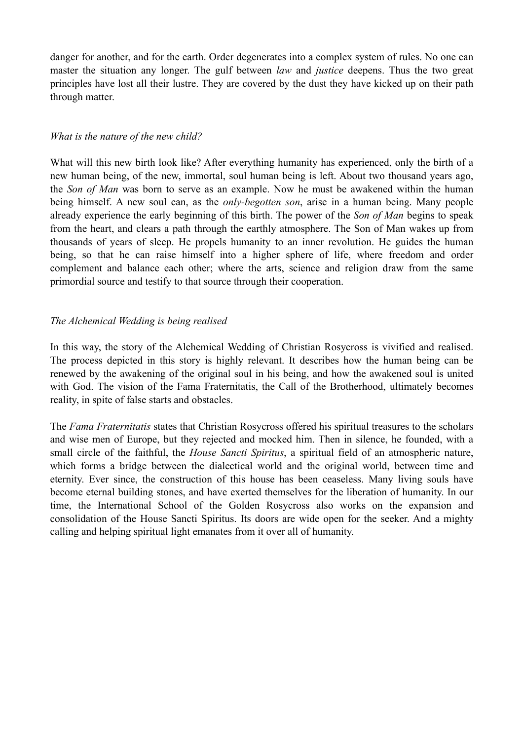danger for another, and for the earth. Order degenerates into a complex system of rules. No one can master the situation any longer. The gulf between *law* and *justice* deepens. Thus the two great principles have lost all their lustre. They are covered by the dust they have kicked up on their path through matter.

#### *What is the nature of the new child?*

What will this new birth look like? After everything humanity has experienced, only the birth of a new human being, of the new, immortal, soul human being is left. About two thousand years ago, the *Son of Man* was born to serve as an example. Now he must be awakened within the human being himself. A new soul can, as the *only-begotten son*, arise in a human being. Many people already experience the early beginning of this birth. The power of the *Son of Man* begins to speak from the heart, and clears a path through the earthly atmosphere. The Son of Man wakes up from thousands of years of sleep. He propels humanity to an inner revolution. He guides the human being, so that he can raise himself into a higher sphere of life, where freedom and order complement and balance each other; where the arts, science and religion draw from the same primordial source and testify to that source through their cooperation.

#### *The Alchemical Wedding is being realised*

In this way, the story of the Alchemical Wedding of Christian Rosycross is vivified and realised. The process depicted in this story is highly relevant. It describes how the human being can be renewed by the awakening of the original soul in his being, and how the awakened soul is united with God. The vision of the Fama Fraternitatis, the Call of the Brotherhood, ultimately becomes reality, in spite of false starts and obstacles.

The *Fama Fraternitatis* states that Christian Rosycross offered his spiritual treasures to the scholars and wise men of Europe, but they rejected and mocked him. Then in silence, he founded, with a small circle of the faithful, the *House Sancti Spiritus*, a spiritual field of an atmospheric nature, which forms a bridge between the dialectical world and the original world, between time and eternity. Ever since, the construction of this house has been ceaseless. Many living souls have become eternal building stones, and have exerted themselves for the liberation of humanity. In our time, the International School of the Golden Rosycross also works on the expansion and consolidation of the House Sancti Spiritus. Its doors are wide open for the seeker. And a mighty calling and helping spiritual light emanates from it over all of humanity.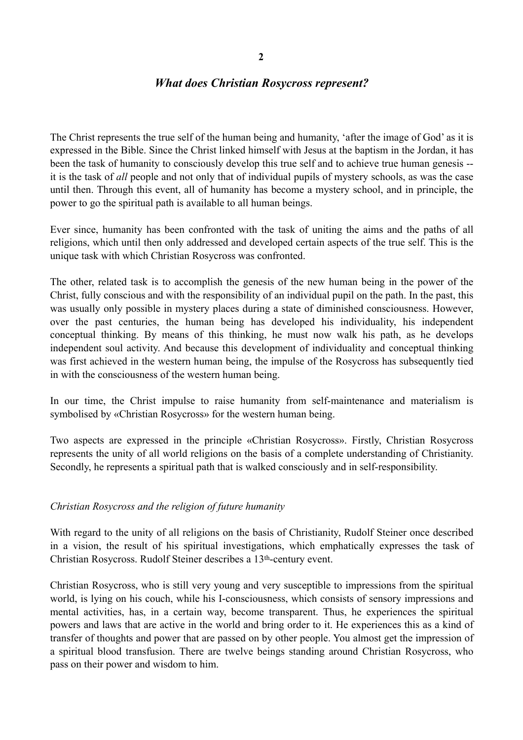## *What does Christian Rosycross represent?*

The Christ represents the true self of the human being and humanity, 'after the image of God' as it is expressed in the Bible. Since the Christ linked himself with Jesus at the baptism in the Jordan, it has been the task of humanity to consciously develop this true self and to achieve true human genesis - it is the task of *all* people and not only that of individual pupils of mystery schools, as was the case until then. Through this event, all of humanity has become a mystery school, and in principle, the power to go the spiritual path is available to all human beings.

Ever since, humanity has been confronted with the task of uniting the aims and the paths of all religions, which until then only addressed and developed certain aspects of the true self. This is the unique task with which Christian Rosycross was confronted.

The other, related task is to accomplish the genesis of the new human being in the power of the Christ, fully conscious and with the responsibility of an individual pupil on the path. In the past, this was usually only possible in mystery places during a state of diminished consciousness. However, over the past centuries, the human being has developed his individuality, his independent conceptual thinking. By means of this thinking, he must now walk his path, as he develops independent soul activity. And because this development of individuality and conceptual thinking was first achieved in the western human being, the impulse of the Rosycross has subsequently tied in with the consciousness of the western human being.

In our time, the Christ impulse to raise humanity from self-maintenance and materialism is symbolised by «Christian Rosycross» for the western human being.

Two aspects are expressed in the principle «Christian Rosycross». Firstly, Christian Rosycross represents the unity of all world religions on the basis of a complete understanding of Christianity. Secondly, he represents a spiritual path that is walked consciously and in self-responsibility.

#### *Christian Rosycross and the religion of future humanity*

With regard to the unity of all religions on the basis of Christianity, Rudolf Steiner once described in a vision, the result of his spiritual investigations, which emphatically expresses the task of Christian Rosycross. Rudolf Steiner describes a 13th-century event.

Christian Rosycross, who is still very young and very susceptible to impressions from the spiritual world, is lying on his couch, while his I-consciousness, which consists of sensory impressions and mental activities, has, in a certain way, become transparent. Thus, he experiences the spiritual powers and laws that are active in the world and bring order to it. He experiences this as a kind of transfer of thoughts and power that are passed on by other people. You almost get the impression of a spiritual blood transfusion. There are twelve beings standing around Christian Rosycross, who pass on their power and wisdom to him.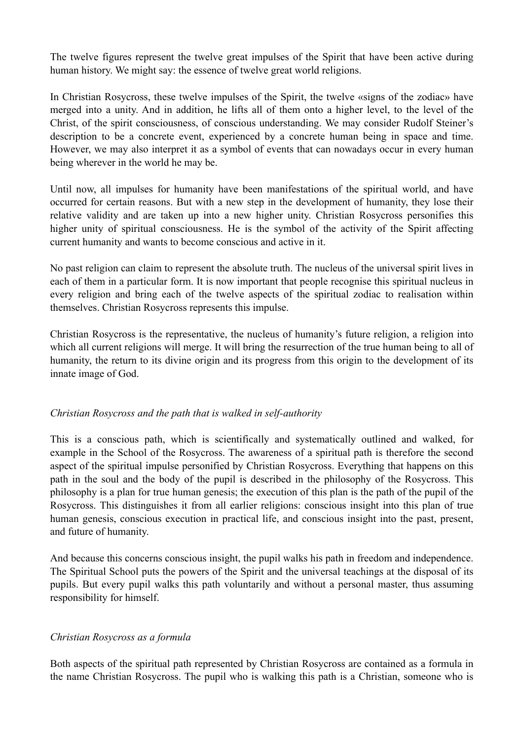The twelve figures represent the twelve great impulses of the Spirit that have been active during human history. We might say: the essence of twelve great world religions.

In Christian Rosycross, these twelve impulses of the Spirit, the twelve «signs of the zodiac» have merged into a unity. And in addition, he lifts all of them onto a higher level, to the level of the Christ, of the spirit consciousness, of conscious understanding. We may consider Rudolf Steiner's description to be a concrete event, experienced by a concrete human being in space and time. However, we may also interpret it as a symbol of events that can nowadays occur in every human being wherever in the world he may be.

Until now, all impulses for humanity have been manifestations of the spiritual world, and have occurred for certain reasons. But with a new step in the development of humanity, they lose their relative validity and are taken up into a new higher unity. Christian Rosycross personifies this higher unity of spiritual consciousness. He is the symbol of the activity of the Spirit affecting current humanity and wants to become conscious and active in it.

No past religion can claim to represent the absolute truth. The nucleus of the universal spirit lives in each of them in a particular form. It is now important that people recognise this spiritual nucleus in every religion and bring each of the twelve aspects of the spiritual zodiac to realisation within themselves. Christian Rosycross represents this impulse.

Christian Rosycross is the representative, the nucleus of humanity's future religion, a religion into which all current religions will merge. It will bring the resurrection of the true human being to all of humanity, the return to its divine origin and its progress from this origin to the development of its innate image of God.

#### *Christian Rosycross and the path that is walked in self-authority*

This is a conscious path, which is scientifically and systematically outlined and walked, for example in the School of the Rosycross. The awareness of a spiritual path is therefore the second aspect of the spiritual impulse personified by Christian Rosycross. Everything that happens on this path in the soul and the body of the pupil is described in the philosophy of the Rosycross. This philosophy is a plan for true human genesis; the execution of this plan is the path of the pupil of the Rosycross. This distinguishes it from all earlier religions: conscious insight into this plan of true human genesis, conscious execution in practical life, and conscious insight into the past, present, and future of humanity.

And because this concerns conscious insight, the pupil walks his path in freedom and independence. The Spiritual School puts the powers of the Spirit and the universal teachings at the disposal of its pupils. But every pupil walks this path voluntarily and without a personal master, thus assuming responsibility for himself.

## *Christian Rosycross as a formula*

Both aspects of the spiritual path represented by Christian Rosycross are contained as a formula in the name Christian Rosycross. The pupil who is walking this path is a Christian, someone who is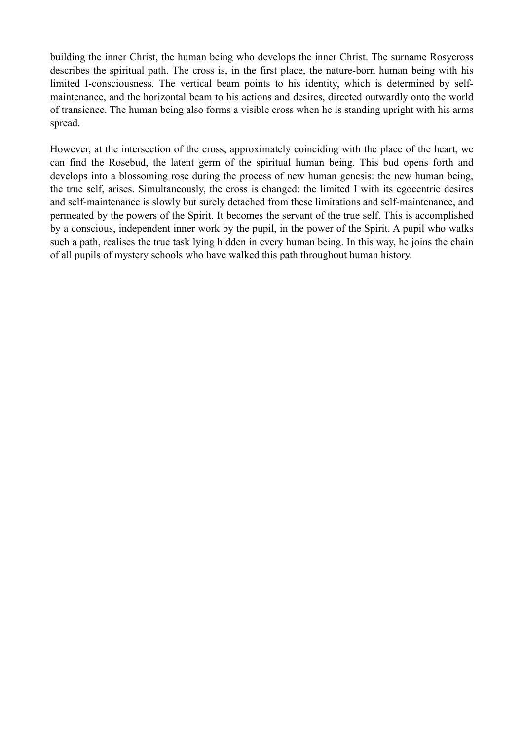building the inner Christ, the human being who develops the inner Christ. The surname Rosycross describes the spiritual path. The cross is, in the first place, the nature-born human being with his limited I-consciousness. The vertical beam points to his identity, which is determined by selfmaintenance, and the horizontal beam to his actions and desires, directed outwardly onto the world of transience. The human being also forms a visible cross when he is standing upright with his arms spread.

However, at the intersection of the cross, approximately coinciding with the place of the heart, we can find the Rosebud, the latent germ of the spiritual human being. This bud opens forth and develops into a blossoming rose during the process of new human genesis: the new human being, the true self, arises. Simultaneously, the cross is changed: the limited I with its egocentric desires and self-maintenance is slowly but surely detached from these limitations and self-maintenance, and permeated by the powers of the Spirit. It becomes the servant of the true self. This is accomplished by a conscious, independent inner work by the pupil, in the power of the Spirit. A pupil who walks such a path, realises the true task lying hidden in every human being. In this way, he joins the chain of all pupils of mystery schools who have walked this path throughout human history.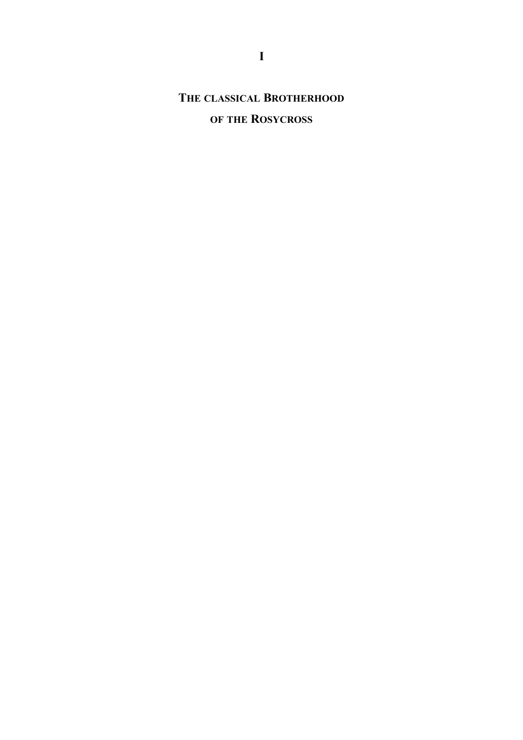# **THE CLASSICAL BROTHERHOOD**

# **OF THE ROSYCROSS**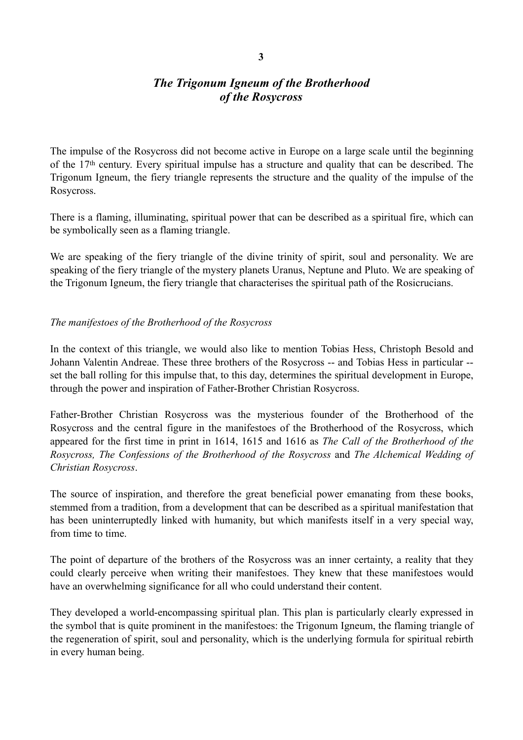# *The Trigonum Igneum of the Brotherhood of the Rosycross*

The impulse of the Rosycross did not become active in Europe on a large scale until the beginning of the 17th century. Every spiritual impulse has a structure and quality that can be described. The Trigonum Igneum, the fiery triangle represents the structure and the quality of the impulse of the Rosycross.

There is a flaming, illuminating, spiritual power that can be described as a spiritual fire, which can be symbolically seen as a flaming triangle.

We are speaking of the fiery triangle of the divine trinity of spirit, soul and personality. We are speaking of the fiery triangle of the mystery planets Uranus, Neptune and Pluto. We are speaking of the Trigonum Igneum, the fiery triangle that characterises the spiritual path of the Rosicrucians.

#### *The manifestoes of the Brotherhood of the Rosycross*

In the context of this triangle, we would also like to mention Tobias Hess, Christoph Besold and Johann Valentin Andreae. These three brothers of the Rosycross -- and Tobias Hess in particular - set the ball rolling for this impulse that, to this day, determines the spiritual development in Europe, through the power and inspiration of Father-Brother Christian Rosycross.

Father-Brother Christian Rosycross was the mysterious founder of the Brotherhood of the Rosycross and the central figure in the manifestoes of the Brotherhood of the Rosycross, which appeared for the first time in print in 1614, 1615 and 1616 as *The Call of the Brotherhood of the Rosycross, The Confessions of the Brotherhood of the Rosycross* and *The Alchemical Wedding of Christian Rosycross*.

The source of inspiration, and therefore the great beneficial power emanating from these books, stemmed from a tradition, from a development that can be described as a spiritual manifestation that has been uninterruptedly linked with humanity, but which manifests itself in a very special way, from time to time.

The point of departure of the brothers of the Rosycross was an inner certainty, a reality that they could clearly perceive when writing their manifestoes. They knew that these manifestoes would have an overwhelming significance for all who could understand their content.

They developed a world-encompassing spiritual plan. This plan is particularly clearly expressed in the symbol that is quite prominent in the manifestoes: the Trigonum Igneum, the flaming triangle of the regeneration of spirit, soul and personality, which is the underlying formula for spiritual rebirth in every human being.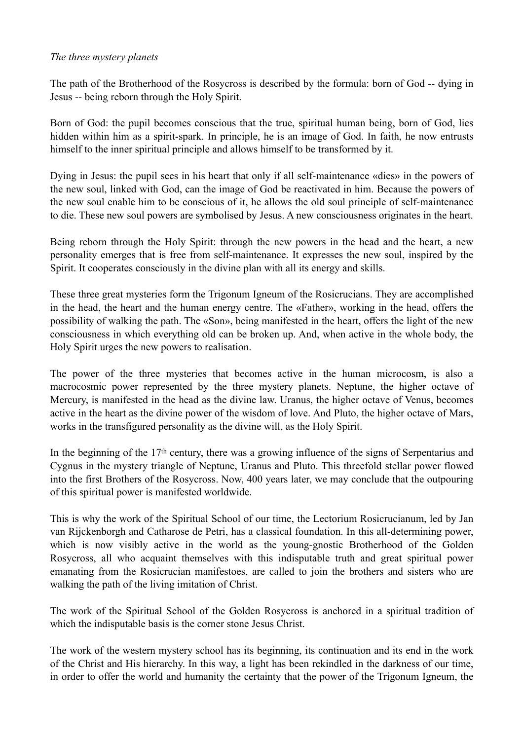#### *The three mystery planets*

The path of the Brotherhood of the Rosycross is described by the formula: born of God -- dying in Jesus -- being reborn through the Holy Spirit.

Born of God: the pupil becomes conscious that the true, spiritual human being, born of God, lies hidden within him as a spirit-spark. In principle, he is an image of God. In faith, he now entrusts himself to the inner spiritual principle and allows himself to be transformed by it.

Dying in Jesus: the pupil sees in his heart that only if all self-maintenance «dies» in the powers of the new soul, linked with God, can the image of God be reactivated in him. Because the powers of the new soul enable him to be conscious of it, he allows the old soul principle of self-maintenance to die. These new soul powers are symbolised by Jesus. A new consciousness originates in the heart.

Being reborn through the Holy Spirit: through the new powers in the head and the heart, a new personality emerges that is free from self-maintenance. It expresses the new soul, inspired by the Spirit. It cooperates consciously in the divine plan with all its energy and skills.

These three great mysteries form the Trigonum Igneum of the Rosicrucians. They are accomplished in the head, the heart and the human energy centre. The «Father», working in the head, offers the possibility of walking the path. The «Son», being manifested in the heart, offers the light of the new consciousness in which everything old can be broken up. And, when active in the whole body, the Holy Spirit urges the new powers to realisation.

The power of the three mysteries that becomes active in the human microcosm, is also a macrocosmic power represented by the three mystery planets. Neptune, the higher octave of Mercury, is manifested in the head as the divine law. Uranus, the higher octave of Venus, becomes active in the heart as the divine power of the wisdom of love. And Pluto, the higher octave of Mars, works in the transfigured personality as the divine will, as the Holy Spirit.

In the beginning of the 17th century, there was a growing influence of the signs of Serpentarius and Cygnus in the mystery triangle of Neptune, Uranus and Pluto. This threefold stellar power flowed into the first Brothers of the Rosycross. Now, 400 years later, we may conclude that the outpouring of this spiritual power is manifested worldwide.

This is why the work of the Spiritual School of our time, the Lectorium Rosicrucianum, led by Jan van Rijckenborgh and Catharose de Petri, has a classical foundation. In this all-determining power, which is now visibly active in the world as the young-gnostic Brotherhood of the Golden Rosycross, all who acquaint themselves with this indisputable truth and great spiritual power emanating from the Rosicrucian manifestoes, are called to join the brothers and sisters who are walking the path of the living imitation of Christ.

The work of the Spiritual School of the Golden Rosycross is anchored in a spiritual tradition of which the indisputable basis is the corner stone Jesus Christ.

The work of the western mystery school has its beginning, its continuation and its end in the work of the Christ and His hierarchy. In this way, a light has been rekindled in the darkness of our time, in order to offer the world and humanity the certainty that the power of the Trigonum Igneum, the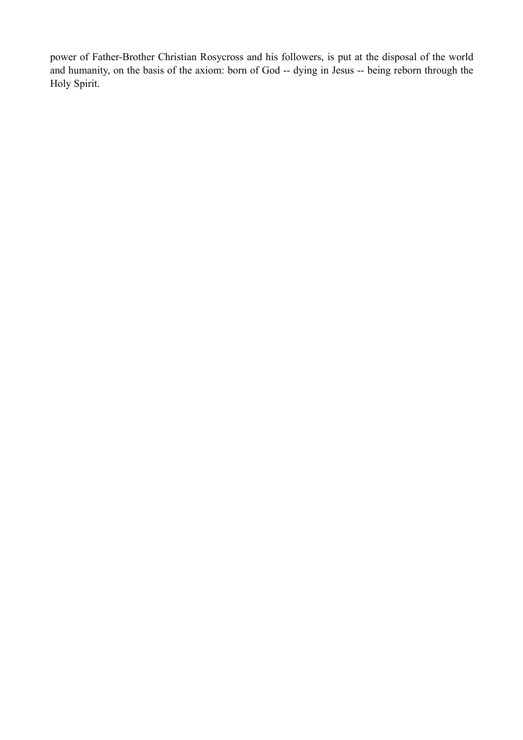power of Father-Brother Christian Rosycross and his followers, is put at the disposal of the world and humanity, on the basis of the axiom: born of God -- dying in Jesus -- being reborn through the Holy Spirit.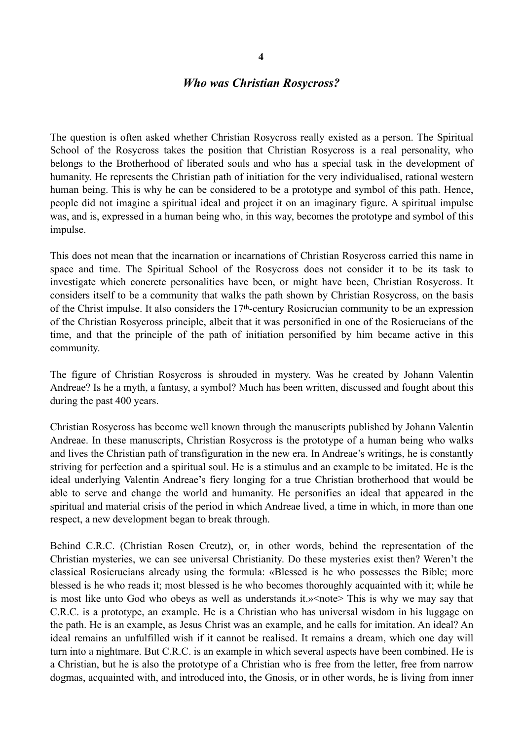#### *Who was Christian Rosycross?*

The question is often asked whether Christian Rosycross really existed as a person. The Spiritual School of the Rosycross takes the position that Christian Rosycross is a real personality, who belongs to the Brotherhood of liberated souls and who has a special task in the development of humanity. He represents the Christian path of initiation for the very individualised, rational western human being. This is why he can be considered to be a prototype and symbol of this path. Hence, people did not imagine a spiritual ideal and project it on an imaginary figure. A spiritual impulse was, and is, expressed in a human being who, in this way, becomes the prototype and symbol of this impulse.

This does not mean that the incarnation or incarnations of Christian Rosycross carried this name in space and time. The Spiritual School of the Rosycross does not consider it to be its task to investigate which concrete personalities have been, or might have been, Christian Rosycross. It considers itself to be a community that walks the path shown by Christian Rosycross, on the basis of the Christ impulse. It also considers the 17th-century Rosicrucian community to be an expression of the Christian Rosycross principle, albeit that it was personified in one of the Rosicrucians of the time, and that the principle of the path of initiation personified by him became active in this community.

The figure of Christian Rosycross is shrouded in mystery. Was he created by Johann Valentin Andreae? Is he a myth, a fantasy, a symbol? Much has been written, discussed and fought about this during the past 400 years.

Christian Rosycross has become well known through the manuscripts published by Johann Valentin Andreae. In these manuscripts, Christian Rosycross is the prototype of a human being who walks and lives the Christian path of transfiguration in the new era. In Andreae's writings, he is constantly striving for perfection and a spiritual soul. He is a stimulus and an example to be imitated. He is the ideal underlying Valentin Andreae's fiery longing for a true Christian brotherhood that would be able to serve and change the world and humanity. He personifies an ideal that appeared in the spiritual and material crisis of the period in which Andreae lived, a time in which, in more than one respect, a new development began to break through.

Behind C.R.C. (Christian Rosen Creutz), or, in other words, behind the representation of the Christian mysteries, we can see universal Christianity. Do these mysteries exist then? Weren't the classical Rosicrucians already using the formula: «Blessed is he who possesses the Bible; more blessed is he who reads it; most blessed is he who becomes thoroughly acquainted with it; while he is most like unto God who obeys as well as understands it.» <note> This is why we may say that C.R.C. is a prototype, an example. He is a Christian who has universal wisdom in his luggage on the path. He is an example, as Jesus Christ was an example, and he calls for imitation. An ideal? An ideal remains an unfulfilled wish if it cannot be realised. It remains a dream, which one day will turn into a nightmare. But C.R.C. is an example in which several aspects have been combined. He is a Christian, but he is also the prototype of a Christian who is free from the letter, free from narrow dogmas, acquainted with, and introduced into, the Gnosis, or in other words, he is living from inner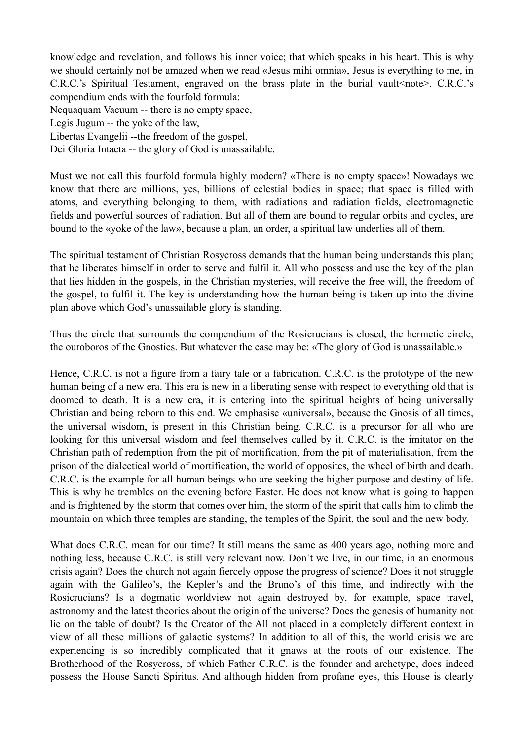knowledge and revelation, and follows his inner voice; that which speaks in his heart. This is why we should certainly not be amazed when we read «Jesus mihi omnia», Jesus is everything to me, in C.R.C.'s Spiritual Testament, engraved on the brass plate in the burial vault<note>. C.R.C.'s compendium ends with the fourfold formula: Nequaquam Vacuum -- there is no empty space, Legis Jugum -- the yoke of the law, Libertas Evangelii --the freedom of the gospel, Dei Gloria Intacta -- the glory of God is unassailable.

Must we not call this fourfold formula highly modern? «There is no empty space»! Nowadays we know that there are millions, yes, billions of celestial bodies in space; that space is filled with atoms, and everything belonging to them, with radiations and radiation fields, electromagnetic fields and powerful sources of radiation. But all of them are bound to regular orbits and cycles, are bound to the «yoke of the law», because a plan, an order, a spiritual law underlies all of them.

The spiritual testament of Christian Rosycross demands that the human being understands this plan; that he liberates himself in order to serve and fulfil it. All who possess and use the key of the plan that lies hidden in the gospels, in the Christian mysteries, will receive the free will, the freedom of the gospel, to fulfil it. The key is understanding how the human being is taken up into the divine plan above which God's unassailable glory is standing.

Thus the circle that surrounds the compendium of the Rosicrucians is closed, the hermetic circle, the ouroboros of the Gnostics. But whatever the case may be: «The glory of God is unassailable.»

Hence, C.R.C. is not a figure from a fairy tale or a fabrication. C.R.C. is the prototype of the new human being of a new era. This era is new in a liberating sense with respect to everything old that is doomed to death. It is a new era, it is entering into the spiritual heights of being universally Christian and being reborn to this end. We emphasise «universal», because the Gnosis of all times, the universal wisdom, is present in this Christian being. C.R.C. is a precursor for all who are looking for this universal wisdom and feel themselves called by it. C.R.C. is the imitator on the Christian path of redemption from the pit of mortification, from the pit of materialisation, from the prison of the dialectical world of mortification, the world of opposites, the wheel of birth and death. C.R.C. is the example for all human beings who are seeking the higher purpose and destiny of life. This is why he trembles on the evening before Easter. He does not know what is going to happen and is frightened by the storm that comes over him, the storm of the spirit that calls him to climb the mountain on which three temples are standing, the temples of the Spirit, the soul and the new body.

What does C.R.C. mean for our time? It still means the same as 400 years ago, nothing more and nothing less, because C.R.C. is still very relevant now. Don't we live, in our time, in an enormous crisis again? Does the church not again fiercely oppose the progress of science? Does it not struggle again with the Galileo's, the Kepler's and the Bruno's of this time, and indirectly with the Rosicrucians? Is a dogmatic worldview not again destroyed by, for example, space travel, astronomy and the latest theories about the origin of the universe? Does the genesis of humanity not lie on the table of doubt? Is the Creator of the All not placed in a completely different context in view of all these millions of galactic systems? In addition to all of this, the world crisis we are experiencing is so incredibly complicated that it gnaws at the roots of our existence. The Brotherhood of the Rosycross, of which Father C.R.C. is the founder and archetype, does indeed possess the House Sancti Spiritus. And although hidden from profane eyes, this House is clearly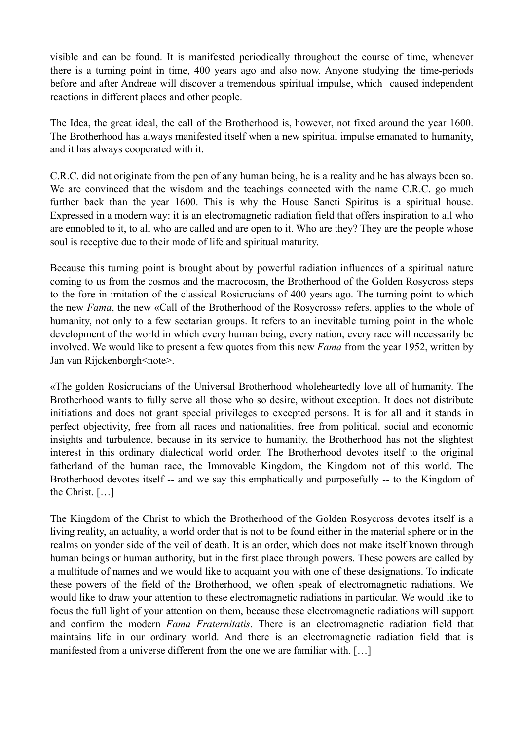visible and can be found. It is manifested periodically throughout the course of time, whenever there is a turning point in time, 400 years ago and also now. Anyone studying the time-periods before and after Andreae will discover a tremendous spiritual impulse, which caused independent reactions in different places and other people.

The Idea, the great ideal, the call of the Brotherhood is, however, not fixed around the year 1600. The Brotherhood has always manifested itself when a new spiritual impulse emanated to humanity, and it has always cooperated with it.

C.R.C. did not originate from the pen of any human being, he is a reality and he has always been so. We are convinced that the wisdom and the teachings connected with the name C.R.C. go much further back than the year 1600. This is why the House Sancti Spiritus is a spiritual house. Expressed in a modern way: it is an electromagnetic radiation field that offers inspiration to all who are ennobled to it, to all who are called and are open to it. Who are they? They are the people whose soul is receptive due to their mode of life and spiritual maturity.

Because this turning point is brought about by powerful radiation influences of a spiritual nature coming to us from the cosmos and the macrocosm, the Brotherhood of the Golden Rosycross steps to the fore in imitation of the classical Rosicrucians of 400 years ago. The turning point to which the new *Fama*, the new «Call of the Brotherhood of the Rosycross» refers, applies to the whole of humanity, not only to a few sectarian groups. It refers to an inevitable turning point in the whole development of the world in which every human being, every nation, every race will necessarily be involved. We would like to present a few quotes from this new *Fama* from the year 1952, written by Jan van Rijckenborgh<note>.

«The golden Rosicrucians of the Universal Brotherhood wholeheartedly love all of humanity. The Brotherhood wants to fully serve all those who so desire, without exception. It does not distribute initiations and does not grant special privileges to excepted persons. It is for all and it stands in perfect objectivity, free from all races and nationalities, free from political, social and economic insights and turbulence, because in its service to humanity, the Brotherhood has not the slightest interest in this ordinary dialectical world order. The Brotherhood devotes itself to the original fatherland of the human race, the Immovable Kingdom, the Kingdom not of this world. The Brotherhood devotes itself -- and we say this emphatically and purposefully -- to the Kingdom of the Christ. […]

The Kingdom of the Christ to which the Brotherhood of the Golden Rosycross devotes itself is a living reality, an actuality, a world order that is not to be found either in the material sphere or in the realms on yonder side of the veil of death. It is an order, which does not make itself known through human beings or human authority, but in the first place through powers. These powers are called by a multitude of names and we would like to acquaint you with one of these designations. To indicate these powers of the field of the Brotherhood, we often speak of electromagnetic radiations. We would like to draw your attention to these electromagnetic radiations in particular. We would like to focus the full light of your attention on them, because these electromagnetic radiations will support and confirm the modern *Fama Fraternitatis*. There is an electromagnetic radiation field that maintains life in our ordinary world. And there is an electromagnetic radiation field that is manifested from a universe different from the one we are familiar with. […]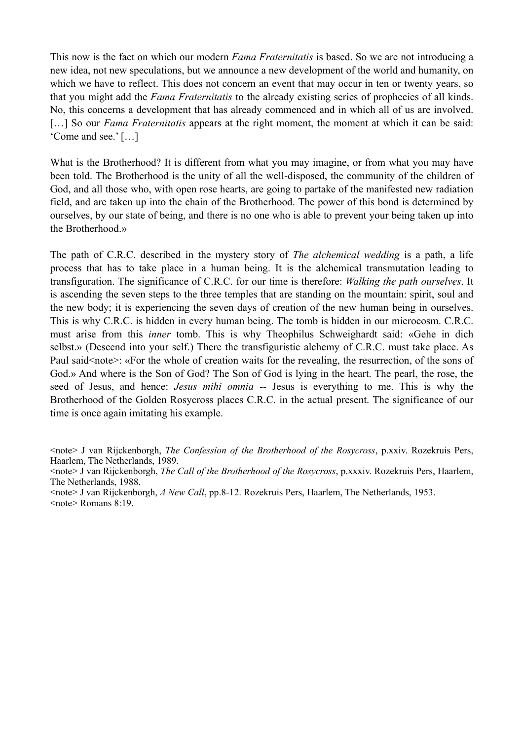This now is the fact on which our modern *Fama Fraternitatis* is based. So we are not introducing a new idea, not new speculations, but we announce a new development of the world and humanity, on which we have to reflect. This does not concern an event that may occur in ten or twenty years, so that you might add the *Fama Fraternitatis* to the already existing series of prophecies of all kinds. No, this concerns a development that has already commenced and in which all of us are involved. [...] So our *Fama Fraternitatis* appears at the right moment, the moment at which it can be said: 'Come and see.' […]

What is the Brotherhood? It is different from what you may imagine, or from what you may have been told. The Brotherhood is the unity of all the well-disposed, the community of the children of God, and all those who, with open rose hearts, are going to partake of the manifested new radiation field, and are taken up into the chain of the Brotherhood. The power of this bond is determined by ourselves, by our state of being, and there is no one who is able to prevent your being taken up into the Brotherhood.»

The path of C.R.C. described in the mystery story of *The alchemical wedding* is a path, a life process that has to take place in a human being. It is the alchemical transmutation leading to transfiguration. The significance of C.R.C. for our time is therefore: *Walking the path ourselves*. It is ascending the seven steps to the three temples that are standing on the mountain: spirit, soul and the new body; it is experiencing the seven days of creation of the new human being in ourselves. This is why C.R.C. is hidden in every human being. The tomb is hidden in our microcosm. C.R.C. must arise from this *inner* tomb. This is why Theophilus Schweighardt said: «Gehe in dich selbst.» (Descend into your self.) There the transfiguristic alchemy of C.R.C. must take place. As Paul said<note>: «For the whole of creation waits for the revealing, the resurrection, of the sons of God.» And where is the Son of God? The Son of God is lying in the heart. The pearl, the rose, the seed of Jesus, and hence: *Jesus mihi omnia* -- Jesus is everything to me. This is why the Brotherhood of the Golden Rosycross places C.R.C. in the actual present. The significance of our time is once again imitating his example.

<sup>&</sup>lt;note> J van Rijckenborgh, *The Confession of the Brotherhood of the Rosycross*, p.xxiv. Rozekruis Pers, Haarlem, The Netherlands, 1989.

<sup>&</sup>lt;note> J van Rijckenborgh, *The Call of the Brotherhood of the Rosycross*, p.xxxiv. Rozekruis Pers, Haarlem, The Netherlands, 1988.

<sup>&</sup>lt;note> J van Rijckenborgh, *A New Call*, pp.8-12. Rozekruis Pers, Haarlem, The Netherlands, 1953. <note> Romans 8:19.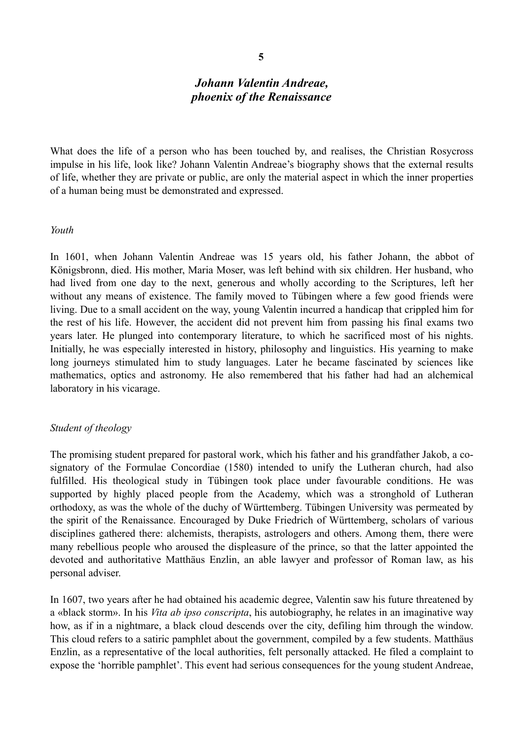## *Johann Valentin Andreae, phoenix of the Renaissance*

What does the life of a person who has been touched by, and realises, the Christian Rosycross impulse in his life, look like? Johann Valentin Andreae's biography shows that the external results of life, whether they are private or public, are only the material aspect in which the inner properties of a human being must be demonstrated and expressed.

#### *Youth*

In 1601, when Johann Valentin Andreae was 15 years old, his father Johann, the abbot of Königsbronn, died. His mother, Maria Moser, was left behind with six children. Her husband, who had lived from one day to the next, generous and wholly according to the Scriptures, left her without any means of existence. The family moved to Tübingen where a few good friends were living. Due to a small accident on the way, young Valentin incurred a handicap that crippled him for the rest of his life. However, the accident did not prevent him from passing his final exams two years later. He plunged into contemporary literature, to which he sacrificed most of his nights. Initially, he was especially interested in history, philosophy and linguistics. His yearning to make long journeys stimulated him to study languages. Later he became fascinated by sciences like mathematics, optics and astronomy. He also remembered that his father had had an alchemical laboratory in his vicarage.

#### *Student of theology*

The promising student prepared for pastoral work, which his father and his grandfather Jakob, a cosignatory of the Formulae Concordiae (1580) intended to unify the Lutheran church, had also fulfilled. His theological study in Tübingen took place under favourable conditions. He was supported by highly placed people from the Academy, which was a stronghold of Lutheran orthodoxy, as was the whole of the duchy of Württemberg. Tübingen University was permeated by the spirit of the Renaissance. Encouraged by Duke Friedrich of Württemberg, scholars of various disciplines gathered there: alchemists, therapists, astrologers and others. Among them, there were many rebellious people who aroused the displeasure of the prince, so that the latter appointed the devoted and authoritative Matthäus Enzlin, an able lawyer and professor of Roman law, as his personal adviser.

In 1607, two years after he had obtained his academic degree, Valentin saw his future threatened by a «black storm». In his *Vita ab ipso conscripta*, his autobiography, he relates in an imaginative way how, as if in a nightmare, a black cloud descends over the city, defiling him through the window. This cloud refers to a satiric pamphlet about the government, compiled by a few students. Matthäus Enzlin, as a representative of the local authorities, felt personally attacked. He filed a complaint to expose the 'horrible pamphlet'. This event had serious consequences for the young student Andreae,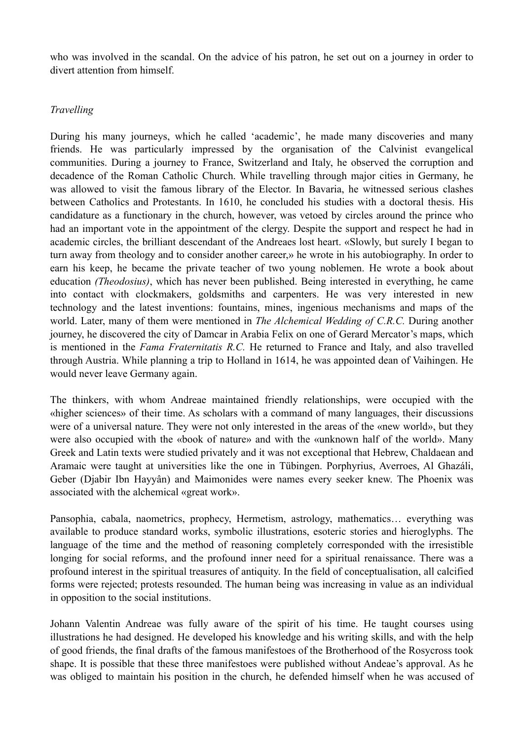who was involved in the scandal. On the advice of his patron, he set out on a journey in order to divert attention from himself.

#### *Travelling*

During his many journeys, which he called 'academic', he made many discoveries and many friends. He was particularly impressed by the organisation of the Calvinist evangelical communities. During a journey to France, Switzerland and Italy, he observed the corruption and decadence of the Roman Catholic Church. While travelling through major cities in Germany, he was allowed to visit the famous library of the Elector. In Bavaria, he witnessed serious clashes between Catholics and Protestants. In 1610, he concluded his studies with a doctoral thesis. His candidature as a functionary in the church, however, was vetoed by circles around the prince who had an important vote in the appointment of the clergy. Despite the support and respect he had in academic circles, the brilliant descendant of the Andreaes lost heart. «Slowly, but surely I began to turn away from theology and to consider another career,» he wrote in his autobiography. In order to earn his keep, he became the private teacher of two young noblemen. He wrote a book about education *(Theodosius)*, which has never been published. Being interested in everything, he came into contact with clockmakers, goldsmiths and carpenters. He was very interested in new technology and the latest inventions: fountains, mines, ingenious mechanisms and maps of the world. Later, many of them were mentioned in *The Alchemical Wedding of C.R.C.* During another journey, he discovered the city of Damcar in Arabia Felix on one of Gerard Mercator's maps, which is mentioned in the *Fama Fraternitatis R.C.* He returned to France and Italy, and also travelled through Austria. While planning a trip to Holland in 1614, he was appointed dean of Vaihingen. He would never leave Germany again.

The thinkers, with whom Andreae maintained friendly relationships, were occupied with the «higher sciences» of their time. As scholars with a command of many languages, their discussions were of a universal nature. They were not only interested in the areas of the «new world», but they were also occupied with the «book of nature» and with the «unknown half of the world». Many Greek and Latin texts were studied privately and it was not exceptional that Hebrew, Chaldaean and Aramaic were taught at universities like the one in Tübingen. Porphyrius, Averroes, Al Ghazáli, Geber (Djabir Ibn Hayyân) and Maimonides were names every seeker knew. The Phoenix was associated with the alchemical «great work».

Pansophia, cabala, naometrics, prophecy, Hermetism, astrology, mathematics… everything was available to produce standard works, symbolic illustrations, esoteric stories and hieroglyphs. The language of the time and the method of reasoning completely corresponded with the irresistible longing for social reforms, and the profound inner need for a spiritual renaissance. There was a profound interest in the spiritual treasures of antiquity. In the field of conceptualisation, all calcified forms were rejected; protests resounded. The human being was increasing in value as an individual in opposition to the social institutions.

Johann Valentin Andreae was fully aware of the spirit of his time. He taught courses using illustrations he had designed. He developed his knowledge and his writing skills, and with the help of good friends, the final drafts of the famous manifestoes of the Brotherhood of the Rosycross took shape. It is possible that these three manifestoes were published without Andeae's approval. As he was obliged to maintain his position in the church, he defended himself when he was accused of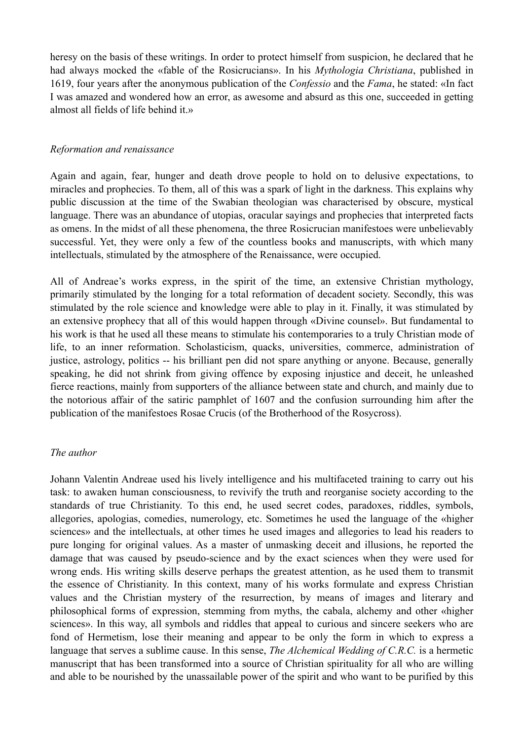heresy on the basis of these writings. In order to protect himself from suspicion, he declared that he had always mocked the «fable of the Rosicrucians». In his *Mythologia Christiana*, published in 1619, four years after the anonymous publication of the *Confessio* and the *Fama*, he stated: «In fact I was amazed and wondered how an error, as awesome and absurd as this one, succeeded in getting almost all fields of life behind it.»

#### *Reformation and renaissance*

Again and again, fear, hunger and death drove people to hold on to delusive expectations, to miracles and prophecies. To them, all of this was a spark of light in the darkness. This explains why public discussion at the time of the Swabian theologian was characterised by obscure, mystical language. There was an abundance of utopias, oracular sayings and prophecies that interpreted facts as omens. In the midst of all these phenomena, the three Rosicrucian manifestoes were unbelievably successful. Yet, they were only a few of the countless books and manuscripts, with which many intellectuals, stimulated by the atmosphere of the Renaissance, were occupied.

All of Andreae's works express, in the spirit of the time, an extensive Christian mythology, primarily stimulated by the longing for a total reformation of decadent society. Secondly, this was stimulated by the role science and knowledge were able to play in it. Finally, it was stimulated by an extensive prophecy that all of this would happen through «Divine counsel». But fundamental to his work is that he used all these means to stimulate his contemporaries to a truly Christian mode of life, to an inner reformation. Scholasticism, quacks, universities, commerce, administration of justice, astrology, politics -- his brilliant pen did not spare anything or anyone. Because, generally speaking, he did not shrink from giving offence by exposing injustice and deceit, he unleashed fierce reactions, mainly from supporters of the alliance between state and church, and mainly due to the notorious affair of the satiric pamphlet of 1607 and the confusion surrounding him after the publication of the manifestoes Rosae Crucis (of the Brotherhood of the Rosycross).

#### *The author*

Johann Valentin Andreae used his lively intelligence and his multifaceted training to carry out his task: to awaken human consciousness, to revivify the truth and reorganise society according to the standards of true Christianity. To this end, he used secret codes, paradoxes, riddles, symbols, allegories, apologias, comedies, numerology, etc. Sometimes he used the language of the «higher sciences» and the intellectuals, at other times he used images and allegories to lead his readers to pure longing for original values. As a master of unmasking deceit and illusions, he reported the damage that was caused by pseudo-science and by the exact sciences when they were used for wrong ends. His writing skills deserve perhaps the greatest attention, as he used them to transmit the essence of Christianity. In this context, many of his works formulate and express Christian values and the Christian mystery of the resurrection, by means of images and literary and philosophical forms of expression, stemming from myths, the cabala, alchemy and other «higher sciences». In this way, all symbols and riddles that appeal to curious and sincere seekers who are fond of Hermetism, lose their meaning and appear to be only the form in which to express a language that serves a sublime cause. In this sense, *The Alchemical Wedding of C.R.C.* is a hermetic manuscript that has been transformed into a source of Christian spirituality for all who are willing and able to be nourished by the unassailable power of the spirit and who want to be purified by this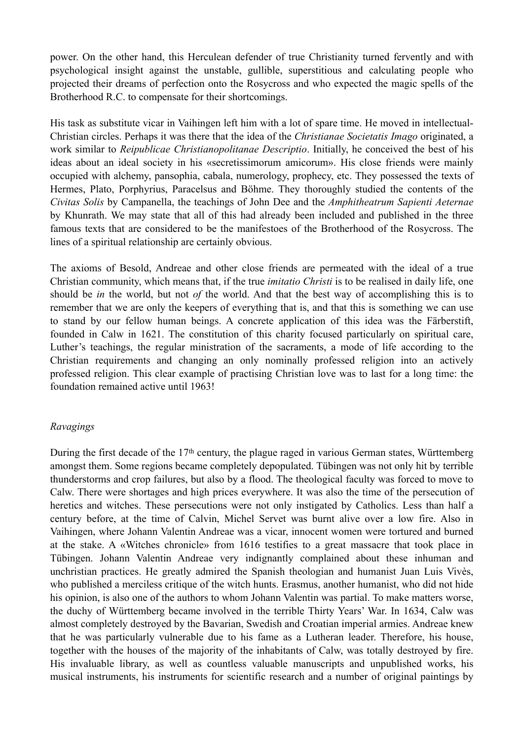power. On the other hand, this Herculean defender of true Christianity turned fervently and with psychological insight against the unstable, gullible, superstitious and calculating people who projected their dreams of perfection onto the Rosycross and who expected the magic spells of the Brotherhood R.C. to compensate for their shortcomings.

His task as substitute vicar in Vaihingen left him with a lot of spare time. He moved in intellectual-Christian circles. Perhaps it was there that the idea of the *Christianae Societatis Imago* originated, a work similar to *Reipublicae Christianopolitanae Descriptio*. Initially, he conceived the best of his ideas about an ideal society in his «secretissimorum amicorum». His close friends were mainly occupied with alchemy, pansophia, cabala, numerology, prophecy, etc. They possessed the texts of Hermes, Plato, Porphyrius, Paracelsus and Böhme. They thoroughly studied the contents of the *Civitas Solis* by Campanella, the teachings of John Dee and the *Amphitheatrum Sapienti Aeternae* by Khunrath. We may state that all of this had already been included and published in the three famous texts that are considered to be the manifestoes of the Brotherhood of the Rosycross. The lines of a spiritual relationship are certainly obvious.

The axioms of Besold, Andreae and other close friends are permeated with the ideal of a true Christian community, which means that, if the true *imitatio Christi* is to be realised in daily life, one should be *in* the world, but not *of* the world. And that the best way of accomplishing this is to remember that we are only the keepers of everything that is, and that this is something we can use to stand by our fellow human beings. A concrete application of this idea was the Färberstift, founded in Calw in 1621. The constitution of this charity focused particularly on spiritual care, Luther's teachings, the regular ministration of the sacraments, a mode of life according to the Christian requirements and changing an only nominally professed religion into an actively professed religion. This clear example of practising Christian love was to last for a long time: the foundation remained active until 1963!

#### *Ravagings*

During the first decade of the 17<sup>th</sup> century, the plague raged in various German states, Württemberg amongst them. Some regions became completely depopulated. Tübingen was not only hit by terrible thunderstorms and crop failures, but also by a flood. The theological faculty was forced to move to Calw. There were shortages and high prices everywhere. It was also the time of the persecution of heretics and witches. These persecutions were not only instigated by Catholics. Less than half a century before, at the time of Calvin, Michel Servet was burnt alive over a low fire. Also in Vaihingen, where Johann Valentin Andreae was a vicar, innocent women were tortured and burned at the stake. A «Witches chronicle» from 1616 testifies to a great massacre that took place in Tübingen. Johann Valentin Andreae very indignantly complained about these inhuman and unchristian practices. He greatly admired the Spanish theologian and humanist Juan Luis Vivès, who published a merciless critique of the witch hunts. Erasmus, another humanist, who did not hide his opinion, is also one of the authors to whom Johann Valentin was partial. To make matters worse, the duchy of Württemberg became involved in the terrible Thirty Years' War. In 1634, Calw was almost completely destroyed by the Bavarian, Swedish and Croatian imperial armies. Andreae knew that he was particularly vulnerable due to his fame as a Lutheran leader. Therefore, his house, together with the houses of the majority of the inhabitants of Calw, was totally destroyed by fire. His invaluable library, as well as countless valuable manuscripts and unpublished works, his musical instruments, his instruments for scientific research and a number of original paintings by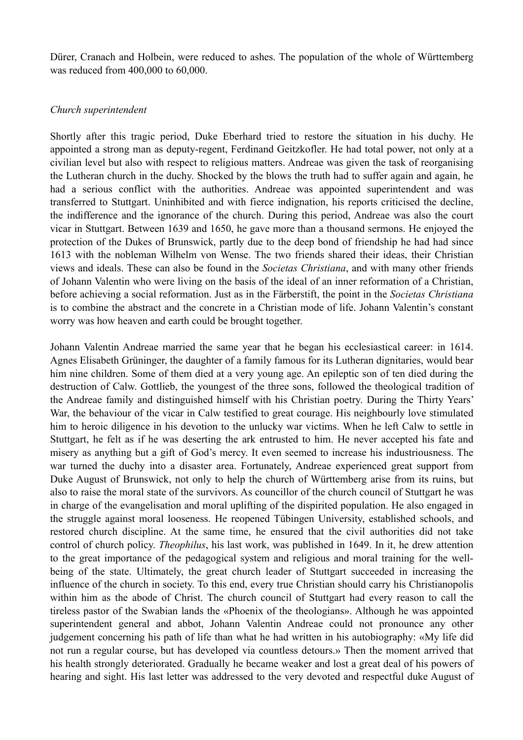Dürer, Cranach and Holbein, were reduced to ashes. The population of the whole of Württemberg was reduced from 400,000 to 60,000.

#### *Church superintendent*

Shortly after this tragic period, Duke Eberhard tried to restore the situation in his duchy. He appointed a strong man as deputy-regent, Ferdinand Geitzkofler. He had total power, not only at a civilian level but also with respect to religious matters. Andreae was given the task of reorganising the Lutheran church in the duchy. Shocked by the blows the truth had to suffer again and again, he had a serious conflict with the authorities. Andreae was appointed superintendent and was transferred to Stuttgart. Uninhibited and with fierce indignation, his reports criticised the decline, the indifference and the ignorance of the church. During this period, Andreae was also the court vicar in Stuttgart. Between 1639 and 1650, he gave more than a thousand sermons. He enjoyed the protection of the Dukes of Brunswick, partly due to the deep bond of friendship he had had since 1613 with the nobleman Wilhelm von Wense. The two friends shared their ideas, their Christian views and ideals. These can also be found in the *Societas Christiana*, and with many other friends of Johann Valentin who were living on the basis of the ideal of an inner reformation of a Christian, before achieving a social reformation. Just as in the Färberstift, the point in the *Societas Christiana* is to combine the abstract and the concrete in a Christian mode of life. Johann Valentin's constant worry was how heaven and earth could be brought together.

Johann Valentin Andreae married the same year that he began his ecclesiastical career: in 1614. Agnes Elisabeth Grüninger, the daughter of a family famous for its Lutheran dignitaries, would bear him nine children. Some of them died at a very young age. An epileptic son of ten died during the destruction of Calw. Gottlieb, the youngest of the three sons, followed the theological tradition of the Andreae family and distinguished himself with his Christian poetry. During the Thirty Years' War, the behaviour of the vicar in Calw testified to great courage. His neighbourly love stimulated him to heroic diligence in his devotion to the unlucky war victims. When he left Calw to settle in Stuttgart, he felt as if he was deserting the ark entrusted to him. He never accepted his fate and misery as anything but a gift of God's mercy. It even seemed to increase his industriousness. The war turned the duchy into a disaster area. Fortunately, Andreae experienced great support from Duke August of Brunswick, not only to help the church of Württemberg arise from its ruins, but also to raise the moral state of the survivors. As councillor of the church council of Stuttgart he was in charge of the evangelisation and moral uplifting of the dispirited population. He also engaged in the struggle against moral looseness. He reopened Tübingen University, established schools, and restored church discipline. At the same time, he ensured that the civil authorities did not take control of church policy. *Theophilus*, his last work, was published in 1649. In it, he drew attention to the great importance of the pedagogical system and religious and moral training for the wellbeing of the state. Ultimately, the great church leader of Stuttgart succeeded in increasing the influence of the church in society. To this end, every true Christian should carry his Christianopolis within him as the abode of Christ. The church council of Stuttgart had every reason to call the tireless pastor of the Swabian lands the «Phoenix of the theologians». Although he was appointed superintendent general and abbot, Johann Valentin Andreae could not pronounce any other judgement concerning his path of life than what he had written in his autobiography: «My life did not run a regular course, but has developed via countless detours.» Then the moment arrived that his health strongly deteriorated. Gradually he became weaker and lost a great deal of his powers of hearing and sight. His last letter was addressed to the very devoted and respectful duke August of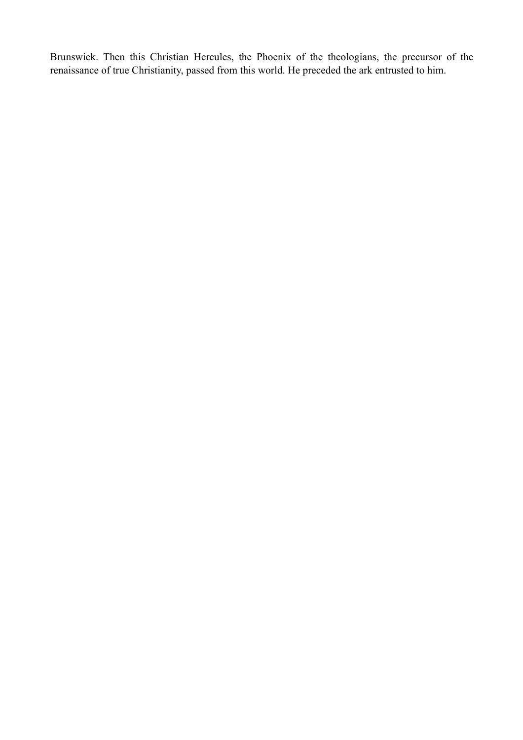Brunswick. Then this Christian Hercules, the Phoenix of the theologians, the precursor of the renaissance of true Christianity, passed from this world. He preceded the ark entrusted to him.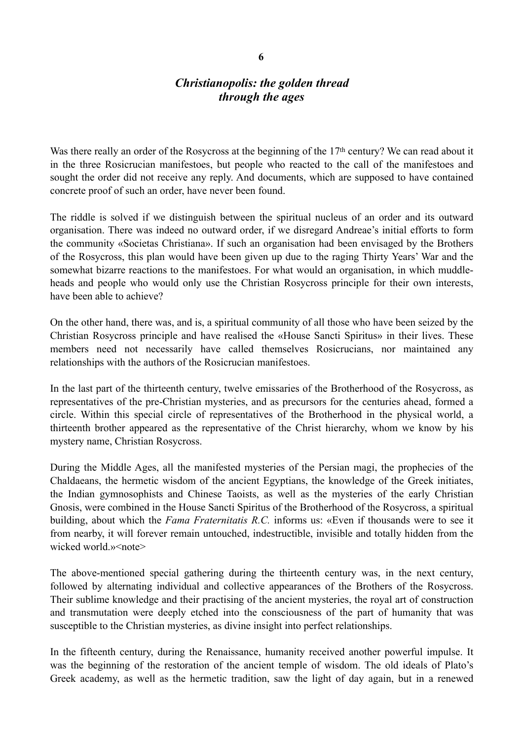# *Christianopolis: the golden thread through the ages*

Was there really an order of the Rosycross at the beginning of the 17<sup>th</sup> century? We can read about it in the three Rosicrucian manifestoes, but people who reacted to the call of the manifestoes and sought the order did not receive any reply. And documents, which are supposed to have contained concrete proof of such an order, have never been found.

The riddle is solved if we distinguish between the spiritual nucleus of an order and its outward organisation. There was indeed no outward order, if we disregard Andreae's initial efforts to form the community «Societas Christiana». If such an organisation had been envisaged by the Brothers of the Rosycross, this plan would have been given up due to the raging Thirty Years' War and the somewhat bizarre reactions to the manifestoes. For what would an organisation, in which muddleheads and people who would only use the Christian Rosycross principle for their own interests, have been able to achieve?

On the other hand, there was, and is, a spiritual community of all those who have been seized by the Christian Rosycross principle and have realised the «House Sancti Spiritus» in their lives. These members need not necessarily have called themselves Rosicrucians, nor maintained any relationships with the authors of the Rosicrucian manifestoes.

In the last part of the thirteenth century, twelve emissaries of the Brotherhood of the Rosycross, as representatives of the pre-Christian mysteries, and as precursors for the centuries ahead, formed a circle. Within this special circle of representatives of the Brotherhood in the physical world, a thirteenth brother appeared as the representative of the Christ hierarchy, whom we know by his mystery name, Christian Rosycross.

During the Middle Ages, all the manifested mysteries of the Persian magi, the prophecies of the Chaldaeans, the hermetic wisdom of the ancient Egyptians, the knowledge of the Greek initiates, the Indian gymnosophists and Chinese Taoists, as well as the mysteries of the early Christian Gnosis, were combined in the House Sancti Spiritus of the Brotherhood of the Rosycross, a spiritual building, about which the *Fama Fraternitatis R.C.* informs us: «Even if thousands were to see it from nearby, it will forever remain untouched, indestructible, invisible and totally hidden from the wicked world.»<note>

The above-mentioned special gathering during the thirteenth century was, in the next century, followed by alternating individual and collective appearances of the Brothers of the Rosycross. Their sublime knowledge and their practising of the ancient mysteries, the royal art of construction and transmutation were deeply etched into the consciousness of the part of humanity that was susceptible to the Christian mysteries, as divine insight into perfect relationships.

In the fifteenth century, during the Renaissance, humanity received another powerful impulse. It was the beginning of the restoration of the ancient temple of wisdom. The old ideals of Plato's Greek academy, as well as the hermetic tradition, saw the light of day again, but in a renewed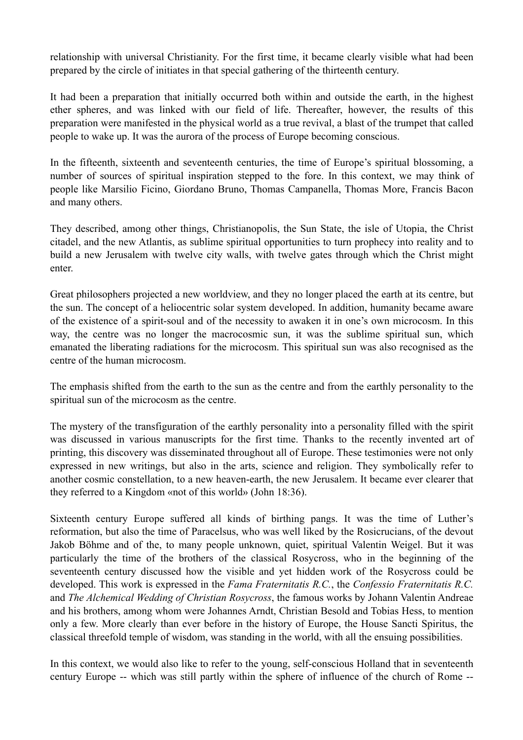relationship with universal Christianity. For the first time, it became clearly visible what had been prepared by the circle of initiates in that special gathering of the thirteenth century.

It had been a preparation that initially occurred both within and outside the earth, in the highest ether spheres, and was linked with our field of life. Thereafter, however, the results of this preparation were manifested in the physical world as a true revival, a blast of the trumpet that called people to wake up. It was the aurora of the process of Europe becoming conscious.

In the fifteenth, sixteenth and seventeenth centuries, the time of Europe's spiritual blossoming, a number of sources of spiritual inspiration stepped to the fore. In this context, we may think of people like Marsilio Ficino, Giordano Bruno, Thomas Campanella, Thomas More, Francis Bacon and many others.

They described, among other things, Christianopolis, the Sun State, the isle of Utopia, the Christ citadel, and the new Atlantis, as sublime spiritual opportunities to turn prophecy into reality and to build a new Jerusalem with twelve city walls, with twelve gates through which the Christ might enter.

Great philosophers projected a new worldview, and they no longer placed the earth at its centre, but the sun. The concept of a heliocentric solar system developed. In addition, humanity became aware of the existence of a spirit-soul and of the necessity to awaken it in one's own microcosm. In this way, the centre was no longer the macrocosmic sun, it was the sublime spiritual sun, which emanated the liberating radiations for the microcosm. This spiritual sun was also recognised as the centre of the human microcosm.

The emphasis shifted from the earth to the sun as the centre and from the earthly personality to the spiritual sun of the microcosm as the centre.

The mystery of the transfiguration of the earthly personality into a personality filled with the spirit was discussed in various manuscripts for the first time. Thanks to the recently invented art of printing, this discovery was disseminated throughout all of Europe. These testimonies were not only expressed in new writings, but also in the arts, science and religion. They symbolically refer to another cosmic constellation, to a new heaven-earth, the new Jerusalem. It became ever clearer that they referred to a Kingdom «not of this world» (John 18:36).

Sixteenth century Europe suffered all kinds of birthing pangs. It was the time of Luther's reformation, but also the time of Paracelsus, who was well liked by the Rosicrucians, of the devout Jakob Böhme and of the, to many people unknown, quiet, spiritual Valentin Weigel. But it was particularly the time of the brothers of the classical Rosycross, who in the beginning of the seventeenth century discussed how the visible and yet hidden work of the Rosycross could be developed. This work is expressed in the *Fama Fraternitatis R.C.*, the *Confessio Fraternitatis R.C.* and *The Alchemical Wedding of Christian Rosycross*, the famous works by Johann Valentin Andreae and his brothers, among whom were Johannes Arndt, Christian Besold and Tobias Hess, to mention only a few. More clearly than ever before in the history of Europe, the House Sancti Spiritus, the classical threefold temple of wisdom, was standing in the world, with all the ensuing possibilities.

In this context, we would also like to refer to the young, self-conscious Holland that in seventeenth century Europe -- which was still partly within the sphere of influence of the church of Rome --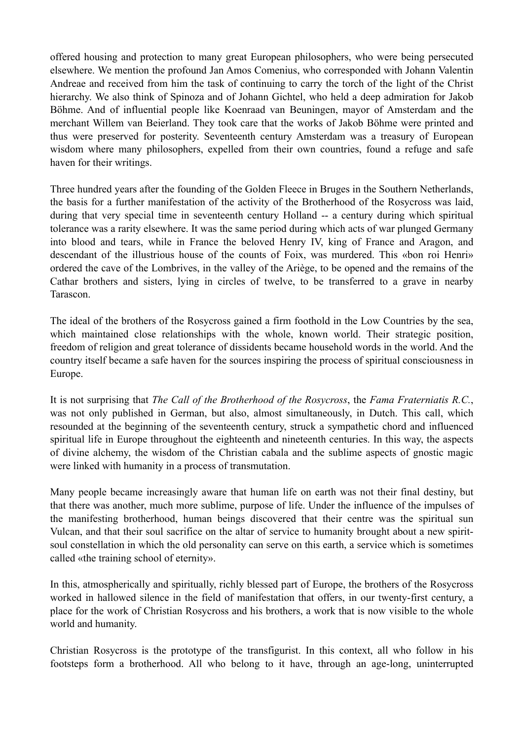offered housing and protection to many great European philosophers, who were being persecuted elsewhere. We mention the profound Jan Amos Comenius, who corresponded with Johann Valentin Andreae and received from him the task of continuing to carry the torch of the light of the Christ hierarchy. We also think of Spinoza and of Johann Gichtel, who held a deep admiration for Jakob Böhme. And of influential people like Koenraad van Beuningen, mayor of Amsterdam and the merchant Willem van Beierland. They took care that the works of Jakob Böhme were printed and thus were preserved for posterity. Seventeenth century Amsterdam was a treasury of European wisdom where many philosophers, expelled from their own countries, found a refuge and safe haven for their writings.

Three hundred years after the founding of the Golden Fleece in Bruges in the Southern Netherlands, the basis for a further manifestation of the activity of the Brotherhood of the Rosycross was laid, during that very special time in seventeenth century Holland -- a century during which spiritual tolerance was a rarity elsewhere. It was the same period during which acts of war plunged Germany into blood and tears, while in France the beloved Henry IV, king of France and Aragon, and descendant of the illustrious house of the counts of Foix, was murdered. This «bon roi Henri» ordered the cave of the Lombrives, in the valley of the Ariège, to be opened and the remains of the Cathar brothers and sisters, lying in circles of twelve, to be transferred to a grave in nearby Tarascon.

The ideal of the brothers of the Rosycross gained a firm foothold in the Low Countries by the sea, which maintained close relationships with the whole, known world. Their strategic position, freedom of religion and great tolerance of dissidents became household words in the world. And the country itself became a safe haven for the sources inspiring the process of spiritual consciousness in Europe.

It is not surprising that *The Call of the Brotherhood of the Rosycross*, the *Fama Fraterniatis R.C.*, was not only published in German, but also, almost simultaneously, in Dutch. This call, which resounded at the beginning of the seventeenth century, struck a sympathetic chord and influenced spiritual life in Europe throughout the eighteenth and nineteenth centuries. In this way, the aspects of divine alchemy, the wisdom of the Christian cabala and the sublime aspects of gnostic magic were linked with humanity in a process of transmutation.

Many people became increasingly aware that human life on earth was not their final destiny, but that there was another, much more sublime, purpose of life. Under the influence of the impulses of the manifesting brotherhood, human beings discovered that their centre was the spiritual sun Vulcan, and that their soul sacrifice on the altar of service to humanity brought about a new spiritsoul constellation in which the old personality can serve on this earth, a service which is sometimes called «the training school of eternity».

In this, atmospherically and spiritually, richly blessed part of Europe, the brothers of the Rosycross worked in hallowed silence in the field of manifestation that offers, in our twenty-first century, a place for the work of Christian Rosycross and his brothers, a work that is now visible to the whole world and humanity.

Christian Rosycross is the prototype of the transfigurist. In this context, all who follow in his footsteps form a brotherhood. All who belong to it have, through an age-long, uninterrupted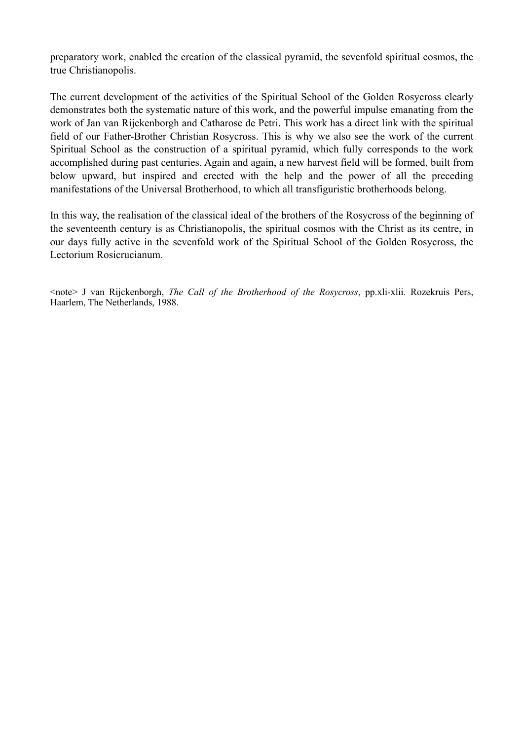preparatory work, enabled the creation of the classical pyramid, the sevenfold spiritual cosmos, the true Christianopolis.

The current development of the activities of the Spiritual School of the Golden Rosycross clearly demonstrates both the systematic nature of this work, and the powerful impulse emanating from the work of Jan van Rijckenborgh and Catharose de Petri. This work has a direct link with the spiritual field of our Father-Brother Christian Rosycross. This is why we also see the work of the current Spiritual School as the construction of a spiritual pyramid, which fully corresponds to the work accomplished during past centuries. Again and again, a new harvest field will be formed, built from below upward, but inspired and erected with the help and the power of all the preceding manifestations of the Universal Brotherhood, to which all transfiguristic brotherhoods belong.

In this way, the realisation of the classical ideal of the brothers of the Rosycross of the beginning of the seventeenth century is as Christianopolis, the spiritual cosmos with the Christ as its centre, in our days fully active in the sevenfold work of the Spiritual School of the Golden Rosycross, the Lectorium Rosicrucianum.

<note> J van Rijckenborgh, *The Call of the Brotherhood of the Rosycross*, pp.xli-xlii. Rozekruis Pers, Haarlem, The Netherlands, 1988.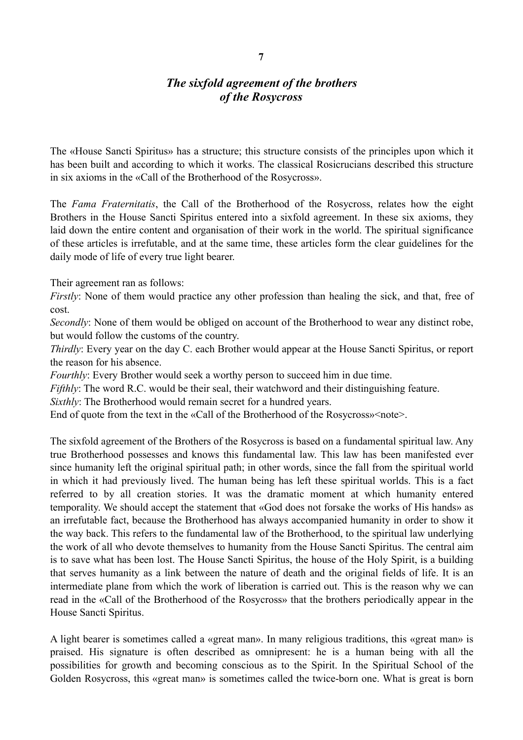# *The sixfold agreement of the brothers of the Rosycross*

The «House Sancti Spiritus» has a structure; this structure consists of the principles upon which it has been built and according to which it works. The classical Rosicrucians described this structure in six axioms in the «Call of the Brotherhood of the Rosycross».

The *Fama Fraternitatis*, the Call of the Brotherhood of the Rosycross, relates how the eight Brothers in the House Sancti Spiritus entered into a sixfold agreement. In these six axioms, they laid down the entire content and organisation of their work in the world. The spiritual significance of these articles is irrefutable, and at the same time, these articles form the clear guidelines for the daily mode of life of every true light bearer.

Their agreement ran as follows:

*Firstly*: None of them would practice any other profession than healing the sick, and that, free of cost.

*Secondly*: None of them would be obliged on account of the Brotherhood to wear any distinct robe, but would follow the customs of the country.

*Thirdly*: Every year on the day C. each Brother would appear at the House Sancti Spiritus, or report the reason for his absence.

*Fourthly:* Every Brother would seek a worthy person to succeed him in due time.

*Fifthly*: The word R.C. would be their seal, their watchword and their distinguishing feature.

*Sixthly*: The Brotherhood would remain secret for a hundred years.

End of quote from the text in the «Call of the Brotherhood of the Rosycross» < note >.

The sixfold agreement of the Brothers of the Rosycross is based on a fundamental spiritual law. Any true Brotherhood possesses and knows this fundamental law. This law has been manifested ever since humanity left the original spiritual path; in other words, since the fall from the spiritual world in which it had previously lived. The human being has left these spiritual worlds. This is a fact referred to by all creation stories. It was the dramatic moment at which humanity entered temporality. We should accept the statement that «God does not forsake the works of His hands» as an irrefutable fact, because the Brotherhood has always accompanied humanity in order to show it the way back. This refers to the fundamental law of the Brotherhood, to the spiritual law underlying the work of all who devote themselves to humanity from the House Sancti Spiritus. The central aim is to save what has been lost. The House Sancti Spiritus, the house of the Holy Spirit, is a building that serves humanity as a link between the nature of death and the original fields of life. It is an intermediate plane from which the work of liberation is carried out. This is the reason why we can read in the «Call of the Brotherhood of the Rosycross» that the brothers periodically appear in the House Sancti Spiritus.

A light bearer is sometimes called a «great man». In many religious traditions, this «great man» is praised. His signature is often described as omnipresent: he is a human being with all the possibilities for growth and becoming conscious as to the Spirit. In the Spiritual School of the Golden Rosycross, this «great man» is sometimes called the twice-born one. What is great is born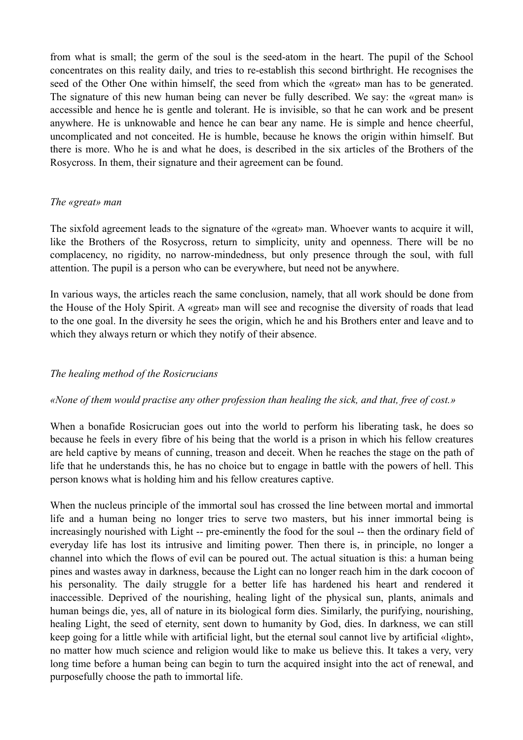from what is small; the germ of the soul is the seed-atom in the heart. The pupil of the School concentrates on this reality daily, and tries to re-establish this second birthright. He recognises the seed of the Other One within himself, the seed from which the «great» man has to be generated. The signature of this new human being can never be fully described. We say: the «great man» is accessible and hence he is gentle and tolerant. He is invisible, so that he can work and be present anywhere. He is unknowable and hence he can bear any name. He is simple and hence cheerful, uncomplicated and not conceited. He is humble, because he knows the origin within himself. But there is more. Who he is and what he does, is described in the six articles of the Brothers of the Rosycross. In them, their signature and their agreement can be found.

#### *The «great» man*

The sixfold agreement leads to the signature of the «great» man. Whoever wants to acquire it will, like the Brothers of the Rosycross, return to simplicity, unity and openness. There will be no complacency, no rigidity, no narrow-mindedness, but only presence through the soul, with full attention. The pupil is a person who can be everywhere, but need not be anywhere.

In various ways, the articles reach the same conclusion, namely, that all work should be done from the House of the Holy Spirit. A «great» man will see and recognise the diversity of roads that lead to the one goal. In the diversity he sees the origin, which he and his Brothers enter and leave and to which they always return or which they notify of their absence.

#### *The healing method of the Rosicrucians*

#### *«None of them would practise any other profession than healing the sick, and that, free of cost.»*

When a bonafide Rosicrucian goes out into the world to perform his liberating task, he does so because he feels in every fibre of his being that the world is a prison in which his fellow creatures are held captive by means of cunning, treason and deceit. When he reaches the stage on the path of life that he understands this, he has no choice but to engage in battle with the powers of hell. This person knows what is holding him and his fellow creatures captive.

When the nucleus principle of the immortal soul has crossed the line between mortal and immortal life and a human being no longer tries to serve two masters, but his inner immortal being is increasingly nourished with Light -- pre-eminently the food for the soul -- then the ordinary field of everyday life has lost its intrusive and limiting power. Then there is, in principle, no longer a channel into which the flows of evil can be poured out. The actual situation is this: a human being pines and wastes away in darkness, because the Light can no longer reach him in the dark cocoon of his personality. The daily struggle for a better life has hardened his heart and rendered it inaccessible. Deprived of the nourishing, healing light of the physical sun, plants, animals and human beings die, yes, all of nature in its biological form dies. Similarly, the purifying, nourishing, healing Light, the seed of eternity, sent down to humanity by God, dies. In darkness, we can still keep going for a little while with artificial light, but the eternal soul cannot live by artificial «light», no matter how much science and religion would like to make us believe this. It takes a very, very long time before a human being can begin to turn the acquired insight into the act of renewal, and purposefully choose the path to immortal life.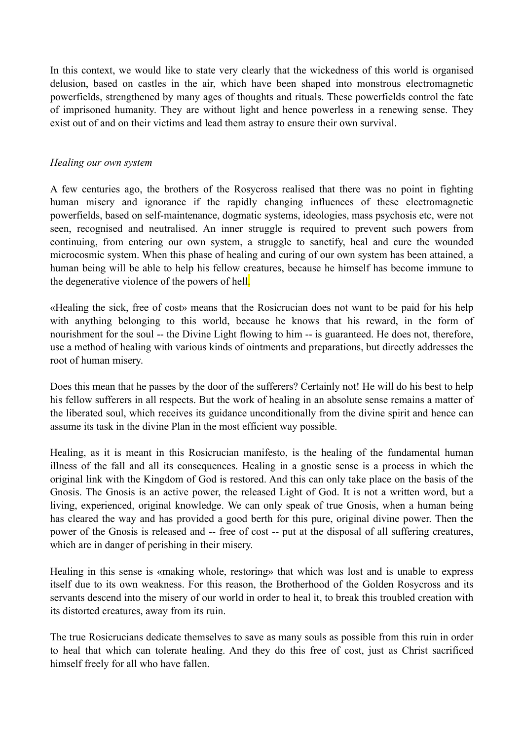In this context, we would like to state very clearly that the wickedness of this world is organised delusion, based on castles in the air, which have been shaped into monstrous electromagnetic powerfields, strengthened by many ages of thoughts and rituals. These powerfields control the fate of imprisoned humanity. They are without light and hence powerless in a renewing sense. They exist out of and on their victims and lead them astray to ensure their own survival.

#### *Healing our own system*

A few centuries ago, the brothers of the Rosycross realised that there was no point in fighting human misery and ignorance if the rapidly changing influences of these electromagnetic powerfields, based on self-maintenance, dogmatic systems, ideologies, mass psychosis etc, were not seen, recognised and neutralised. An inner struggle is required to prevent such powers from continuing, from entering our own system, a struggle to sanctify, heal and cure the wounded microcosmic system. When this phase of healing and curing of our own system has been attained, a human being will be able to help his fellow creatures, because he himself has become immune to the degenerative violence of the powers of hell.

«Healing the sick, free of cost» means that the Rosicrucian does not want to be paid for his help with anything belonging to this world, because he knows that his reward, in the form of nourishment for the soul -- the Divine Light flowing to him -- is guaranteed. He does not, therefore, use a method of healing with various kinds of ointments and preparations, but directly addresses the root of human misery.

Does this mean that he passes by the door of the sufferers? Certainly not! He will do his best to help his fellow sufferers in all respects. But the work of healing in an absolute sense remains a matter of the liberated soul, which receives its guidance unconditionally from the divine spirit and hence can assume its task in the divine Plan in the most efficient way possible.

Healing, as it is meant in this Rosicrucian manifesto, is the healing of the fundamental human illness of the fall and all its consequences. Healing in a gnostic sense is a process in which the original link with the Kingdom of God is restored. And this can only take place on the basis of the Gnosis. The Gnosis is an active power, the released Light of God. It is not a written word, but a living, experienced, original knowledge. We can only speak of true Gnosis, when a human being has cleared the way and has provided a good berth for this pure, original divine power. Then the power of the Gnosis is released and -- free of cost -- put at the disposal of all suffering creatures, which are in danger of perishing in their misery.

Healing in this sense is «making whole, restoring» that which was lost and is unable to express itself due to its own weakness. For this reason, the Brotherhood of the Golden Rosycross and its servants descend into the misery of our world in order to heal it, to break this troubled creation with its distorted creatures, away from its ruin.

The true Rosicrucians dedicate themselves to save as many souls as possible from this ruin in order to heal that which can tolerate healing. And they do this free of cost, just as Christ sacrificed himself freely for all who have fallen.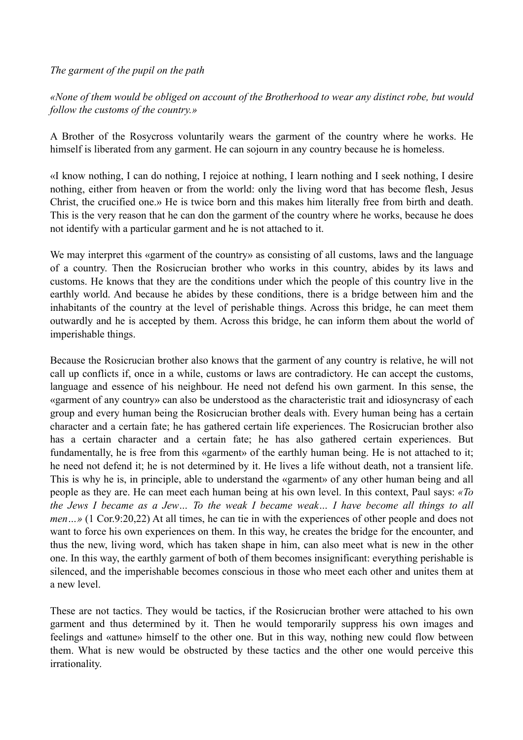#### *The garment of the pupil on the path*

*«None of them would be obliged on account of the Brotherhood to wear any distinct robe, but would follow the customs of the country.»* 

A Brother of the Rosycross voluntarily wears the garment of the country where he works. He himself is liberated from any garment. He can sojourn in any country because he is homeless.

«I know nothing, I can do nothing, I rejoice at nothing, I learn nothing and I seek nothing, I desire nothing, either from heaven or from the world: only the living word that has become flesh, Jesus Christ, the crucified one.» He is twice born and this makes him literally free from birth and death. This is the very reason that he can don the garment of the country where he works, because he does not identify with a particular garment and he is not attached to it.

We may interpret this «garment of the country» as consisting of all customs, laws and the language of a country. Then the Rosicrucian brother who works in this country, abides by its laws and customs. He knows that they are the conditions under which the people of this country live in the earthly world. And because he abides by these conditions, there is a bridge between him and the inhabitants of the country at the level of perishable things. Across this bridge, he can meet them outwardly and he is accepted by them. Across this bridge, he can inform them about the world of imperishable things.

Because the Rosicrucian brother also knows that the garment of any country is relative, he will not call up conflicts if, once in a while, customs or laws are contradictory. He can accept the customs, language and essence of his neighbour. He need not defend his own garment. In this sense, the «garment of any country» can also be understood as the characteristic trait and idiosyncrasy of each group and every human being the Rosicrucian brother deals with. Every human being has a certain character and a certain fate; he has gathered certain life experiences. The Rosicrucian brother also has a certain character and a certain fate; he has also gathered certain experiences. But fundamentally, he is free from this «garment» of the earthly human being. He is not attached to it; he need not defend it; he is not determined by it. He lives a life without death, not a transient life. This is why he is, in principle, able to understand the «garment» of any other human being and all people as they are. He can meet each human being at his own level. In this context, Paul says: *«To the Jews I became as a Jew… To the weak I became weak… I have become all things to all men*...» (1 Cor.9:20.22) At all times, he can tie in with the experiences of other people and does not want to force his own experiences on them. In this way, he creates the bridge for the encounter, and thus the new, living word, which has taken shape in him, can also meet what is new in the other one. In this way, the earthly garment of both of them becomes insignificant: everything perishable is silenced, and the imperishable becomes conscious in those who meet each other and unites them at a new level.

These are not tactics. They would be tactics, if the Rosicrucian brother were attached to his own garment and thus determined by it. Then he would temporarily suppress his own images and feelings and «attune» himself to the other one. But in this way, nothing new could flow between them. What is new would be obstructed by these tactics and the other one would perceive this irrationality.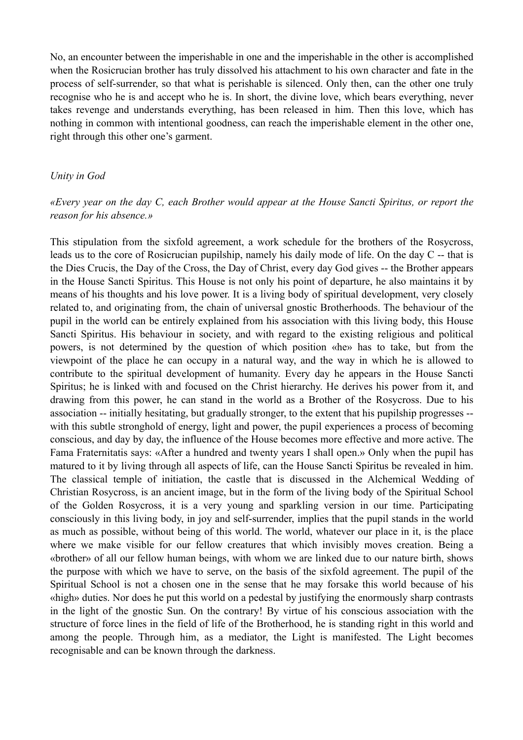No, an encounter between the imperishable in one and the imperishable in the other is accomplished when the Rosicrucian brother has truly dissolved his attachment to his own character and fate in the process of self-surrender, so that what is perishable is silenced. Only then, can the other one truly recognise who he is and accept who he is. In short, the divine love, which bears everything, never takes revenge and understands everything, has been released in him. Then this love, which has nothing in common with intentional goodness, can reach the imperishable element in the other one, right through this other one's garment.

#### *Unity in God*

#### *«Every year on the day C, each Brother would appear at the House Sancti Spiritus, or report the reason for his absence.»*

This stipulation from the sixfold agreement, a work schedule for the brothers of the Rosycross, leads us to the core of Rosicrucian pupilship, namely his daily mode of life. On the day C -- that is the Dies Crucis, the Day of the Cross, the Day of Christ, every day God gives -- the Brother appears in the House Sancti Spiritus. This House is not only his point of departure, he also maintains it by means of his thoughts and his love power. It is a living body of spiritual development, very closely related to, and originating from, the chain of universal gnostic Brotherhoods. The behaviour of the pupil in the world can be entirely explained from his association with this living body, this House Sancti Spiritus. His behaviour in society, and with regard to the existing religious and political powers, is not determined by the question of which position «he» has to take, but from the viewpoint of the place he can occupy in a natural way, and the way in which he is allowed to contribute to the spiritual development of humanity. Every day he appears in the House Sancti Spiritus; he is linked with and focused on the Christ hierarchy. He derives his power from it, and drawing from this power, he can stand in the world as a Brother of the Rosycross. Due to his association -- initially hesitating, but gradually stronger, to the extent that his pupilship progresses - with this subtle stronghold of energy, light and power, the pupil experiences a process of becoming conscious, and day by day, the influence of the House becomes more effective and more active. The Fama Fraternitatis says: «After a hundred and twenty years I shall open.» Only when the pupil has matured to it by living through all aspects of life, can the House Sancti Spiritus be revealed in him. The classical temple of initiation, the castle that is discussed in the Alchemical Wedding of Christian Rosycross, is an ancient image, but in the form of the living body of the Spiritual School of the Golden Rosycross, it is a very young and sparkling version in our time. Participating consciously in this living body, in joy and self-surrender, implies that the pupil stands in the world as much as possible, without being of this world. The world, whatever our place in it, is the place where we make visible for our fellow creatures that which invisibly moves creation. Being a «brother» of all our fellow human beings, with whom we are linked due to our nature birth, shows the purpose with which we have to serve, on the basis of the sixfold agreement. The pupil of the Spiritual School is not a chosen one in the sense that he may forsake this world because of his «high» duties. Nor does he put this world on a pedestal by justifying the enormously sharp contrasts in the light of the gnostic Sun. On the contrary! By virtue of his conscious association with the structure of force lines in the field of life of the Brotherhood, he is standing right in this world and among the people. Through him, as a mediator, the Light is manifested. The Light becomes recognisable and can be known through the darkness.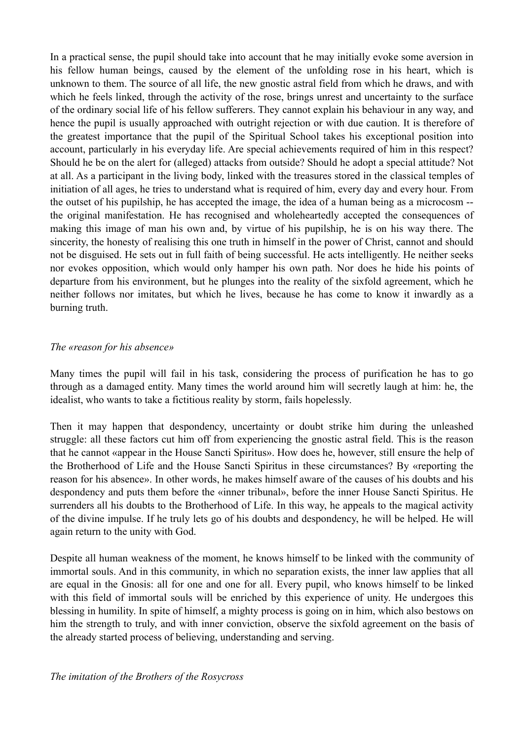In a practical sense, the pupil should take into account that he may initially evoke some aversion in his fellow human beings, caused by the element of the unfolding rose in his heart, which is unknown to them. The source of all life, the new gnostic astral field from which he draws, and with which he feels linked, through the activity of the rose, brings unrest and uncertainty to the surface of the ordinary social life of his fellow sufferers. They cannot explain his behaviour in any way, and hence the pupil is usually approached with outright rejection or with due caution. It is therefore of the greatest importance that the pupil of the Spiritual School takes his exceptional position into account, particularly in his everyday life. Are special achievements required of him in this respect? Should he be on the alert for (alleged) attacks from outside? Should he adopt a special attitude? Not at all. As a participant in the living body, linked with the treasures stored in the classical temples of initiation of all ages, he tries to understand what is required of him, every day and every hour. From the outset of his pupilship, he has accepted the image, the idea of a human being as a microcosm - the original manifestation. He has recognised and wholeheartedly accepted the consequences of making this image of man his own and, by virtue of his pupilship, he is on his way there. The sincerity, the honesty of realising this one truth in himself in the power of Christ, cannot and should not be disguised. He sets out in full faith of being successful. He acts intelligently. He neither seeks nor evokes opposition, which would only hamper his own path. Nor does he hide his points of departure from his environment, but he plunges into the reality of the sixfold agreement, which he neither follows nor imitates, but which he lives, because he has come to know it inwardly as a burning truth.

#### *The «reason for his absence»*

Many times the pupil will fail in his task, considering the process of purification he has to go through as a damaged entity. Many times the world around him will secretly laugh at him: he, the idealist, who wants to take a fictitious reality by storm, fails hopelessly.

Then it may happen that despondency, uncertainty or doubt strike him during the unleashed struggle: all these factors cut him off from experiencing the gnostic astral field. This is the reason that he cannot «appear in the House Sancti Spiritus». How does he, however, still ensure the help of the Brotherhood of Life and the House Sancti Spiritus in these circumstances? By «reporting the reason for his absence». In other words, he makes himself aware of the causes of his doubts and his despondency and puts them before the «inner tribunal», before the inner House Sancti Spiritus. He surrenders all his doubts to the Brotherhood of Life. In this way, he appeals to the magical activity of the divine impulse. If he truly lets go of his doubts and despondency, he will be helped. He will again return to the unity with God.

Despite all human weakness of the moment, he knows himself to be linked with the community of immortal souls. And in this community, in which no separation exists, the inner law applies that all are equal in the Gnosis: all for one and one for all. Every pupil, who knows himself to be linked with this field of immortal souls will be enriched by this experience of unity. He undergoes this blessing in humility. In spite of himself, a mighty process is going on in him, which also bestows on him the strength to truly, and with inner conviction, observe the sixfold agreement on the basis of the already started process of believing, understanding and serving.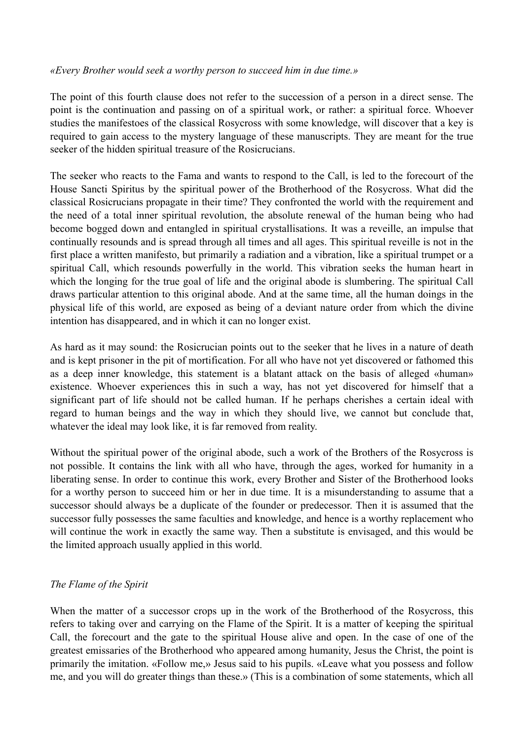#### *«Every Brother would seek a worthy person to succeed him in due time.»*

The point of this fourth clause does not refer to the succession of a person in a direct sense. The point is the continuation and passing on of a spiritual work, or rather: a spiritual force. Whoever studies the manifestoes of the classical Rosycross with some knowledge, will discover that a key is required to gain access to the mystery language of these manuscripts. They are meant for the true seeker of the hidden spiritual treasure of the Rosicrucians.

The seeker who reacts to the Fama and wants to respond to the Call, is led to the forecourt of the House Sancti Spiritus by the spiritual power of the Brotherhood of the Rosycross. What did the classical Rosicrucians propagate in their time? They confronted the world with the requirement and the need of a total inner spiritual revolution, the absolute renewal of the human being who had become bogged down and entangled in spiritual crystallisations. It was a reveille, an impulse that continually resounds and is spread through all times and all ages. This spiritual reveille is not in the first place a written manifesto, but primarily a radiation and a vibration, like a spiritual trumpet or a spiritual Call, which resounds powerfully in the world. This vibration seeks the human heart in which the longing for the true goal of life and the original abode is slumbering. The spiritual Call draws particular attention to this original abode. And at the same time, all the human doings in the physical life of this world, are exposed as being of a deviant nature order from which the divine intention has disappeared, and in which it can no longer exist.

As hard as it may sound: the Rosicrucian points out to the seeker that he lives in a nature of death and is kept prisoner in the pit of mortification. For all who have not yet discovered or fathomed this as a deep inner knowledge, this statement is a blatant attack on the basis of alleged «human» existence. Whoever experiences this in such a way, has not yet discovered for himself that a significant part of life should not be called human. If he perhaps cherishes a certain ideal with regard to human beings and the way in which they should live, we cannot but conclude that, whatever the ideal may look like, it is far removed from reality.

Without the spiritual power of the original abode, such a work of the Brothers of the Rosycross is not possible. It contains the link with all who have, through the ages, worked for humanity in a liberating sense. In order to continue this work, every Brother and Sister of the Brotherhood looks for a worthy person to succeed him or her in due time. It is a misunderstanding to assume that a successor should always be a duplicate of the founder or predecessor. Then it is assumed that the successor fully possesses the same faculties and knowledge, and hence is a worthy replacement who will continue the work in exactly the same way. Then a substitute is envisaged, and this would be the limited approach usually applied in this world.

### *The Flame of the Spirit*

When the matter of a successor crops up in the work of the Brotherhood of the Rosycross, this refers to taking over and carrying on the Flame of the Spirit. It is a matter of keeping the spiritual Call, the forecourt and the gate to the spiritual House alive and open. In the case of one of the greatest emissaries of the Brotherhood who appeared among humanity, Jesus the Christ, the point is primarily the imitation. «Follow me,» Jesus said to his pupils. «Leave what you possess and follow me, and you will do greater things than these.» (This is a combination of some statements, which all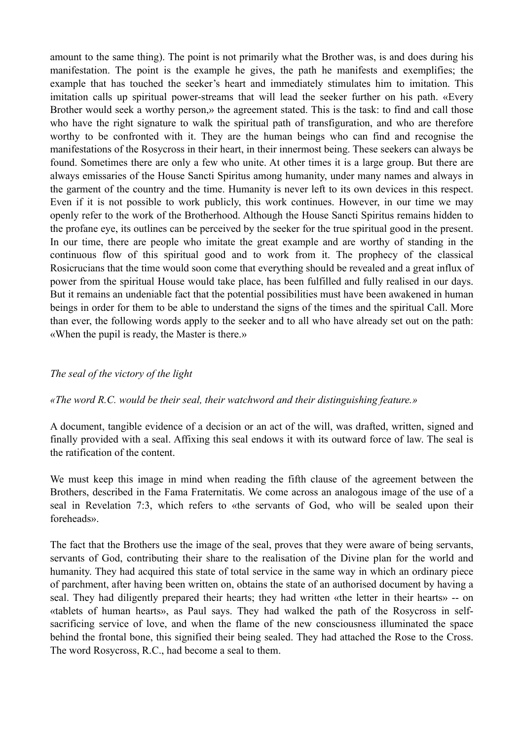amount to the same thing). The point is not primarily what the Brother was, is and does during his manifestation. The point is the example he gives, the path he manifests and exemplifies; the example that has touched the seeker's heart and immediately stimulates him to imitation. This imitation calls up spiritual power-streams that will lead the seeker further on his path. «Every Brother would seek a worthy person,» the agreement stated. This is the task: to find and call those who have the right signature to walk the spiritual path of transfiguration, and who are therefore worthy to be confronted with it. They are the human beings who can find and recognise the manifestations of the Rosycross in their heart, in their innermost being. These seekers can always be found. Sometimes there are only a few who unite. At other times it is a large group. But there are always emissaries of the House Sancti Spiritus among humanity, under many names and always in the garment of the country and the time. Humanity is never left to its own devices in this respect. Even if it is not possible to work publicly, this work continues. However, in our time we may openly refer to the work of the Brotherhood. Although the House Sancti Spiritus remains hidden to the profane eye, its outlines can be perceived by the seeker for the true spiritual good in the present. In our time, there are people who imitate the great example and are worthy of standing in the continuous flow of this spiritual good and to work from it. The prophecy of the classical Rosicrucians that the time would soon come that everything should be revealed and a great influx of power from the spiritual House would take place, has been fulfilled and fully realised in our days. But it remains an undeniable fact that the potential possibilities must have been awakened in human beings in order for them to be able to understand the signs of the times and the spiritual Call. More than ever, the following words apply to the seeker and to all who have already set out on the path: «When the pupil is ready, the Master is there.»

### *The seal of the victory of the light*

#### *«The word R.C. would be their seal, their watchword and their distinguishing feature.»*

A document, tangible evidence of a decision or an act of the will, was drafted, written, signed and finally provided with a seal. Affixing this seal endows it with its outward force of law. The seal is the ratification of the content.

We must keep this image in mind when reading the fifth clause of the agreement between the Brothers, described in the Fama Fraternitatis. We come across an analogous image of the use of a seal in Revelation 7:3, which refers to «the servants of God, who will be sealed upon their foreheads».

The fact that the Brothers use the image of the seal, proves that they were aware of being servants, servants of God, contributing their share to the realisation of the Divine plan for the world and humanity. They had acquired this state of total service in the same way in which an ordinary piece of parchment, after having been written on, obtains the state of an authorised document by having a seal. They had diligently prepared their hearts; they had written «the letter in their hearts» -- on «tablets of human hearts», as Paul says. They had walked the path of the Rosycross in selfsacrificing service of love, and when the flame of the new consciousness illuminated the space behind the frontal bone, this signified their being sealed. They had attached the Rose to the Cross. The word Rosycross, R.C., had become a seal to them.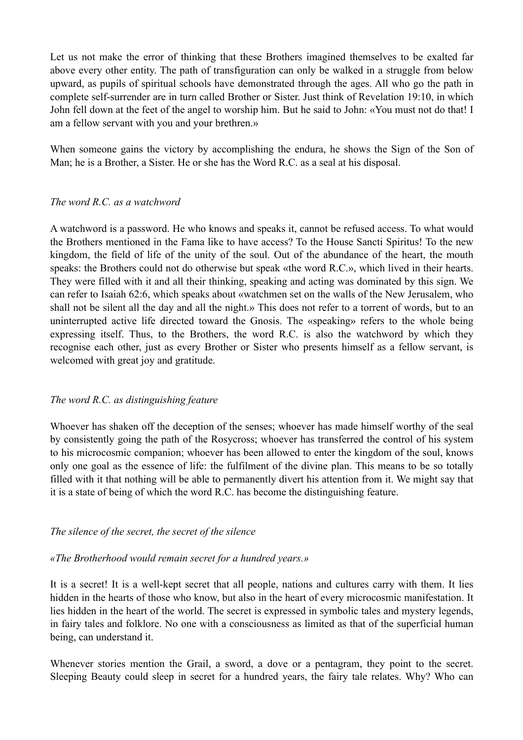Let us not make the error of thinking that these Brothers imagined themselves to be exalted far above every other entity. The path of transfiguration can only be walked in a struggle from below upward, as pupils of spiritual schools have demonstrated through the ages. All who go the path in complete self-surrender are in turn called Brother or Sister. Just think of Revelation 19:10, in which John fell down at the feet of the angel to worship him. But he said to John: «You must not do that! I am a fellow servant with you and your brethren.»

When someone gains the victory by accomplishing the endura, he shows the Sign of the Son of Man; he is a Brother, a Sister. He or she has the Word R.C. as a seal at his disposal.

### *The word R.C. as a watchword*

A watchword is a password. He who knows and speaks it, cannot be refused access. To what would the Brothers mentioned in the Fama like to have access? To the House Sancti Spiritus! To the new kingdom, the field of life of the unity of the soul. Out of the abundance of the heart, the mouth speaks: the Brothers could not do otherwise but speak «the word R.C.», which lived in their hearts. They were filled with it and all their thinking, speaking and acting was dominated by this sign. We can refer to Isaiah 62:6, which speaks about «watchmen set on the walls of the New Jerusalem, who shall not be silent all the day and all the night.» This does not refer to a torrent of words, but to an uninterrupted active life directed toward the Gnosis. The «speaking» refers to the whole being expressing itself. Thus, to the Brothers, the word R.C. is also the watchword by which they recognise each other, just as every Brother or Sister who presents himself as a fellow servant, is welcomed with great joy and gratitude.

### *The word R.C. as distinguishing feature*

Whoever has shaken off the deception of the senses; whoever has made himself worthy of the seal by consistently going the path of the Rosycross; whoever has transferred the control of his system to his microcosmic companion; whoever has been allowed to enter the kingdom of the soul, knows only one goal as the essence of life: the fulfilment of the divine plan. This means to be so totally filled with it that nothing will be able to permanently divert his attention from it. We might say that it is a state of being of which the word R.C. has become the distinguishing feature.

### *The silence of the secret, the secret of the silence*

### *«The Brotherhood would remain secret for a hundred years.»*

It is a secret! It is a well-kept secret that all people, nations and cultures carry with them. It lies hidden in the hearts of those who know, but also in the heart of every microcosmic manifestation. It lies hidden in the heart of the world. The secret is expressed in symbolic tales and mystery legends, in fairy tales and folklore. No one with a consciousness as limited as that of the superficial human being, can understand it.

Whenever stories mention the Grail, a sword, a dove or a pentagram, they point to the secret. Sleeping Beauty could sleep in secret for a hundred years, the fairy tale relates. Why? Who can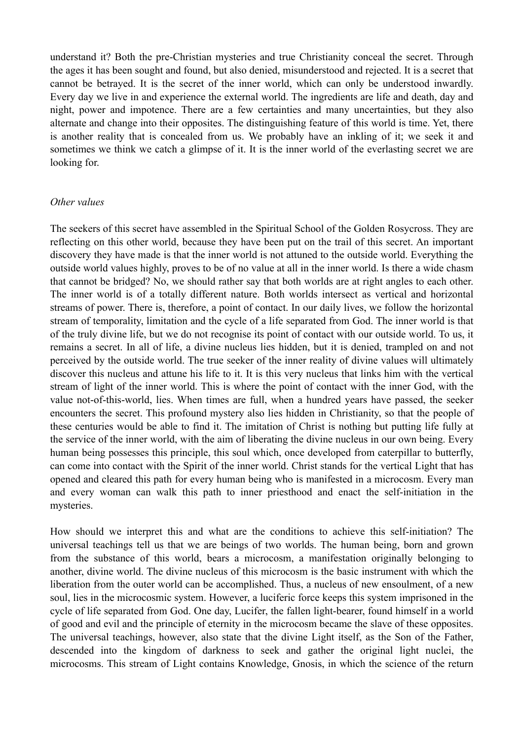understand it? Both the pre-Christian mysteries and true Christianity conceal the secret. Through the ages it has been sought and found, but also denied, misunderstood and rejected. It is a secret that cannot be betrayed. It is the secret of the inner world, which can only be understood inwardly. Every day we live in and experience the external world. The ingredients are life and death, day and night, power and impotence. There are a few certainties and many uncertainties, but they also alternate and change into their opposites. The distinguishing feature of this world is time. Yet, there is another reality that is concealed from us. We probably have an inkling of it; we seek it and sometimes we think we catch a glimpse of it. It is the inner world of the everlasting secret we are looking for.

#### *Other values*

The seekers of this secret have assembled in the Spiritual School of the Golden Rosycross. They are reflecting on this other world, because they have been put on the trail of this secret. An important discovery they have made is that the inner world is not attuned to the outside world. Everything the outside world values highly, proves to be of no value at all in the inner world. Is there a wide chasm that cannot be bridged? No, we should rather say that both worlds are at right angles to each other. The inner world is of a totally different nature. Both worlds intersect as vertical and horizontal streams of power. There is, therefore, a point of contact. In our daily lives, we follow the horizontal stream of temporality, limitation and the cycle of a life separated from God. The inner world is that of the truly divine life, but we do not recognise its point of contact with our outside world. To us, it remains a secret. In all of life, a divine nucleus lies hidden, but it is denied, trampled on and not perceived by the outside world. The true seeker of the inner reality of divine values will ultimately discover this nucleus and attune his life to it. It is this very nucleus that links him with the vertical stream of light of the inner world. This is where the point of contact with the inner God, with the value not-of-this-world, lies. When times are full, when a hundred years have passed, the seeker encounters the secret. This profound mystery also lies hidden in Christianity, so that the people of these centuries would be able to find it. The imitation of Christ is nothing but putting life fully at the service of the inner world, with the aim of liberating the divine nucleus in our own being. Every human being possesses this principle, this soul which, once developed from caterpillar to butterfly, can come into contact with the Spirit of the inner world. Christ stands for the vertical Light that has opened and cleared this path for every human being who is manifested in a microcosm. Every man and every woman can walk this path to inner priesthood and enact the self-initiation in the mysteries.

How should we interpret this and what are the conditions to achieve this self-initiation? The universal teachings tell us that we are beings of two worlds. The human being, born and grown from the substance of this world, bears a microcosm, a manifestation originally belonging to another, divine world. The divine nucleus of this microcosm is the basic instrument with which the liberation from the outer world can be accomplished. Thus, a nucleus of new ensoulment, of a new soul, lies in the microcosmic system. However, a luciferic force keeps this system imprisoned in the cycle of life separated from God. One day, Lucifer, the fallen light-bearer, found himself in a world of good and evil and the principle of eternity in the microcosm became the slave of these opposites. The universal teachings, however, also state that the divine Light itself, as the Son of the Father, descended into the kingdom of darkness to seek and gather the original light nuclei, the microcosms. This stream of Light contains Knowledge, Gnosis, in which the science of the return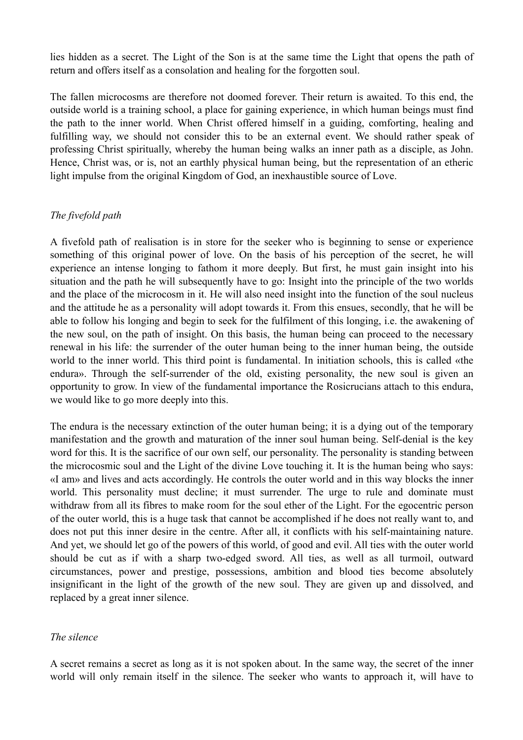lies hidden as a secret. The Light of the Son is at the same time the Light that opens the path of return and offers itself as a consolation and healing for the forgotten soul.

The fallen microcosms are therefore not doomed forever. Their return is awaited. To this end, the outside world is a training school, a place for gaining experience, in which human beings must find the path to the inner world. When Christ offered himself in a guiding, comforting, healing and fulfilling way, we should not consider this to be an external event. We should rather speak of professing Christ spiritually, whereby the human being walks an inner path as a disciple, as John. Hence, Christ was, or is, not an earthly physical human being, but the representation of an etheric light impulse from the original Kingdom of God, an inexhaustible source of Love.

### *The fivefold path*

A fivefold path of realisation is in store for the seeker who is beginning to sense or experience something of this original power of love. On the basis of his perception of the secret, he will experience an intense longing to fathom it more deeply. But first, he must gain insight into his situation and the path he will subsequently have to go: Insight into the principle of the two worlds and the place of the microcosm in it. He will also need insight into the function of the soul nucleus and the attitude he as a personality will adopt towards it. From this ensues, secondly, that he will be able to follow his longing and begin to seek for the fulfilment of this longing, i.e. the awakening of the new soul, on the path of insight. On this basis, the human being can proceed to the necessary renewal in his life: the surrender of the outer human being to the inner human being, the outside world to the inner world. This third point is fundamental. In initiation schools, this is called «the endura». Through the self-surrender of the old, existing personality, the new soul is given an opportunity to grow. In view of the fundamental importance the Rosicrucians attach to this endura, we would like to go more deeply into this.

The endura is the necessary extinction of the outer human being; it is a dying out of the temporary manifestation and the growth and maturation of the inner soul human being. Self-denial is the key word for this. It is the sacrifice of our own self, our personality. The personality is standing between the microcosmic soul and the Light of the divine Love touching it. It is the human being who says: «I am» and lives and acts accordingly. He controls the outer world and in this way blocks the inner world. This personality must decline; it must surrender. The urge to rule and dominate must withdraw from all its fibres to make room for the soul ether of the Light. For the egocentric person of the outer world, this is a huge task that cannot be accomplished if he does not really want to, and does not put this inner desire in the centre. After all, it conflicts with his self-maintaining nature. And yet, we should let go of the powers of this world, of good and evil. All ties with the outer world should be cut as if with a sharp two-edged sword. All ties, as well as all turmoil, outward circumstances, power and prestige, possessions, ambition and blood ties become absolutely insignificant in the light of the growth of the new soul. They are given up and dissolved, and replaced by a great inner silence.

### *The silence*

A secret remains a secret as long as it is not spoken about. In the same way, the secret of the inner world will only remain itself in the silence. The seeker who wants to approach it, will have to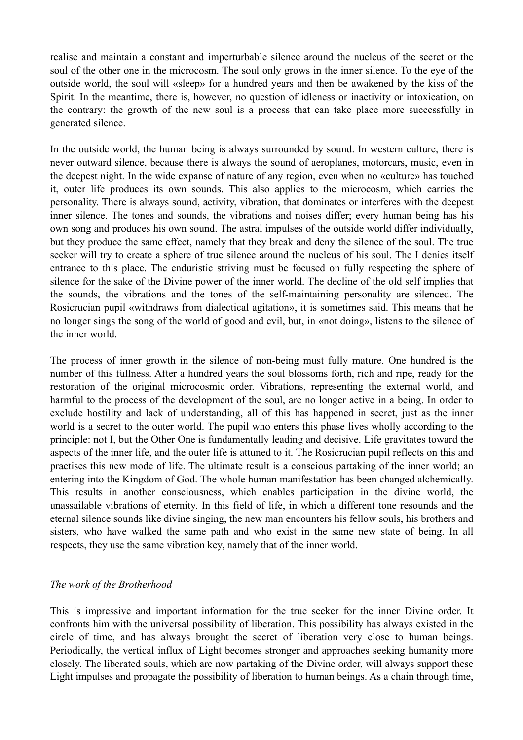realise and maintain a constant and imperturbable silence around the nucleus of the secret or the soul of the other one in the microcosm. The soul only grows in the inner silence. To the eye of the outside world, the soul will «sleep» for a hundred years and then be awakened by the kiss of the Spirit. In the meantime, there is, however, no question of idleness or inactivity or intoxication, on the contrary: the growth of the new soul is a process that can take place more successfully in generated silence.

In the outside world, the human being is always surrounded by sound. In western culture, there is never outward silence, because there is always the sound of aeroplanes, motorcars, music, even in the deepest night. In the wide expanse of nature of any region, even when no «culture» has touched it, outer life produces its own sounds. This also applies to the microcosm, which carries the personality. There is always sound, activity, vibration, that dominates or interferes with the deepest inner silence. The tones and sounds, the vibrations and noises differ; every human being has his own song and produces his own sound. The astral impulses of the outside world differ individually, but they produce the same effect, namely that they break and deny the silence of the soul. The true seeker will try to create a sphere of true silence around the nucleus of his soul. The I denies itself entrance to this place. The enduristic striving must be focused on fully respecting the sphere of silence for the sake of the Divine power of the inner world. The decline of the old self implies that the sounds, the vibrations and the tones of the self-maintaining personality are silenced. The Rosicrucian pupil «withdraws from dialectical agitation», it is sometimes said. This means that he no longer sings the song of the world of good and evil, but, in «not doing», listens to the silence of the inner world.

The process of inner growth in the silence of non-being must fully mature. One hundred is the number of this fullness. After a hundred years the soul blossoms forth, rich and ripe, ready for the restoration of the original microcosmic order. Vibrations, representing the external world, and harmful to the process of the development of the soul, are no longer active in a being. In order to exclude hostility and lack of understanding, all of this has happened in secret, just as the inner world is a secret to the outer world. The pupil who enters this phase lives wholly according to the principle: not I, but the Other One is fundamentally leading and decisive. Life gravitates toward the aspects of the inner life, and the outer life is attuned to it. The Rosicrucian pupil reflects on this and practises this new mode of life. The ultimate result is a conscious partaking of the inner world; an entering into the Kingdom of God. The whole human manifestation has been changed alchemically. This results in another consciousness, which enables participation in the divine world, the unassailable vibrations of eternity. In this field of life, in which a different tone resounds and the eternal silence sounds like divine singing, the new man encounters his fellow souls, his brothers and sisters, who have walked the same path and who exist in the same new state of being. In all respects, they use the same vibration key, namely that of the inner world.

### *The work of the Brotherhood*

This is impressive and important information for the true seeker for the inner Divine order. It confronts him with the universal possibility of liberation. This possibility has always existed in the circle of time, and has always brought the secret of liberation very close to human beings. Periodically, the vertical influx of Light becomes stronger and approaches seeking humanity more closely. The liberated souls, which are now partaking of the Divine order, will always support these Light impulses and propagate the possibility of liberation to human beings. As a chain through time,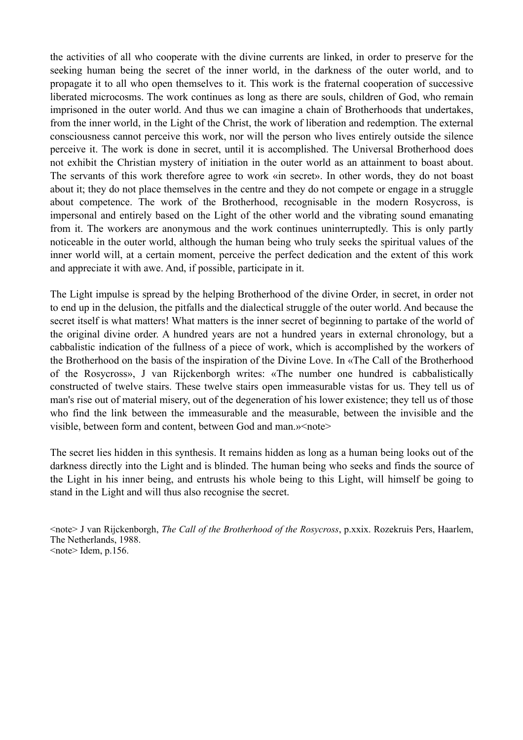the activities of all who cooperate with the divine currents are linked, in order to preserve for the seeking human being the secret of the inner world, in the darkness of the outer world, and to propagate it to all who open themselves to it. This work is the fraternal cooperation of successive liberated microcosms. The work continues as long as there are souls, children of God, who remain imprisoned in the outer world. And thus we can imagine a chain of Brotherhoods that undertakes, from the inner world, in the Light of the Christ, the work of liberation and redemption. The external consciousness cannot perceive this work, nor will the person who lives entirely outside the silence perceive it. The work is done in secret, until it is accomplished. The Universal Brotherhood does not exhibit the Christian mystery of initiation in the outer world as an attainment to boast about. The servants of this work therefore agree to work «in secret». In other words, they do not boast about it; they do not place themselves in the centre and they do not compete or engage in a struggle about competence. The work of the Brotherhood, recognisable in the modern Rosycross, is impersonal and entirely based on the Light of the other world and the vibrating sound emanating from it. The workers are anonymous and the work continues uninterruptedly. This is only partly noticeable in the outer world, although the human being who truly seeks the spiritual values of the inner world will, at a certain moment, perceive the perfect dedication and the extent of this work and appreciate it with awe. And, if possible, participate in it.

The Light impulse is spread by the helping Brotherhood of the divine Order, in secret, in order not to end up in the delusion, the pitfalls and the dialectical struggle of the outer world. And because the secret itself is what matters! What matters is the inner secret of beginning to partake of the world of the original divine order. A hundred years are not a hundred years in external chronology, but a cabbalistic indication of the fullness of a piece of work, which is accomplished by the workers of the Brotherhood on the basis of the inspiration of the Divine Love. In «The Call of the Brotherhood of the Rosycross», J van Rijckenborgh writes: «The number one hundred is cabbalistically constructed of twelve stairs. These twelve stairs open immeasurable vistas for us. They tell us of man's rise out of material misery, out of the degeneration of his lower existence; they tell us of those who find the link between the immeasurable and the measurable, between the invisible and the visible, between form and content, between God and man.»<note>

The secret lies hidden in this synthesis. It remains hidden as long as a human being looks out of the darkness directly into the Light and is blinded. The human being who seeks and finds the source of the Light in his inner being, and entrusts his whole being to this Light, will himself be going to stand in the Light and will thus also recognise the secret.

<note> J van Rijckenborgh, *The Call of the Brotherhood of the Rosycross*, p.xxix. Rozekruis Pers, Haarlem, The Netherlands, 1988.  $\leq$ note $\geq$ Idem, p.156.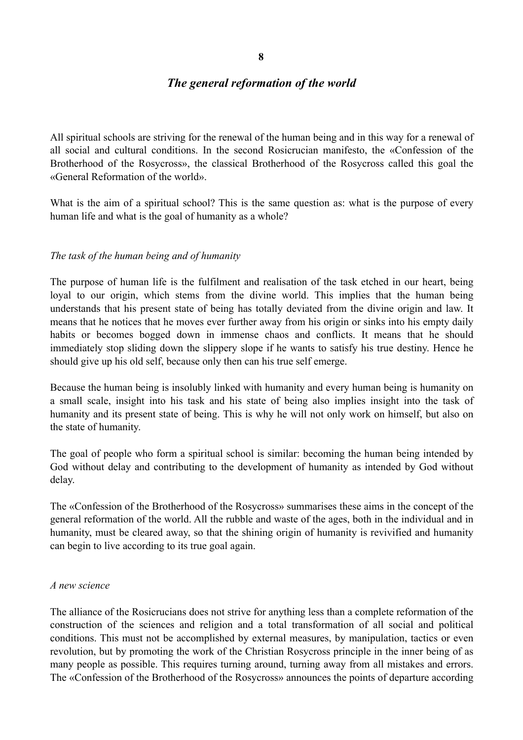# **8**

### *The general reformation of the world*

All spiritual schools are striving for the renewal of the human being and in this way for a renewal of all social and cultural conditions. In the second Rosicrucian manifesto, the «Confession of the Brotherhood of the Rosycross», the classical Brotherhood of the Rosycross called this goal the «General Reformation of the world».

What is the aim of a spiritual school? This is the same question as: what is the purpose of every human life and what is the goal of humanity as a whole?

### *The task of the human being and of humanity*

The purpose of human life is the fulfilment and realisation of the task etched in our heart, being loyal to our origin, which stems from the divine world. This implies that the human being understands that his present state of being has totally deviated from the divine origin and law. It means that he notices that he moves ever further away from his origin or sinks into his empty daily habits or becomes bogged down in immense chaos and conflicts. It means that he should immediately stop sliding down the slippery slope if he wants to satisfy his true destiny. Hence he should give up his old self, because only then can his true self emerge.

Because the human being is insolubly linked with humanity and every human being is humanity on a small scale, insight into his task and his state of being also implies insight into the task of humanity and its present state of being. This is why he will not only work on himself, but also on the state of humanity.

The goal of people who form a spiritual school is similar: becoming the human being intended by God without delay and contributing to the development of humanity as intended by God without delay.

The «Confession of the Brotherhood of the Rosycross» summarises these aims in the concept of the general reformation of the world. All the rubble and waste of the ages, both in the individual and in humanity, must be cleared away, so that the shining origin of humanity is revivified and humanity can begin to live according to its true goal again.

#### *A new science*

The alliance of the Rosicrucians does not strive for anything less than a complete reformation of the construction of the sciences and religion and a total transformation of all social and political conditions. This must not be accomplished by external measures, by manipulation, tactics or even revolution, but by promoting the work of the Christian Rosycross principle in the inner being of as many people as possible. This requires turning around, turning away from all mistakes and errors. The «Confession of the Brotherhood of the Rosycross» announces the points of departure according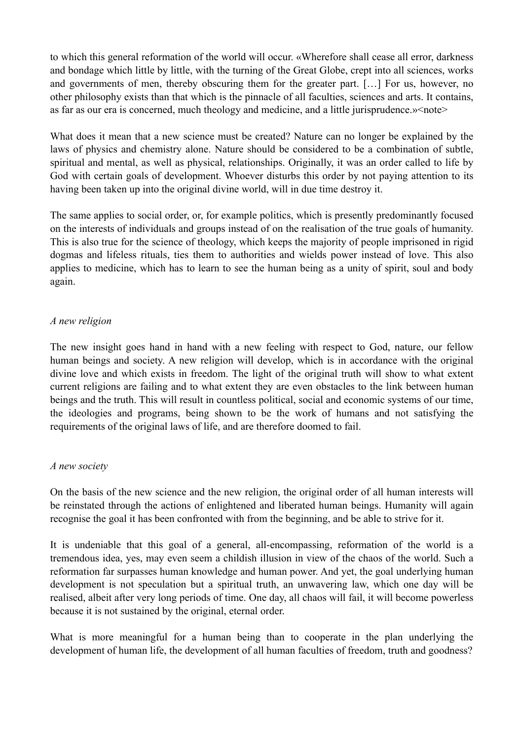to which this general reformation of the world will occur. «Wherefore shall cease all error, darkness and bondage which little by little, with the turning of the Great Globe, crept into all sciences, works and governments of men, thereby obscuring them for the greater part. […] For us, however, no other philosophy exists than that which is the pinnacle of all faculties, sciences and arts. It contains, as far as our era is concerned, much theology and medicine, and a little jurisprudence.»<note>

What does it mean that a new science must be created? Nature can no longer be explained by the laws of physics and chemistry alone. Nature should be considered to be a combination of subtle, spiritual and mental, as well as physical, relationships. Originally, it was an order called to life by God with certain goals of development. Whoever disturbs this order by not paying attention to its having been taken up into the original divine world, will in due time destroy it.

The same applies to social order, or, for example politics, which is presently predominantly focused on the interests of individuals and groups instead of on the realisation of the true goals of humanity. This is also true for the science of theology, which keeps the majority of people imprisoned in rigid dogmas and lifeless rituals, ties them to authorities and wields power instead of love. This also applies to medicine, which has to learn to see the human being as a unity of spirit, soul and body again.

### *A new religion*

The new insight goes hand in hand with a new feeling with respect to God, nature, our fellow human beings and society. A new religion will develop, which is in accordance with the original divine love and which exists in freedom. The light of the original truth will show to what extent current religions are failing and to what extent they are even obstacles to the link between human beings and the truth. This will result in countless political, social and economic systems of our time, the ideologies and programs, being shown to be the work of humans and not satisfying the requirements of the original laws of life, and are therefore doomed to fail.

#### *A new society*

On the basis of the new science and the new religion, the original order of all human interests will be reinstated through the actions of enlightened and liberated human beings. Humanity will again recognise the goal it has been confronted with from the beginning, and be able to strive for it.

It is undeniable that this goal of a general, all-encompassing, reformation of the world is a tremendous idea, yes, may even seem a childish illusion in view of the chaos of the world. Such a reformation far surpasses human knowledge and human power. And yet, the goal underlying human development is not speculation but a spiritual truth, an unwavering law, which one day will be realised, albeit after very long periods of time. One day, all chaos will fail, it will become powerless because it is not sustained by the original, eternal order.

What is more meaningful for a human being than to cooperate in the plan underlying the development of human life, the development of all human faculties of freedom, truth and goodness?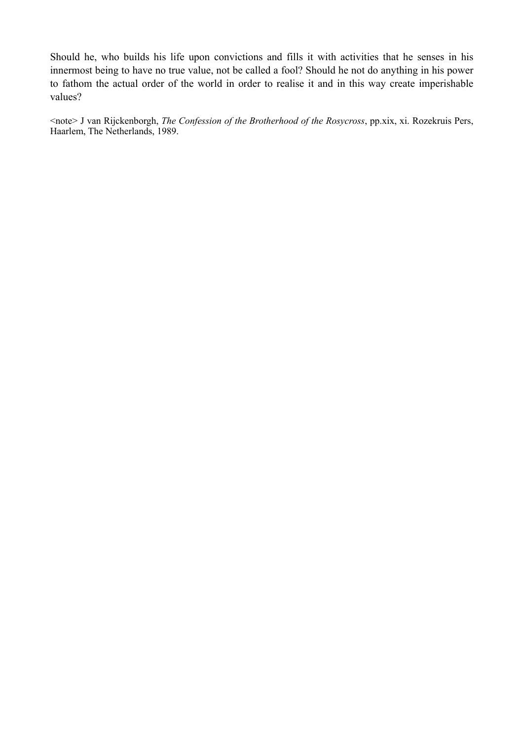Should he, who builds his life upon convictions and fills it with activities that he senses in his innermost being to have no true value, not be called a fool? Should he not do anything in his power to fathom the actual order of the world in order to realise it and in this way create imperishable values?

<note> J van Rijckenborgh, *The Confession of the Brotherhood of the Rosycross*, pp.xix, xi. Rozekruis Pers, Haarlem, The Netherlands, 1989.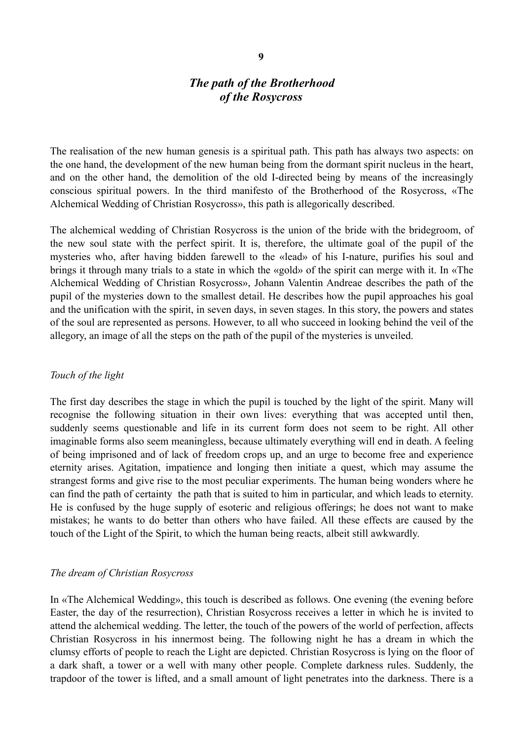# *The path of the Brotherhood of the Rosycross*

The realisation of the new human genesis is a spiritual path. This path has always two aspects: on the one hand, the development of the new human being from the dormant spirit nucleus in the heart, and on the other hand, the demolition of the old I-directed being by means of the increasingly conscious spiritual powers. In the third manifesto of the Brotherhood of the Rosycross, «The Alchemical Wedding of Christian Rosycross», this path is allegorically described.

The alchemical wedding of Christian Rosycross is the union of the bride with the bridegroom, of the new soul state with the perfect spirit. It is, therefore, the ultimate goal of the pupil of the mysteries who, after having bidden farewell to the «lead» of his I-nature, purifies his soul and brings it through many trials to a state in which the «gold» of the spirit can merge with it. In «The Alchemical Wedding of Christian Rosycross», Johann Valentin Andreae describes the path of the pupil of the mysteries down to the smallest detail. He describes how the pupil approaches his goal and the unification with the spirit, in seven days, in seven stages. In this story, the powers and states of the soul are represented as persons. However, to all who succeed in looking behind the veil of the allegory, an image of all the steps on the path of the pupil of the mysteries is unveiled.

#### *Touch of the light*

The first day describes the stage in which the pupil is touched by the light of the spirit. Many will recognise the following situation in their own lives: everything that was accepted until then, suddenly seems questionable and life in its current form does not seem to be right. All other imaginable forms also seem meaningless, because ultimately everything will end in death. A feeling of being imprisoned and of lack of freedom crops up, and an urge to become free and experience eternity arises. Agitation, impatience and longing then initiate a quest, which may assume the strangest forms and give rise to the most peculiar experiments. The human being wonders where he can find the path of certainty the path that is suited to him in particular, and which leads to eternity. He is confused by the huge supply of esoteric and religious offerings; he does not want to make mistakes; he wants to do better than others who have failed. All these effects are caused by the touch of the Light of the Spirit, to which the human being reacts, albeit still awkwardly.

#### *The dream of Christian Rosycross*

In «The Alchemical Wedding», this touch is described as follows. One evening (the evening before Easter, the day of the resurrection), Christian Rosycross receives a letter in which he is invited to attend the alchemical wedding. The letter, the touch of the powers of the world of perfection, affects Christian Rosycross in his innermost being. The following night he has a dream in which the clumsy efforts of people to reach the Light are depicted. Christian Rosycross is lying on the floor of a dark shaft, a tower or a well with many other people. Complete darkness rules. Suddenly, the trapdoor of the tower is lifted, and a small amount of light penetrates into the darkness. There is a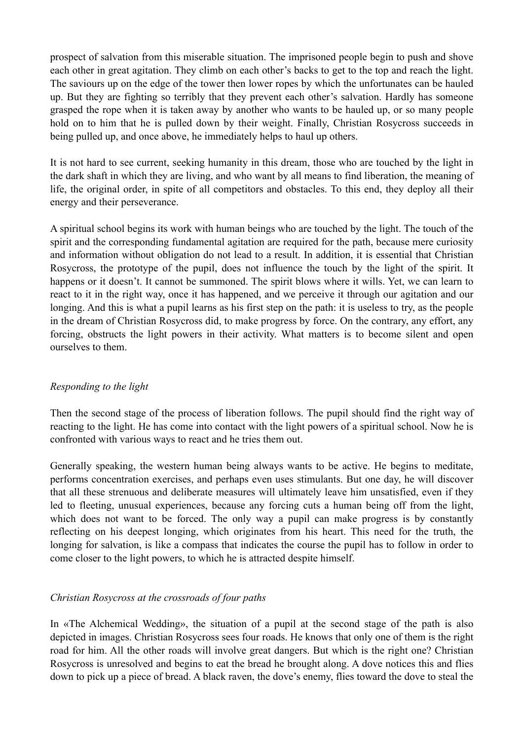prospect of salvation from this miserable situation. The imprisoned people begin to push and shove each other in great agitation. They climb on each other's backs to get to the top and reach the light. The saviours up on the edge of the tower then lower ropes by which the unfortunates can be hauled up. But they are fighting so terribly that they prevent each other's salvation. Hardly has someone grasped the rope when it is taken away by another who wants to be hauled up, or so many people hold on to him that he is pulled down by their weight. Finally, Christian Rosycross succeeds in being pulled up, and once above, he immediately helps to haul up others.

It is not hard to see current, seeking humanity in this dream, those who are touched by the light in the dark shaft in which they are living, and who want by all means to find liberation, the meaning of life, the original order, in spite of all competitors and obstacles. To this end, they deploy all their energy and their perseverance.

A spiritual school begins its work with human beings who are touched by the light. The touch of the spirit and the corresponding fundamental agitation are required for the path, because mere curiosity and information without obligation do not lead to a result. In addition, it is essential that Christian Rosycross, the prototype of the pupil, does not influence the touch by the light of the spirit. It happens or it doesn't. It cannot be summoned. The spirit blows where it wills. Yet, we can learn to react to it in the right way, once it has happened, and we perceive it through our agitation and our longing. And this is what a pupil learns as his first step on the path: it is useless to try, as the people in the dream of Christian Rosycross did, to make progress by force. On the contrary, any effort, any forcing, obstructs the light powers in their activity. What matters is to become silent and open ourselves to them.

### *Responding to the light*

Then the second stage of the process of liberation follows. The pupil should find the right way of reacting to the light. He has come into contact with the light powers of a spiritual school. Now he is confronted with various ways to react and he tries them out.

Generally speaking, the western human being always wants to be active. He begins to meditate, performs concentration exercises, and perhaps even uses stimulants. But one day, he will discover that all these strenuous and deliberate measures will ultimately leave him unsatisfied, even if they led to fleeting, unusual experiences, because any forcing cuts a human being off from the light, which does not want to be forced. The only way a pupil can make progress is by constantly reflecting on his deepest longing, which originates from his heart. This need for the truth, the longing for salvation, is like a compass that indicates the course the pupil has to follow in order to come closer to the light powers, to which he is attracted despite himself.

### *Christian Rosycross at the crossroads of four paths*

In «The Alchemical Wedding», the situation of a pupil at the second stage of the path is also depicted in images. Christian Rosycross sees four roads. He knows that only one of them is the right road for him. All the other roads will involve great dangers. But which is the right one? Christian Rosycross is unresolved and begins to eat the bread he brought along. A dove notices this and flies down to pick up a piece of bread. A black raven, the dove's enemy, flies toward the dove to steal the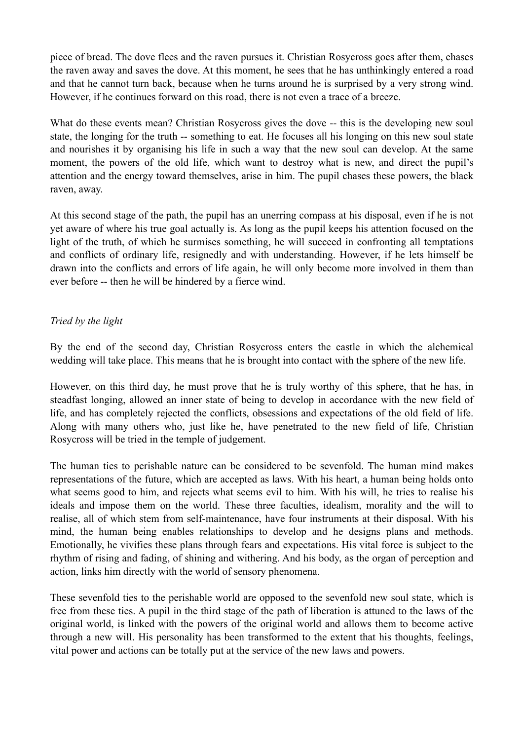piece of bread. The dove flees and the raven pursues it. Christian Rosycross goes after them, chases the raven away and saves the dove. At this moment, he sees that he has unthinkingly entered a road and that he cannot turn back, because when he turns around he is surprised by a very strong wind. However, if he continues forward on this road, there is not even a trace of a breeze.

What do these events mean? Christian Rosycross gives the dove -- this is the developing new soul state, the longing for the truth -- something to eat. He focuses all his longing on this new soul state and nourishes it by organising his life in such a way that the new soul can develop. At the same moment, the powers of the old life, which want to destroy what is new, and direct the pupil's attention and the energy toward themselves, arise in him. The pupil chases these powers, the black raven, away.

At this second stage of the path, the pupil has an unerring compass at his disposal, even if he is not yet aware of where his true goal actually is. As long as the pupil keeps his attention focused on the light of the truth, of which he surmises something, he will succeed in confronting all temptations and conflicts of ordinary life, resignedly and with understanding. However, if he lets himself be drawn into the conflicts and errors of life again, he will only become more involved in them than ever before -- then he will be hindered by a fierce wind.

### *Tried by the light*

By the end of the second day, Christian Rosycross enters the castle in which the alchemical wedding will take place. This means that he is brought into contact with the sphere of the new life.

However, on this third day, he must prove that he is truly worthy of this sphere, that he has, in steadfast longing, allowed an inner state of being to develop in accordance with the new field of life, and has completely rejected the conflicts, obsessions and expectations of the old field of life. Along with many others who, just like he, have penetrated to the new field of life, Christian Rosycross will be tried in the temple of judgement.

The human ties to perishable nature can be considered to be sevenfold. The human mind makes representations of the future, which are accepted as laws. With his heart, a human being holds onto what seems good to him, and rejects what seems evil to him. With his will, he tries to realise his ideals and impose them on the world. These three faculties, idealism, morality and the will to realise, all of which stem from self-maintenance, have four instruments at their disposal. With his mind, the human being enables relationships to develop and he designs plans and methods. Emotionally, he vivifies these plans through fears and expectations. His vital force is subject to the rhythm of rising and fading, of shining and withering. And his body, as the organ of perception and action, links him directly with the world of sensory phenomena.

These sevenfold ties to the perishable world are opposed to the sevenfold new soul state, which is free from these ties. A pupil in the third stage of the path of liberation is attuned to the laws of the original world, is linked with the powers of the original world and allows them to become active through a new will. His personality has been transformed to the extent that his thoughts, feelings, vital power and actions can be totally put at the service of the new laws and powers.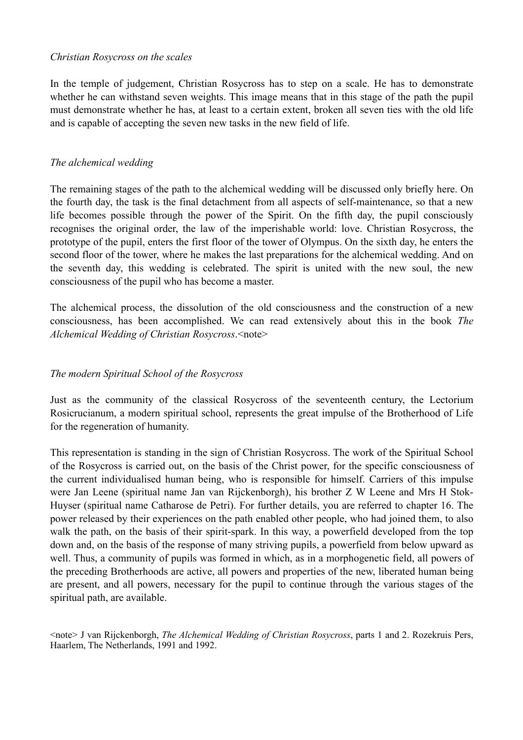#### *Christian Rosycross on the scales*

In the temple of judgement, Christian Rosycross has to step on a scale. He has to demonstrate whether he can withstand seven weights. This image means that in this stage of the path the pupil must demonstrate whether he has, at least to a certain extent, broken all seven ties with the old life and is capable of accepting the seven new tasks in the new field of life.

#### *The alchemical wedding*

The remaining stages of the path to the alchemical wedding will be discussed only briefly here. On the fourth day, the task is the final detachment from all aspects of self-maintenance, so that a new life becomes possible through the power of the Spirit. On the fifth day, the pupil consciously recognises the original order, the law of the imperishable world: love. Christian Rosycross, the prototype of the pupil, enters the first floor of the tower of Olympus. On the sixth day, he enters the second floor of the tower, where he makes the last preparations for the alchemical wedding. And on the seventh day, this wedding is celebrated. The spirit is united with the new soul, the new consciousness of the pupil who has become a master.

The alchemical process, the dissolution of the old consciousness and the construction of a new consciousness, has been accomplished. We can read extensively about this in the book *The Alchemical Wedding of Christian Rosycross*.<note>

#### *The modern Spiritual School of the Rosycross*

Just as the community of the classical Rosycross of the seventeenth century, the Lectorium Rosicrucianum, a modern spiritual school, represents the great impulse of the Brotherhood of Life for the regeneration of humanity.

This representation is standing in the sign of Christian Rosycross. The work of the Spiritual School of the Rosycross is carried out, on the basis of the Christ power, for the specific consciousness of the current individualised human being, who is responsible for himself. Carriers of this impulse were Jan Leene (spiritual name Jan van Rijckenborgh), his brother Z W Leene and Mrs H Stok-Huyser (spiritual name Catharose de Petri). For further details, you are referred to chapter 16. The power released by their experiences on the path enabled other people, who had joined them, to also walk the path, on the basis of their spirit-spark. In this way, a powerfield developed from the top down and, on the basis of the response of many striving pupils, a powerfield from below upward as well. Thus, a community of pupils was formed in which, as in a morphogenetic field, all powers of the preceding Brotherhoods are active, all powers and properties of the new, liberated human being are present, and all powers, necessary for the pupil to continue through the various stages of the spiritual path, are available.

<note> J van Rijckenborgh, *The Alchemical Wedding of Christian Rosycross*, parts 1 and 2. Rozekruis Pers, Haarlem, The Netherlands, 1991 and 1992.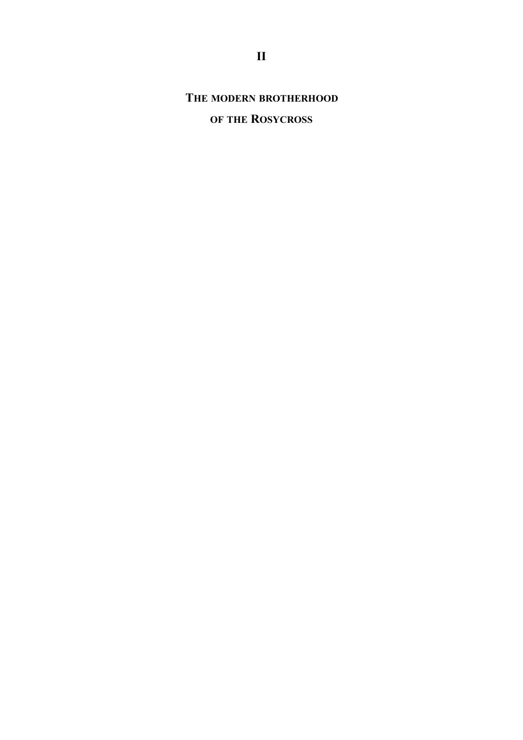**THE MODERN BROTHERHOOD**

# **OF THE ROSYCROSS**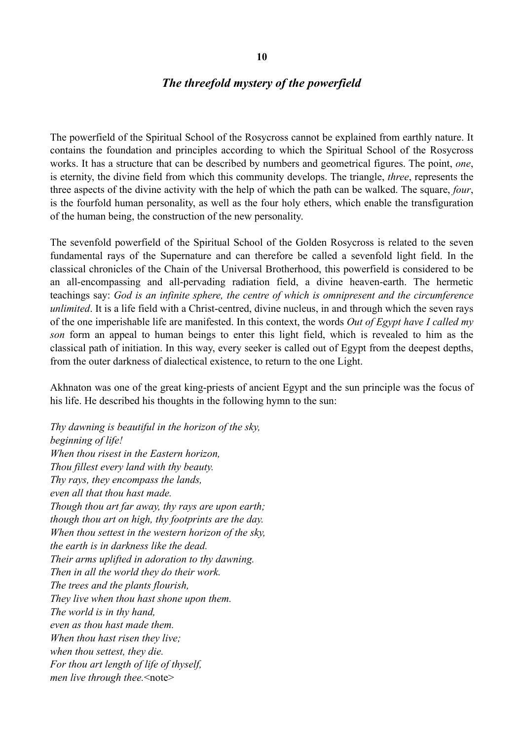#### **10**

#### *The threefold mystery of the powerfield*

The powerfield of the Spiritual School of the Rosycross cannot be explained from earthly nature. It contains the foundation and principles according to which the Spiritual School of the Rosycross works. It has a structure that can be described by numbers and geometrical figures. The point, *one*, is eternity, the divine field from which this community develops. The triangle, *three*, represents the three aspects of the divine activity with the help of which the path can be walked. The square, *four*, is the fourfold human personality, as well as the four holy ethers, which enable the transfiguration of the human being, the construction of the new personality.

The sevenfold powerfield of the Spiritual School of the Golden Rosycross is related to the seven fundamental rays of the Supernature and can therefore be called a sevenfold light field. In the classical chronicles of the Chain of the Universal Brotherhood, this powerfield is considered to be an all-encompassing and all-pervading radiation field, a divine heaven-earth. The hermetic teachings say: *God is an infinite sphere, the centre of which is omnipresent and the circumference unlimited*. It is a life field with a Christ-centred, divine nucleus, in and through which the seven rays of the one imperishable life are manifested. In this context, the words *Out of Egypt have I called my son* form an appeal to human beings to enter this light field, which is revealed to him as the classical path of initiation. In this way, every seeker is called out of Egypt from the deepest depths, from the outer darkness of dialectical existence, to return to the one Light.

Akhnaton was one of the great king-priests of ancient Egypt and the sun principle was the focus of his life. He described his thoughts in the following hymn to the sun:

*Thy dawning is beautiful in the horizon of the sky, beginning of life! When thou risest in the Eastern horizon, Thou fillest every land with thy beauty. Thy rays, they encompass the lands, even all that thou hast made. Though thou art far away, thy rays are upon earth; though thou art on high, thy footprints are the day. When thou settest in the western horizon of the sky, the earth is in darkness like the dead. Their arms uplifted in adoration to thy dawning. Then in all the world they do their work. The trees and the plants flourish, They live when thou hast shone upon them. The world is in thy hand, even as thou hast made them. When thou hast risen they live; when thou settest, they die. For thou art length of life of thyself, men live through thee.*<note>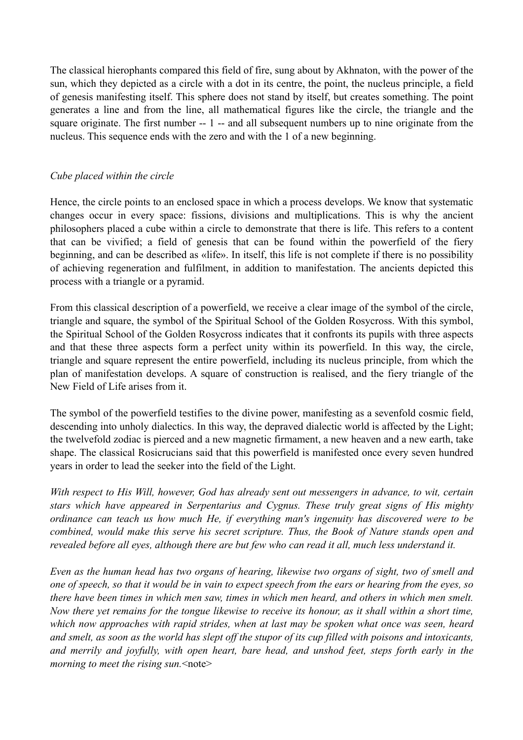The classical hierophants compared this field of fire, sung about by Akhnaton, with the power of the sun, which they depicted as a circle with a dot in its centre, the point, the nucleus principle, a field of genesis manifesting itself. This sphere does not stand by itself, but creates something. The point generates a line and from the line, all mathematical figures like the circle, the triangle and the square originate. The first number -- 1 -- and all subsequent numbers up to nine originate from the nucleus. This sequence ends with the zero and with the 1 of a new beginning.

#### *Cube placed within the circle*

Hence, the circle points to an enclosed space in which a process develops. We know that systematic changes occur in every space: fissions, divisions and multiplications. This is why the ancient philosophers placed a cube within a circle to demonstrate that there is life. This refers to a content that can be vivified; a field of genesis that can be found within the powerfield of the fiery beginning, and can be described as «life». In itself, this life is not complete if there is no possibility of achieving regeneration and fulfilment, in addition to manifestation. The ancients depicted this process with a triangle or a pyramid.

From this classical description of a powerfield, we receive a clear image of the symbol of the circle, triangle and square, the symbol of the Spiritual School of the Golden Rosycross. With this symbol, the Spiritual School of the Golden Rosycross indicates that it confronts its pupils with three aspects and that these three aspects form a perfect unity within its powerfield. In this way, the circle, triangle and square represent the entire powerfield, including its nucleus principle, from which the plan of manifestation develops. A square of construction is realised, and the fiery triangle of the New Field of Life arises from it.

The symbol of the powerfield testifies to the divine power, manifesting as a sevenfold cosmic field, descending into unholy dialectics. In this way, the depraved dialectic world is affected by the Light; the twelvefold zodiac is pierced and a new magnetic firmament, a new heaven and a new earth, take shape. The classical Rosicrucians said that this powerfield is manifested once every seven hundred years in order to lead the seeker into the field of the Light.

*With respect to His Will, however, God has already sent out messengers in advance, to wit, certain stars which have appeared in Serpentarius and Cygnus. These truly great signs of His mighty ordinance can teach us how much He, if everything man's ingenuity has discovered were to be combined, would make this serve his secret scripture. Thus, the Book of Nature stands open and revealed before all eyes, although there are but few who can read it all, much less understand it.* 

*Even as the human head has two organs of hearing, likewise two organs of sight, two of smell and one of speech, so that it would be in vain to expect speech from the ears or hearing from the eyes, so there have been times in which men saw, times in which men heard, and others in which men smelt. Now there yet remains for the tongue likewise to receive its honour, as it shall within a short time, which now approaches with rapid strides, when at last may be spoken what once was seen, heard and smelt, as soon as the world has slept off the stupor of its cup filled with poisons and intoxicants, and merrily and joyfully, with open heart, bare head, and unshod feet, steps forth early in the morning to meet the rising sun.* <note>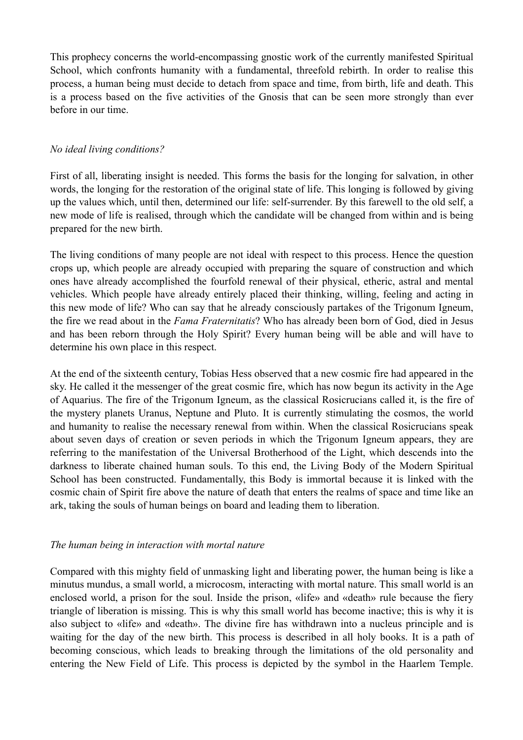This prophecy concerns the world-encompassing gnostic work of the currently manifested Spiritual School, which confronts humanity with a fundamental, threefold rebirth. In order to realise this process, a human being must decide to detach from space and time, from birth, life and death. This is a process based on the five activities of the Gnosis that can be seen more strongly than ever before in our time.

### *No ideal living conditions?*

First of all, liberating insight is needed. This forms the basis for the longing for salvation, in other words, the longing for the restoration of the original state of life. This longing is followed by giving up the values which, until then, determined our life: self-surrender. By this farewell to the old self, a new mode of life is realised, through which the candidate will be changed from within and is being prepared for the new birth.

The living conditions of many people are not ideal with respect to this process. Hence the question crops up, which people are already occupied with preparing the square of construction and which ones have already accomplished the fourfold renewal of their physical, etheric, astral and mental vehicles. Which people have already entirely placed their thinking, willing, feeling and acting in this new mode of life? Who can say that he already consciously partakes of the Trigonum Igneum, the fire we read about in the *Fama Fraternitatis*? Who has already been born of God, died in Jesus and has been reborn through the Holy Spirit? Every human being will be able and will have to determine his own place in this respect.

At the end of the sixteenth century, Tobias Hess observed that a new cosmic fire had appeared in the sky. He called it the messenger of the great cosmic fire, which has now begun its activity in the Age of Aquarius. The fire of the Trigonum Igneum, as the classical Rosicrucians called it, is the fire of the mystery planets Uranus, Neptune and Pluto. It is currently stimulating the cosmos, the world and humanity to realise the necessary renewal from within. When the classical Rosicrucians speak about seven days of creation or seven periods in which the Trigonum Igneum appears, they are referring to the manifestation of the Universal Brotherhood of the Light, which descends into the darkness to liberate chained human souls. To this end, the Living Body of the Modern Spiritual School has been constructed. Fundamentally, this Body is immortal because it is linked with the cosmic chain of Spirit fire above the nature of death that enters the realms of space and time like an ark, taking the souls of human beings on board and leading them to liberation.

### *The human being in interaction with mortal nature*

Compared with this mighty field of unmasking light and liberating power, the human being is like a minutus mundus, a small world, a microcosm, interacting with mortal nature. This small world is an enclosed world, a prison for the soul. Inside the prison, «life» and «death» rule because the fiery triangle of liberation is missing. This is why this small world has become inactive; this is why it is also subject to «life» and «death». The divine fire has withdrawn into a nucleus principle and is waiting for the day of the new birth. This process is described in all holy books. It is a path of becoming conscious, which leads to breaking through the limitations of the old personality and entering the New Field of Life. This process is depicted by the symbol in the Haarlem Temple.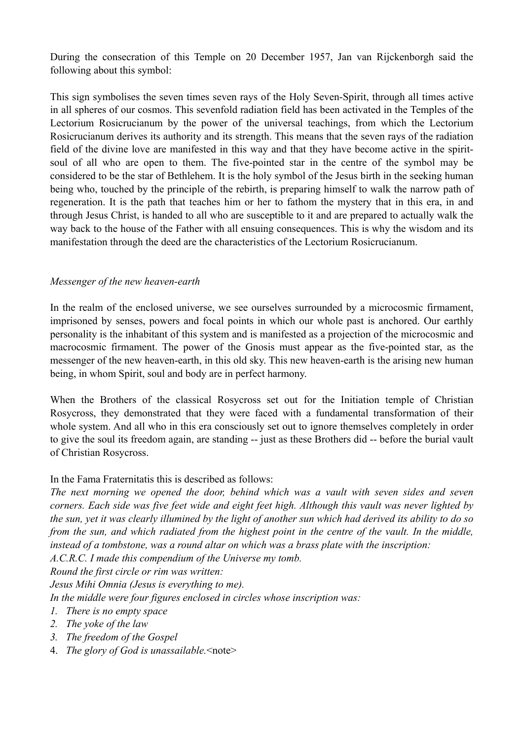During the consecration of this Temple on 20 December 1957, Jan van Rijckenborgh said the following about this symbol:

This sign symbolises the seven times seven rays of the Holy Seven-Spirit, through all times active in all spheres of our cosmos. This sevenfold radiation field has been activated in the Temples of the Lectorium Rosicrucianum by the power of the universal teachings, from which the Lectorium Rosicrucianum derives its authority and its strength. This means that the seven rays of the radiation field of the divine love are manifested in this way and that they have become active in the spiritsoul of all who are open to them. The five-pointed star in the centre of the symbol may be considered to be the star of Bethlehem. It is the holy symbol of the Jesus birth in the seeking human being who, touched by the principle of the rebirth, is preparing himself to walk the narrow path of regeneration. It is the path that teaches him or her to fathom the mystery that in this era, in and through Jesus Christ, is handed to all who are susceptible to it and are prepared to actually walk the way back to the house of the Father with all ensuing consequences. This is why the wisdom and its manifestation through the deed are the characteristics of the Lectorium Rosicrucianum.

#### *Messenger of the new heaven-earth*

In the realm of the enclosed universe, we see ourselves surrounded by a microcosmic firmament, imprisoned by senses, powers and focal points in which our whole past is anchored. Our earthly personality is the inhabitant of this system and is manifested as a projection of the microcosmic and macrocosmic firmament. The power of the Gnosis must appear as the five-pointed star, as the messenger of the new heaven-earth, in this old sky. This new heaven-earth is the arising new human being, in whom Spirit, soul and body are in perfect harmony.

When the Brothers of the classical Rosycross set out for the Initiation temple of Christian Rosycross, they demonstrated that they were faced with a fundamental transformation of their whole system. And all who in this era consciously set out to ignore themselves completely in order to give the soul its freedom again, are standing -- just as these Brothers did -- before the burial vault of Christian Rosycross.

In the Fama Fraternitatis this is described as follows:

*The next morning we opened the door, behind which was a vault with seven sides and seven corners. Each side was five feet wide and eight feet high. Although this vault was never lighted by the sun, yet it was clearly illumined by the light of another sun which had derived its ability to do so from the sun, and which radiated from the highest point in the centre of the vault. In the middle, instead of a tombstone, was a round altar on which was a brass plate with the inscription:* 

*A.C.R.C. I made this compendium of the Universe my tomb.* 

*Round the first circle or rim was written:* 

*Jesus Mihi Omnia (Jesus is everything to me).* 

*In the middle were four figures enclosed in circles whose inscription was:* 

- *1. There is no empty space*
- *2. The yoke of the law*
- *3. The freedom of the Gospel*
- 4. *The glory of God is unassailable.*<note>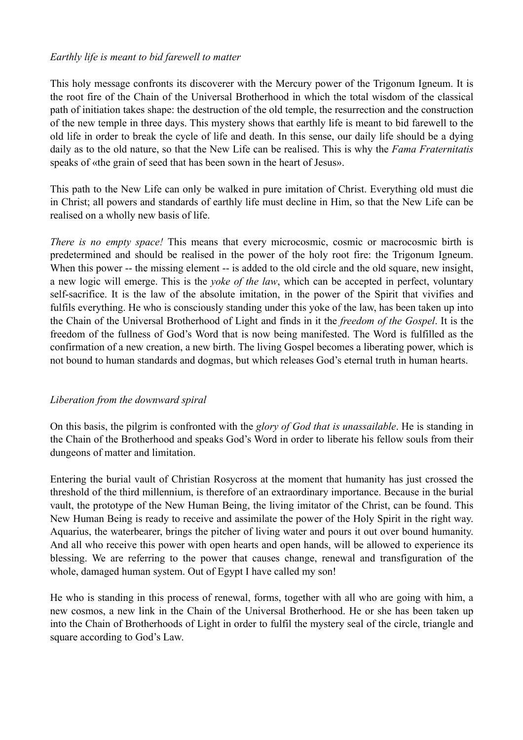### *Earthly life is meant to bid farewell to matter*

This holy message confronts its discoverer with the Mercury power of the Trigonum Igneum. It is the root fire of the Chain of the Universal Brotherhood in which the total wisdom of the classical path of initiation takes shape: the destruction of the old temple, the resurrection and the construction of the new temple in three days. This mystery shows that earthly life is meant to bid farewell to the old life in order to break the cycle of life and death. In this sense, our daily life should be a dying daily as to the old nature, so that the New Life can be realised. This is why the *Fama Fraternitatis* speaks of «the grain of seed that has been sown in the heart of Jesus».

This path to the New Life can only be walked in pure imitation of Christ. Everything old must die in Christ; all powers and standards of earthly life must decline in Him, so that the New Life can be realised on a wholly new basis of life.

*There is no empty space!* This means that every microcosmic, cosmic or macrocosmic birth is predetermined and should be realised in the power of the holy root fire: the Trigonum Igneum. When this power -- the missing element -- is added to the old circle and the old square, new insight, a new logic will emerge. This is the *yoke of the law*, which can be accepted in perfect, voluntary self-sacrifice. It is the law of the absolute imitation, in the power of the Spirit that vivifies and fulfils everything. He who is consciously standing under this yoke of the law, has been taken up into the Chain of the Universal Brotherhood of Light and finds in it the *freedom of the Gospel*. It is the freedom of the fullness of God's Word that is now being manifested. The Word is fulfilled as the confirmation of a new creation, a new birth. The living Gospel becomes a liberating power, which is not bound to human standards and dogmas, but which releases God's eternal truth in human hearts.

### *Liberation from the downward spiral*

On this basis, the pilgrim is confronted with the *glory of God that is unassailable*. He is standing in the Chain of the Brotherhood and speaks God's Word in order to liberate his fellow souls from their dungeons of matter and limitation.

Entering the burial vault of Christian Rosycross at the moment that humanity has just crossed the threshold of the third millennium, is therefore of an extraordinary importance. Because in the burial vault, the prototype of the New Human Being, the living imitator of the Christ, can be found. This New Human Being is ready to receive and assimilate the power of the Holy Spirit in the right way. Aquarius, the waterbearer, brings the pitcher of living water and pours it out over bound humanity. And all who receive this power with open hearts and open hands, will be allowed to experience its blessing. We are referring to the power that causes change, renewal and transfiguration of the whole, damaged human system. Out of Egypt I have called my son!

He who is standing in this process of renewal, forms, together with all who are going with him, a new cosmos, a new link in the Chain of the Universal Brotherhood. He or she has been taken up into the Chain of Brotherhoods of Light in order to fulfil the mystery seal of the circle, triangle and square according to God's Law.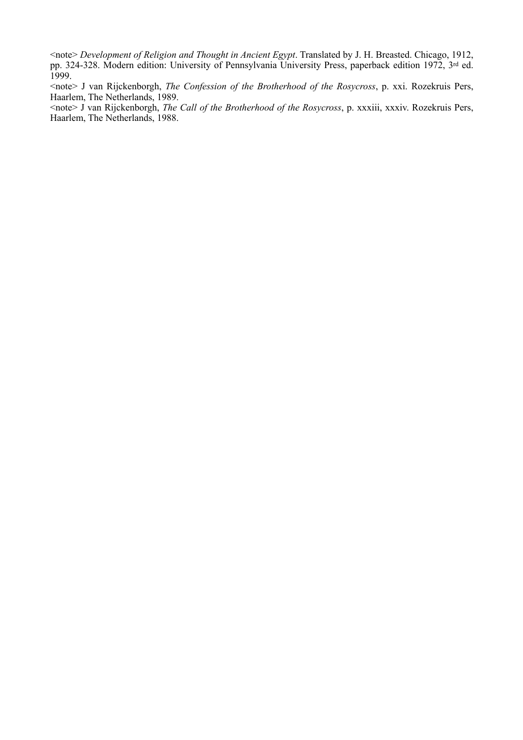<note> *Development of Religion and Thought in Ancient Egypt*. Translated by J. H. Breasted. Chicago, 1912, pp. 324-328. Modern edition: University of Pennsylvania University Press, paperback edition 1972, 3rd ed. 1999.

<note> J van Rijckenborgh, *The Confession of the Brotherhood of the Rosycross*, p. xxi. Rozekruis Pers, Haarlem, The Netherlands, 1989.

<note> J van Rijckenborgh, *The Call of the Brotherhood of the Rosycross*, p. xxxiii, xxxiv. Rozekruis Pers, Haarlem, The Netherlands, 1988.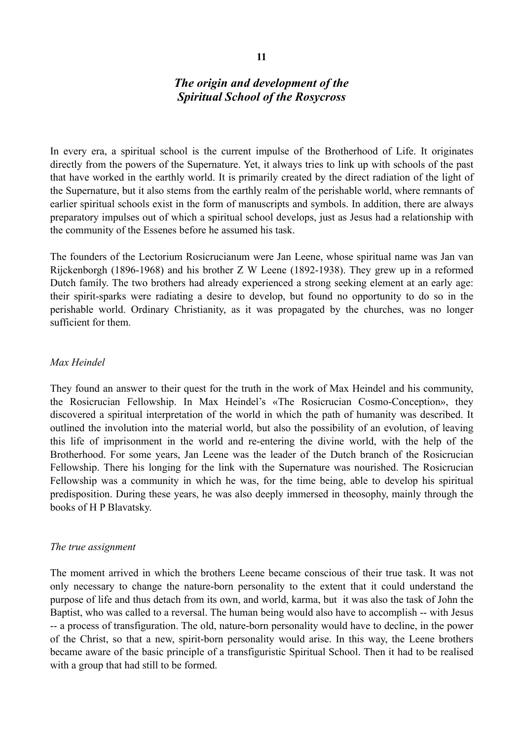# *The origin and development of the Spiritual School of the Rosycross*

In every era, a spiritual school is the current impulse of the Brotherhood of Life. It originates directly from the powers of the Supernature. Yet, it always tries to link up with schools of the past that have worked in the earthly world. It is primarily created by the direct radiation of the light of the Supernature, but it also stems from the earthly realm of the perishable world, where remnants of earlier spiritual schools exist in the form of manuscripts and symbols. In addition, there are always preparatory impulses out of which a spiritual school develops, just as Jesus had a relationship with the community of the Essenes before he assumed his task.

The founders of the Lectorium Rosicrucianum were Jan Leene, whose spiritual name was Jan van Rijckenborgh (1896-1968) and his brother Z W Leene (1892-1938). They grew up in a reformed Dutch family. The two brothers had already experienced a strong seeking element at an early age: their spirit-sparks were radiating a desire to develop, but found no opportunity to do so in the perishable world. Ordinary Christianity, as it was propagated by the churches, was no longer sufficient for them.

#### *Max Heindel*

They found an answer to their quest for the truth in the work of Max Heindel and his community, the Rosicrucian Fellowship. In Max Heindel's «The Rosicrucian Cosmo-Conception», they discovered a spiritual interpretation of the world in which the path of humanity was described. It outlined the involution into the material world, but also the possibility of an evolution, of leaving this life of imprisonment in the world and re-entering the divine world, with the help of the Brotherhood. For some years, Jan Leene was the leader of the Dutch branch of the Rosicrucian Fellowship. There his longing for the link with the Supernature was nourished. The Rosicrucian Fellowship was a community in which he was, for the time being, able to develop his spiritual predisposition. During these years, he was also deeply immersed in theosophy, mainly through the books of H P Blavatsky.

#### *The true assignment*

The moment arrived in which the brothers Leene became conscious of their true task. It was not only necessary to change the nature-born personality to the extent that it could understand the purpose of life and thus detach from its own, and world, karma, but it was also the task of John the Baptist, who was called to a reversal. The human being would also have to accomplish -- with Jesus -- a process of transfiguration. The old, nature-born personality would have to decline, in the power of the Christ, so that a new, spirit-born personality would arise. In this way, the Leene brothers became aware of the basic principle of a transfiguristic Spiritual School. Then it had to be realised with a group that had still to be formed.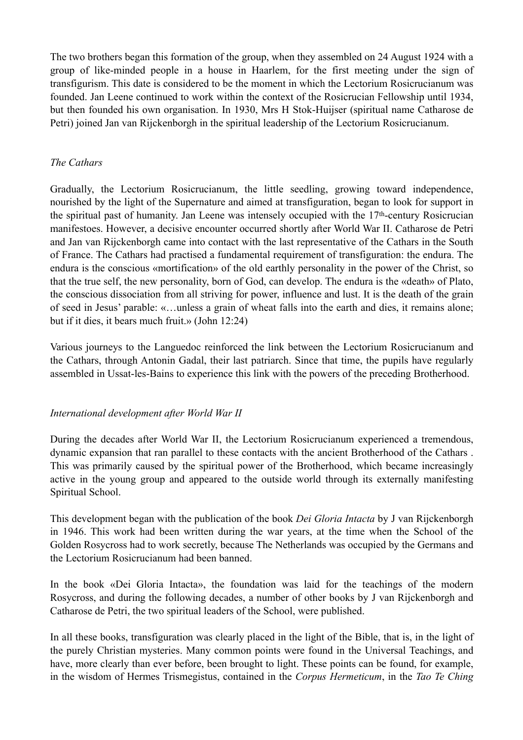The two brothers began this formation of the group, when they assembled on 24 August 1924 with a group of like-minded people in a house in Haarlem, for the first meeting under the sign of transfigurism. This date is considered to be the moment in which the Lectorium Rosicrucianum was founded. Jan Leene continued to work within the context of the Rosicrucian Fellowship until 1934, but then founded his own organisation. In 1930, Mrs H Stok-Huijser (spiritual name Catharose de Petri) joined Jan van Rijckenborgh in the spiritual leadership of the Lectorium Rosicrucianum.

### *The Cathars*

Gradually, the Lectorium Rosicrucianum, the little seedling, growing toward independence, nourished by the light of the Supernature and aimed at transfiguration, began to look for support in the spiritual past of humanity. Jan Leene was intensely occupied with the 17th-century Rosicrucian manifestoes. However, a decisive encounter occurred shortly after World War II. Catharose de Petri and Jan van Rijckenborgh came into contact with the last representative of the Cathars in the South of France. The Cathars had practised a fundamental requirement of transfiguration: the endura. The endura is the conscious «mortification» of the old earthly personality in the power of the Christ, so that the true self, the new personality, born of God, can develop. The endura is the «death» of Plato, the conscious dissociation from all striving for power, influence and lust. It is the death of the grain of seed in Jesus' parable: «…unless a grain of wheat falls into the earth and dies, it remains alone; but if it dies, it bears much fruit.» (John 12:24)

Various journeys to the Languedoc reinforced the link between the Lectorium Rosicrucianum and the Cathars, through Antonin Gadal, their last patriarch. Since that time, the pupils have regularly assembled in Ussat-les-Bains to experience this link with the powers of the preceding Brotherhood.

### *International development after World War II*

During the decades after World War II, the Lectorium Rosicrucianum experienced a tremendous, dynamic expansion that ran parallel to these contacts with the ancient Brotherhood of the Cathars . This was primarily caused by the spiritual power of the Brotherhood, which became increasingly active in the young group and appeared to the outside world through its externally manifesting Spiritual School.

This development began with the publication of the book *Dei Gloria Intacta* by J van Rijckenborgh in 1946. This work had been written during the war years, at the time when the School of the Golden Rosycross had to work secretly, because The Netherlands was occupied by the Germans and the Lectorium Rosicrucianum had been banned.

In the book «Dei Gloria Intacta», the foundation was laid for the teachings of the modern Rosycross, and during the following decades, a number of other books by J van Rijckenborgh and Catharose de Petri, the two spiritual leaders of the School, were published.

In all these books, transfiguration was clearly placed in the light of the Bible, that is, in the light of the purely Christian mysteries. Many common points were found in the Universal Teachings, and have, more clearly than ever before, been brought to light. These points can be found, for example, in the wisdom of Hermes Trismegistus, contained in the *Corpus Hermeticum*, in the *Tao Te Ching*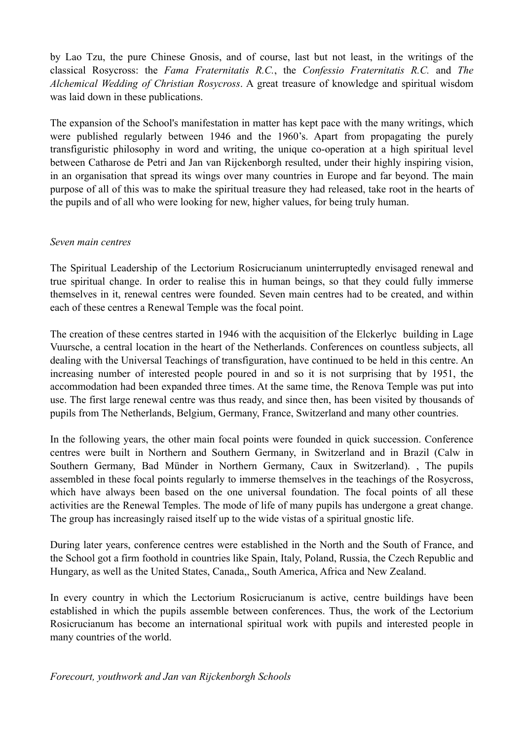by Lao Tzu, the pure Chinese Gnosis, and of course, last but not least, in the writings of the classical Rosycross: the *Fama Fraternitatis R.C.*, the *Confessio Fraternitatis R.C.* and *The Alchemical Wedding of Christian Rosycross*. A great treasure of knowledge and spiritual wisdom was laid down in these publications.

The expansion of the School's manifestation in matter has kept pace with the many writings, which were published regularly between 1946 and the 1960's. Apart from propagating the purely transfiguristic philosophy in word and writing, the unique co-operation at a high spiritual level between Catharose de Petri and Jan van Rijckenborgh resulted, under their highly inspiring vision, in an organisation that spread its wings over many countries in Europe and far beyond. The main purpose of all of this was to make the spiritual treasure they had released, take root in the hearts of the pupils and of all who were looking for new, higher values, for being truly human.

#### *Seven main centres*

The Spiritual Leadership of the Lectorium Rosicrucianum uninterruptedly envisaged renewal and true spiritual change. In order to realise this in human beings, so that they could fully immerse themselves in it, renewal centres were founded. Seven main centres had to be created, and within each of these centres a Renewal Temple was the focal point.

The creation of these centres started in 1946 with the acquisition of the Elckerlyc building in Lage Vuursche, a central location in the heart of the Netherlands. Conferences on countless subjects, all dealing with the Universal Teachings of transfiguration, have continued to be held in this centre. An increasing number of interested people poured in and so it is not surprising that by 1951, the accommodation had been expanded three times. At the same time, the Renova Temple was put into use. The first large renewal centre was thus ready, and since then, has been visited by thousands of pupils from The Netherlands, Belgium, Germany, France, Switzerland and many other countries.

In the following years, the other main focal points were founded in quick succession. Conference centres were built in Northern and Southern Germany, in Switzerland and in Brazil (Calw in Southern Germany, Bad Münder in Northern Germany, Caux in Switzerland). , The pupils assembled in these focal points regularly to immerse themselves in the teachings of the Rosycross, which have always been based on the one universal foundation. The focal points of all these activities are the Renewal Temples. The mode of life of many pupils has undergone a great change. The group has increasingly raised itself up to the wide vistas of a spiritual gnostic life.

During later years, conference centres were established in the North and the South of France, and the School got a firm foothold in countries like Spain, Italy, Poland, Russia, the Czech Republic and Hungary, as well as the United States, Canada,, South America, Africa and New Zealand.

In every country in which the Lectorium Rosicrucianum is active, centre buildings have been established in which the pupils assemble between conferences. Thus, the work of the Lectorium Rosicrucianum has become an international spiritual work with pupils and interested people in many countries of the world.

*Forecourt, youthwork and Jan van Rijckenborgh Schools*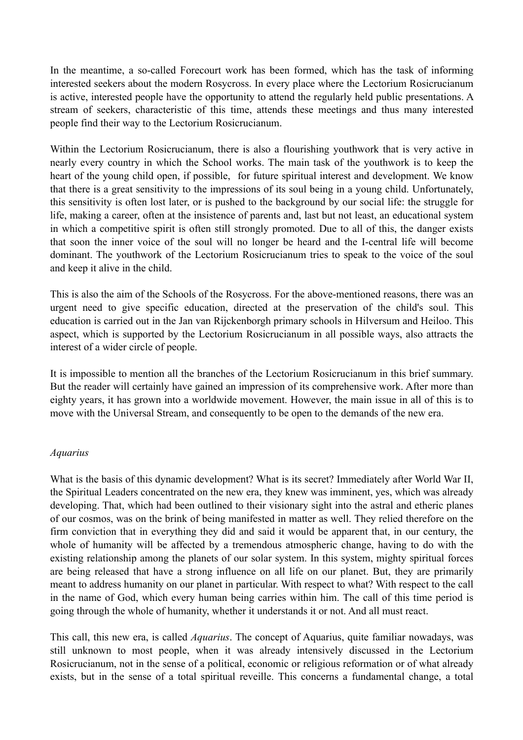In the meantime, a so-called Forecourt work has been formed, which has the task of informing interested seekers about the modern Rosycross. In every place where the Lectorium Rosicrucianum is active, interested people have the opportunity to attend the regularly held public presentations. A stream of seekers, characteristic of this time, attends these meetings and thus many interested people find their way to the Lectorium Rosicrucianum.

Within the Lectorium Rosicrucianum, there is also a flourishing youthwork that is very active in nearly every country in which the School works. The main task of the youthwork is to keep the heart of the young child open, if possible, for future spiritual interest and development. We know that there is a great sensitivity to the impressions of its soul being in a young child. Unfortunately, this sensitivity is often lost later, or is pushed to the background by our social life: the struggle for life, making a career, often at the insistence of parents and, last but not least, an educational system in which a competitive spirit is often still strongly promoted. Due to all of this, the danger exists that soon the inner voice of the soul will no longer be heard and the I-central life will become dominant. The youthwork of the Lectorium Rosicrucianum tries to speak to the voice of the soul and keep it alive in the child.

This is also the aim of the Schools of the Rosycross. For the above-mentioned reasons, there was an urgent need to give specific education, directed at the preservation of the child's soul. This education is carried out in the Jan van Rijckenborgh primary schools in Hilversum and Heiloo. This aspect, which is supported by the Lectorium Rosicrucianum in all possible ways, also attracts the interest of a wider circle of people.

It is impossible to mention all the branches of the Lectorium Rosicrucianum in this brief summary. But the reader will certainly have gained an impression of its comprehensive work. After more than eighty years, it has grown into a worldwide movement. However, the main issue in all of this is to move with the Universal Stream, and consequently to be open to the demands of the new era.

#### *Aquarius*

What is the basis of this dynamic development? What is its secret? Immediately after World War II, the Spiritual Leaders concentrated on the new era, they knew was imminent, yes, which was already developing. That, which had been outlined to their visionary sight into the astral and etheric planes of our cosmos, was on the brink of being manifested in matter as well. They relied therefore on the firm conviction that in everything they did and said it would be apparent that, in our century, the whole of humanity will be affected by a tremendous atmospheric change, having to do with the existing relationship among the planets of our solar system. In this system, mighty spiritual forces are being released that have a strong influence on all life on our planet. But, they are primarily meant to address humanity on our planet in particular. With respect to what? With respect to the call in the name of God, which every human being carries within him. The call of this time period is going through the whole of humanity, whether it understands it or not. And all must react.

This call, this new era, is called *Aquarius*. The concept of Aquarius, quite familiar nowadays, was still unknown to most people, when it was already intensively discussed in the Lectorium Rosicrucianum, not in the sense of a political, economic or religious reformation or of what already exists, but in the sense of a total spiritual reveille. This concerns a fundamental change, a total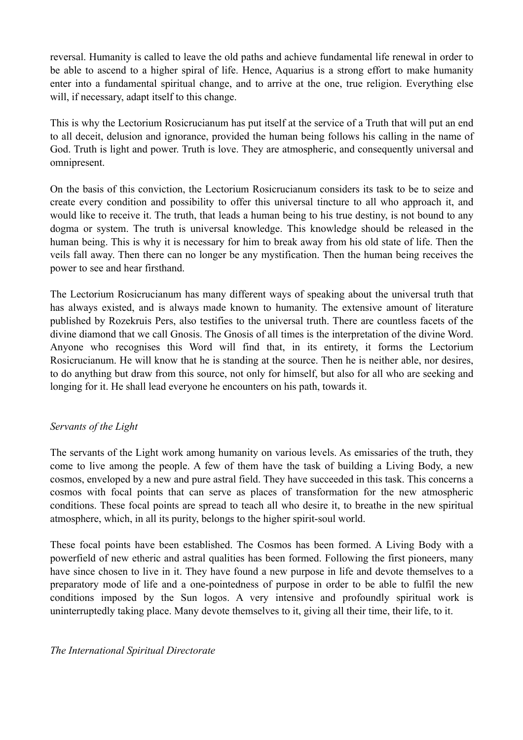reversal. Humanity is called to leave the old paths and achieve fundamental life renewal in order to be able to ascend to a higher spiral of life. Hence, Aquarius is a strong effort to make humanity enter into a fundamental spiritual change, and to arrive at the one, true religion. Everything else will, if necessary, adapt itself to this change.

This is why the Lectorium Rosicrucianum has put itself at the service of a Truth that will put an end to all deceit, delusion and ignorance, provided the human being follows his calling in the name of God. Truth is light and power. Truth is love. They are atmospheric, and consequently universal and omnipresent.

On the basis of this conviction, the Lectorium Rosicrucianum considers its task to be to seize and create every condition and possibility to offer this universal tincture to all who approach it, and would like to receive it. The truth, that leads a human being to his true destiny, is not bound to any dogma or system. The truth is universal knowledge. This knowledge should be released in the human being. This is why it is necessary for him to break away from his old state of life. Then the veils fall away. Then there can no longer be any mystification. Then the human being receives the power to see and hear firsthand.

The Lectorium Rosicrucianum has many different ways of speaking about the universal truth that has always existed, and is always made known to humanity. The extensive amount of literature published by Rozekruis Pers, also testifies to the universal truth. There are countless facets of the divine diamond that we call Gnosis. The Gnosis of all times is the interpretation of the divine Word. Anyone who recognises this Word will find that, in its entirety, it forms the Lectorium Rosicrucianum. He will know that he is standing at the source. Then he is neither able, nor desires, to do anything but draw from this source, not only for himself, but also for all who are seeking and longing for it. He shall lead everyone he encounters on his path, towards it.

### *Servants of the Light*

The servants of the Light work among humanity on various levels. As emissaries of the truth, they come to live among the people. A few of them have the task of building a Living Body, a new cosmos, enveloped by a new and pure astral field. They have succeeded in this task. This concerns a cosmos with focal points that can serve as places of transformation for the new atmospheric conditions. These focal points are spread to teach all who desire it, to breathe in the new spiritual atmosphere, which, in all its purity, belongs to the higher spirit-soul world.

These focal points have been established. The Cosmos has been formed. A Living Body with a powerfield of new etheric and astral qualities has been formed. Following the first pioneers, many have since chosen to live in it. They have found a new purpose in life and devote themselves to a preparatory mode of life and a one-pointedness of purpose in order to be able to fulfil the new conditions imposed by the Sun logos. A very intensive and profoundly spiritual work is uninterruptedly taking place. Many devote themselves to it, giving all their time, their life, to it.

### *The International Spiritual Directorate*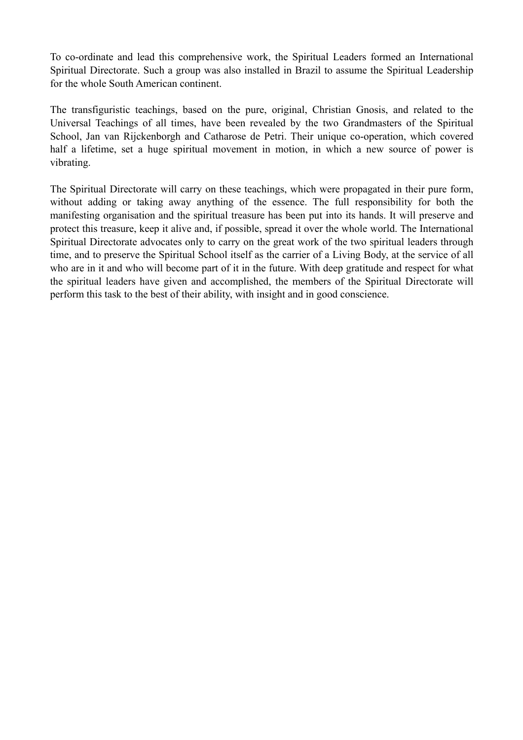To co-ordinate and lead this comprehensive work, the Spiritual Leaders formed an International Spiritual Directorate. Such a group was also installed in Brazil to assume the Spiritual Leadership for the whole South American continent.

The transfiguristic teachings, based on the pure, original, Christian Gnosis, and related to the Universal Teachings of all times, have been revealed by the two Grandmasters of the Spiritual School, Jan van Rijckenborgh and Catharose de Petri. Their unique co-operation, which covered half a lifetime, set a huge spiritual movement in motion, in which a new source of power is vibrating.

The Spiritual Directorate will carry on these teachings, which were propagated in their pure form, without adding or taking away anything of the essence. The full responsibility for both the manifesting organisation and the spiritual treasure has been put into its hands. It will preserve and protect this treasure, keep it alive and, if possible, spread it over the whole world. The International Spiritual Directorate advocates only to carry on the great work of the two spiritual leaders through time, and to preserve the Spiritual School itself as the carrier of a Living Body, at the service of all who are in it and who will become part of it in the future. With deep gratitude and respect for what the spiritual leaders have given and accomplished, the members of the Spiritual Directorate will perform this task to the best of their ability, with insight and in good conscience.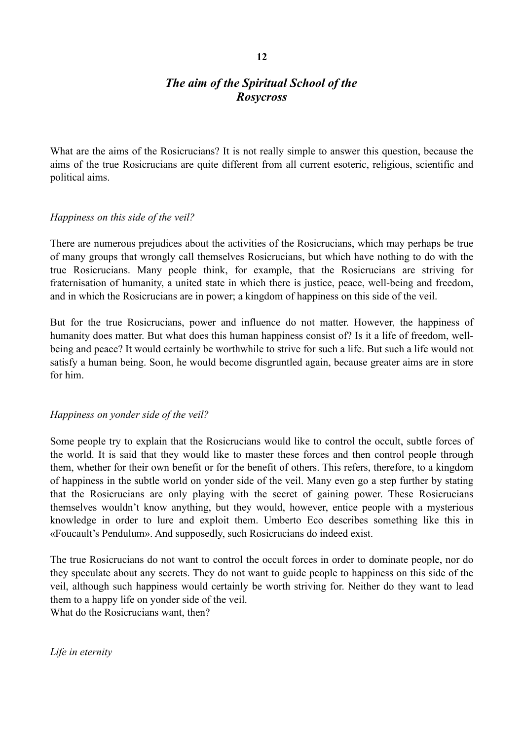# *The aim of the Spiritual School of the Rosycross*

What are the aims of the Rosicrucians? It is not really simple to answer this question, because the aims of the true Rosicrucians are quite different from all current esoteric, religious, scientific and political aims.

### *Happiness on this side of the veil?*

There are numerous prejudices about the activities of the Rosicrucians, which may perhaps be true of many groups that wrongly call themselves Rosicrucians, but which have nothing to do with the true Rosicrucians. Many people think, for example, that the Rosicrucians are striving for fraternisation of humanity, a united state in which there is justice, peace, well-being and freedom, and in which the Rosicrucians are in power; a kingdom of happiness on this side of the veil.

But for the true Rosicrucians, power and influence do not matter. However, the happiness of humanity does matter. But what does this human happiness consist of? Is it a life of freedom, wellbeing and peace? It would certainly be worthwhile to strive for such a life. But such a life would not satisfy a human being. Soon, he would become disgruntled again, because greater aims are in store for him.

### *Happiness on yonder side of the veil?*

Some people try to explain that the Rosicrucians would like to control the occult, subtle forces of the world. It is said that they would like to master these forces and then control people through them, whether for their own benefit or for the benefit of others. This refers, therefore, to a kingdom of happiness in the subtle world on yonder side of the veil. Many even go a step further by stating that the Rosicrucians are only playing with the secret of gaining power. These Rosicrucians themselves wouldn't know anything, but they would, however, entice people with a mysterious knowledge in order to lure and exploit them. Umberto Eco describes something like this in «Foucault's Pendulum». And supposedly, such Rosicrucians do indeed exist.

The true Rosicrucians do not want to control the occult forces in order to dominate people, nor do they speculate about any secrets. They do not want to guide people to happiness on this side of the veil, although such happiness would certainly be worth striving for. Neither do they want to lead them to a happy life on yonder side of the veil. What do the Rosicrucians want, then?

*Life in eternity*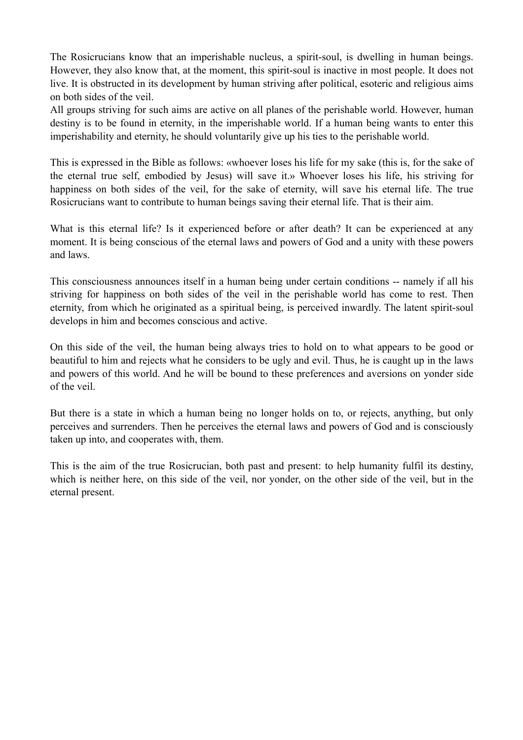The Rosicrucians know that an imperishable nucleus, a spirit-soul, is dwelling in human beings. However, they also know that, at the moment, this spirit-soul is inactive in most people. It does not live. It is obstructed in its development by human striving after political, esoteric and religious aims on both sides of the veil.

All groups striving for such aims are active on all planes of the perishable world. However, human destiny is to be found in eternity, in the imperishable world. If a human being wants to enter this imperishability and eternity, he should voluntarily give up his ties to the perishable world.

This is expressed in the Bible as follows: «whoever loses his life for my sake (this is, for the sake of the eternal true self, embodied by Jesus) will save it.» Whoever loses his life, his striving for happiness on both sides of the veil, for the sake of eternity, will save his eternal life. The true Rosicrucians want to contribute to human beings saving their eternal life. That is their aim.

What is this eternal life? Is it experienced before or after death? It can be experienced at any moment. It is being conscious of the eternal laws and powers of God and a unity with these powers and laws.

This consciousness announces itself in a human being under certain conditions -- namely if all his striving for happiness on both sides of the veil in the perishable world has come to rest. Then eternity, from which he originated as a spiritual being, is perceived inwardly. The latent spirit-soul develops in him and becomes conscious and active.

On this side of the veil, the human being always tries to hold on to what appears to be good or beautiful to him and rejects what he considers to be ugly and evil. Thus, he is caught up in the laws and powers of this world. And he will be bound to these preferences and aversions on yonder side of the veil.

But there is a state in which a human being no longer holds on to, or rejects, anything, but only perceives and surrenders. Then he perceives the eternal laws and powers of God and is consciously taken up into, and cooperates with, them.

This is the aim of the true Rosicrucian, both past and present: to help humanity fulfil its destiny, which is neither here, on this side of the veil, nor yonder, on the other side of the veil, but in the eternal present.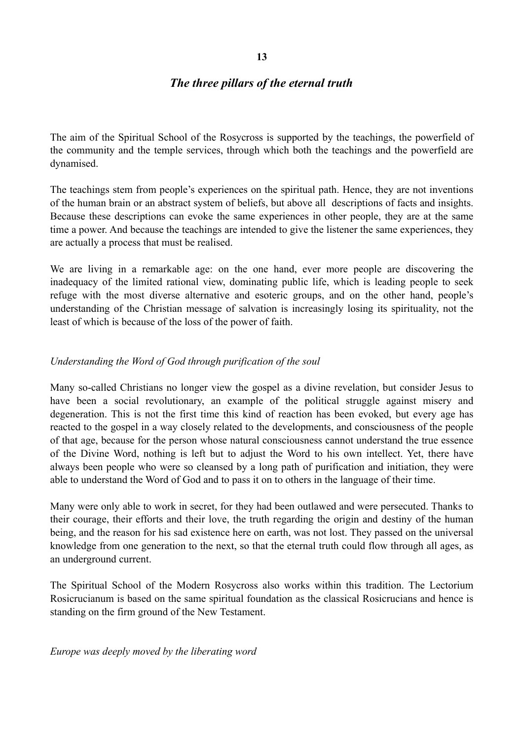# *The three pillars of the eternal truth*

The aim of the Spiritual School of the Rosycross is supported by the teachings, the powerfield of the community and the temple services, through which both the teachings and the powerfield are dynamised.

The teachings stem from people's experiences on the spiritual path. Hence, they are not inventions of the human brain or an abstract system of beliefs, but above all descriptions of facts and insights. Because these descriptions can evoke the same experiences in other people, they are at the same time a power. And because the teachings are intended to give the listener the same experiences, they are actually a process that must be realised.

We are living in a remarkable age: on the one hand, ever more people are discovering the inadequacy of the limited rational view, dominating public life, which is leading people to seek refuge with the most diverse alternative and esoteric groups, and on the other hand, people's understanding of the Christian message of salvation is increasingly losing its spirituality, not the least of which is because of the loss of the power of faith.

### *Understanding the Word of God through purification of the soul*

Many so-called Christians no longer view the gospel as a divine revelation, but consider Jesus to have been a social revolutionary, an example of the political struggle against misery and degeneration. This is not the first time this kind of reaction has been evoked, but every age has reacted to the gospel in a way closely related to the developments, and consciousness of the people of that age, because for the person whose natural consciousness cannot understand the true essence of the Divine Word, nothing is left but to adjust the Word to his own intellect. Yet, there have always been people who were so cleansed by a long path of purification and initiation, they were able to understand the Word of God and to pass it on to others in the language of their time.

Many were only able to work in secret, for they had been outlawed and were persecuted. Thanks to their courage, their efforts and their love, the truth regarding the origin and destiny of the human being, and the reason for his sad existence here on earth, was not lost. They passed on the universal knowledge from one generation to the next, so that the eternal truth could flow through all ages, as an underground current.

The Spiritual School of the Modern Rosycross also works within this tradition. The Lectorium Rosicrucianum is based on the same spiritual foundation as the classical Rosicrucians and hence is standing on the firm ground of the New Testament.

*Europe was deeply moved by the liberating word*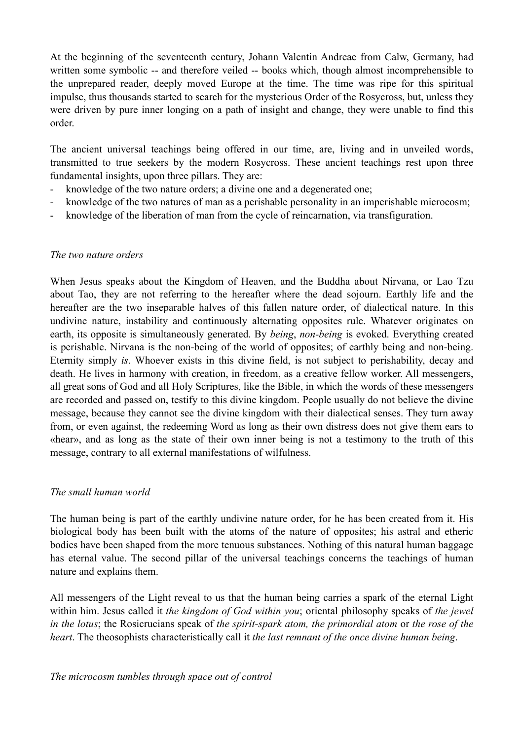At the beginning of the seventeenth century, Johann Valentin Andreae from Calw, Germany, had written some symbolic -- and therefore veiled -- books which, though almost incomprehensible to the unprepared reader, deeply moved Europe at the time. The time was ripe for this spiritual impulse, thus thousands started to search for the mysterious Order of the Rosycross, but, unless they were driven by pure inner longing on a path of insight and change, they were unable to find this order.

The ancient universal teachings being offered in our time, are, living and in unveiled words, transmitted to true seekers by the modern Rosycross. These ancient teachings rest upon three fundamental insights, upon three pillars. They are:

- knowledge of the two nature orders; a divine one and a degenerated one;
- knowledge of the two natures of man as a perishable personality in an imperishable microcosm;
- knowledge of the liberation of man from the cycle of reincarnation, via transfiguration.

### *The two nature orders*

When Jesus speaks about the Kingdom of Heaven, and the Buddha about Nirvana, or Lao Tzu about Tao, they are not referring to the hereafter where the dead sojourn. Earthly life and the hereafter are the two inseparable halves of this fallen nature order, of dialectical nature. In this undivine nature, instability and continuously alternating opposites rule. Whatever originates on earth, its opposite is simultaneously generated. By *being*, *non-being* is evoked. Everything created is perishable. Nirvana is the non-being of the world of opposites; of earthly being and non-being. Eternity simply *is*. Whoever exists in this divine field, is not subject to perishability, decay and death. He lives in harmony with creation, in freedom, as a creative fellow worker. All messengers, all great sons of God and all Holy Scriptures, like the Bible, in which the words of these messengers are recorded and passed on, testify to this divine kingdom. People usually do not believe the divine message, because they cannot see the divine kingdom with their dialectical senses. They turn away from, or even against, the redeeming Word as long as their own distress does not give them ears to «hear», and as long as the state of their own inner being is not a testimony to the truth of this message, contrary to all external manifestations of wilfulness.

### *The small human world*

The human being is part of the earthly undivine nature order, for he has been created from it. His biological body has been built with the atoms of the nature of opposites; his astral and etheric bodies have been shaped from the more tenuous substances. Nothing of this natural human baggage has eternal value. The second pillar of the universal teachings concerns the teachings of human nature and explains them.

All messengers of the Light reveal to us that the human being carries a spark of the eternal Light within him. Jesus called it *the kingdom of God within you*; oriental philosophy speaks of *the jewel in the lotus*; the Rosicrucians speak of *the spirit-spark atom, the primordial atom* or *the rose of the heart*. The theosophists characteristically call it *the last remnant of the once divine human being*.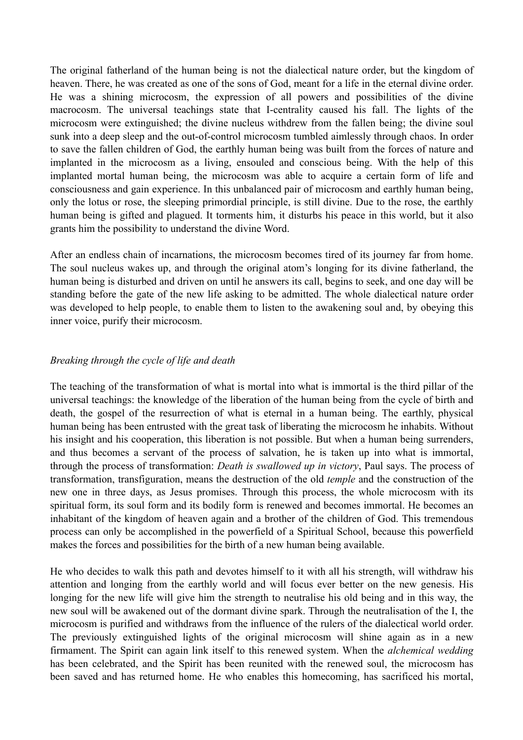The original fatherland of the human being is not the dialectical nature order, but the kingdom of heaven. There, he was created as one of the sons of God, meant for a life in the eternal divine order. He was a shining microcosm, the expression of all powers and possibilities of the divine macrocosm. The universal teachings state that I-centrality caused his fall. The lights of the microcosm were extinguished; the divine nucleus withdrew from the fallen being; the divine soul sunk into a deep sleep and the out-of-control microcosm tumbled aimlessly through chaos. In order to save the fallen children of God, the earthly human being was built from the forces of nature and implanted in the microcosm as a living, ensouled and conscious being. With the help of this implanted mortal human being, the microcosm was able to acquire a certain form of life and consciousness and gain experience. In this unbalanced pair of microcosm and earthly human being, only the lotus or rose, the sleeping primordial principle, is still divine. Due to the rose, the earthly human being is gifted and plagued. It torments him, it disturbs his peace in this world, but it also grants him the possibility to understand the divine Word.

After an endless chain of incarnations, the microcosm becomes tired of its journey far from home. The soul nucleus wakes up, and through the original atom's longing for its divine fatherland, the human being is disturbed and driven on until he answers its call, begins to seek, and one day will be standing before the gate of the new life asking to be admitted. The whole dialectical nature order was developed to help people, to enable them to listen to the awakening soul and, by obeying this inner voice, purify their microcosm.

#### *Breaking through the cycle of life and death*

The teaching of the transformation of what is mortal into what is immortal is the third pillar of the universal teachings: the knowledge of the liberation of the human being from the cycle of birth and death, the gospel of the resurrection of what is eternal in a human being. The earthly, physical human being has been entrusted with the great task of liberating the microcosm he inhabits. Without his insight and his cooperation, this liberation is not possible. But when a human being surrenders, and thus becomes a servant of the process of salvation, he is taken up into what is immortal, through the process of transformation: *Death is swallowed up in victory*, Paul says. The process of transformation, transfiguration, means the destruction of the old *temple* and the construction of the new one in three days, as Jesus promises. Through this process, the whole microcosm with its spiritual form, its soul form and its bodily form is renewed and becomes immortal. He becomes an inhabitant of the kingdom of heaven again and a brother of the children of God. This tremendous process can only be accomplished in the powerfield of a Spiritual School, because this powerfield makes the forces and possibilities for the birth of a new human being available.

He who decides to walk this path and devotes himself to it with all his strength, will withdraw his attention and longing from the earthly world and will focus ever better on the new genesis. His longing for the new life will give him the strength to neutralise his old being and in this way, the new soul will be awakened out of the dormant divine spark. Through the neutralisation of the I, the microcosm is purified and withdraws from the influence of the rulers of the dialectical world order. The previously extinguished lights of the original microcosm will shine again as in a new firmament. The Spirit can again link itself to this renewed system. When the *alchemical wedding* has been celebrated, and the Spirit has been reunited with the renewed soul, the microcosm has been saved and has returned home. He who enables this homecoming, has sacrificed his mortal,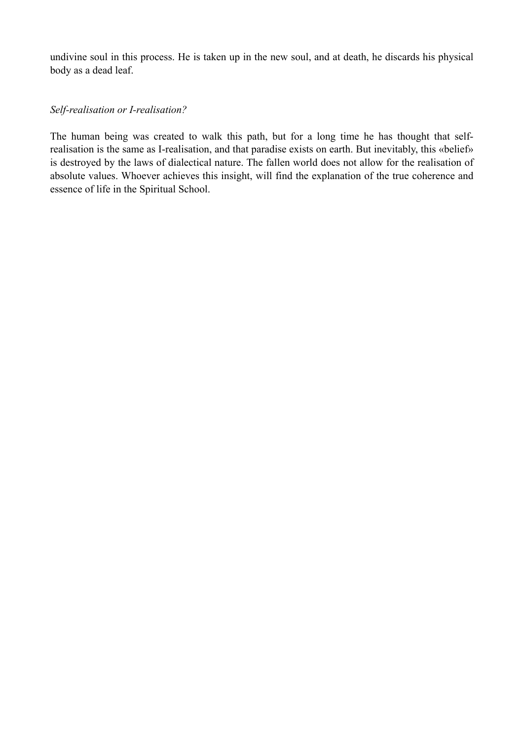undivine soul in this process. He is taken up in the new soul, and at death, he discards his physical body as a dead leaf.

### *Self-realisation or I-realisation?*

The human being was created to walk this path, but for a long time he has thought that selfrealisation is the same as I-realisation, and that paradise exists on earth. But inevitably, this «belief» is destroyed by the laws of dialectical nature. The fallen world does not allow for the realisation of absolute values. Whoever achieves this insight, will find the explanation of the true coherence and essence of life in the Spiritual School.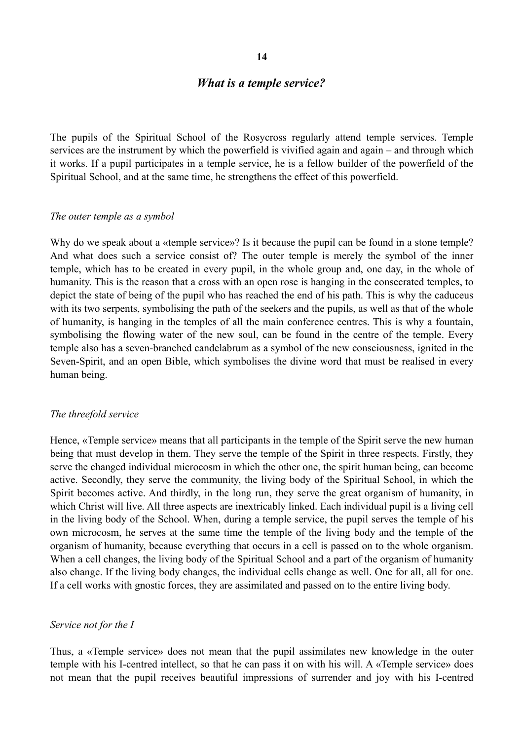#### *What is a temple service?*

The pupils of the Spiritual School of the Rosycross regularly attend temple services. Temple services are the instrument by which the powerfield is vivified again and again – and through which it works. If a pupil participates in a temple service, he is a fellow builder of the powerfield of the Spiritual School, and at the same time, he strengthens the effect of this powerfield.

#### *The outer temple as a symbol*

Why do we speak about a «temple service»? Is it because the pupil can be found in a stone temple? And what does such a service consist of? The outer temple is merely the symbol of the inner temple, which has to be created in every pupil, in the whole group and, one day, in the whole of humanity. This is the reason that a cross with an open rose is hanging in the consecrated temples, to depict the state of being of the pupil who has reached the end of his path. This is why the caduceus with its two serpents, symbolising the path of the seekers and the pupils, as well as that of the whole of humanity, is hanging in the temples of all the main conference centres. This is why a fountain, symbolising the flowing water of the new soul, can be found in the centre of the temple. Every temple also has a seven-branched candelabrum as a symbol of the new consciousness, ignited in the Seven-Spirit, and an open Bible, which symbolises the divine word that must be realised in every human being.

#### *The threefold service*

Hence, «Temple service» means that all participants in the temple of the Spirit serve the new human being that must develop in them. They serve the temple of the Spirit in three respects. Firstly, they serve the changed individual microcosm in which the other one, the spirit human being, can become active. Secondly, they serve the community, the living body of the Spiritual School, in which the Spirit becomes active. And thirdly, in the long run, they serve the great organism of humanity, in which Christ will live. All three aspects are inextricably linked. Each individual pupil is a living cell in the living body of the School. When, during a temple service, the pupil serves the temple of his own microcosm, he serves at the same time the temple of the living body and the temple of the organism of humanity, because everything that occurs in a cell is passed on to the whole organism. When a cell changes, the living body of the Spiritual School and a part of the organism of humanity also change. If the living body changes, the individual cells change as well. One for all, all for one. If a cell works with gnostic forces, they are assimilated and passed on to the entire living body.

#### *Service not for the I*

Thus, a «Temple service» does not mean that the pupil assimilates new knowledge in the outer temple with his I-centred intellect, so that he can pass it on with his will. A «Temple service» does not mean that the pupil receives beautiful impressions of surrender and joy with his I-centred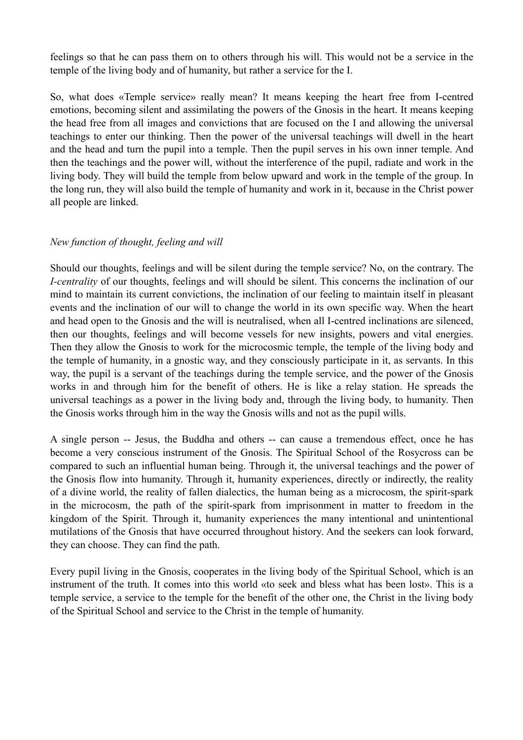feelings so that he can pass them on to others through his will. This would not be a service in the temple of the living body and of humanity, but rather a service for the I.

So, what does «Temple service» really mean? It means keeping the heart free from I-centred emotions, becoming silent and assimilating the powers of the Gnosis in the heart. It means keeping the head free from all images and convictions that are focused on the I and allowing the universal teachings to enter our thinking. Then the power of the universal teachings will dwell in the heart and the head and turn the pupil into a temple. Then the pupil serves in his own inner temple. And then the teachings and the power will, without the interference of the pupil, radiate and work in the living body. They will build the temple from below upward and work in the temple of the group. In the long run, they will also build the temple of humanity and work in it, because in the Christ power all people are linked.

### *New function of thought, feeling and will*

Should our thoughts, feelings and will be silent during the temple service? No, on the contrary. The *I-centrality* of our thoughts, feelings and will should be silent. This concerns the inclination of our mind to maintain its current convictions, the inclination of our feeling to maintain itself in pleasant events and the inclination of our will to change the world in its own specific way. When the heart and head open to the Gnosis and the will is neutralised, when all I-centred inclinations are silenced, then our thoughts, feelings and will become vessels for new insights, powers and vital energies. Then they allow the Gnosis to work for the microcosmic temple, the temple of the living body and the temple of humanity, in a gnostic way, and they consciously participate in it, as servants. In this way, the pupil is a servant of the teachings during the temple service, and the power of the Gnosis works in and through him for the benefit of others. He is like a relay station. He spreads the universal teachings as a power in the living body and, through the living body, to humanity. Then the Gnosis works through him in the way the Gnosis wills and not as the pupil wills.

A single person -- Jesus, the Buddha and others -- can cause a tremendous effect, once he has become a very conscious instrument of the Gnosis. The Spiritual School of the Rosycross can be compared to such an influential human being. Through it, the universal teachings and the power of the Gnosis flow into humanity. Through it, humanity experiences, directly or indirectly, the reality of a divine world, the reality of fallen dialectics, the human being as a microcosm, the spirit-spark in the microcosm, the path of the spirit-spark from imprisonment in matter to freedom in the kingdom of the Spirit. Through it, humanity experiences the many intentional and unintentional mutilations of the Gnosis that have occurred throughout history. And the seekers can look forward, they can choose. They can find the path.

Every pupil living in the Gnosis, cooperates in the living body of the Spiritual School, which is an instrument of the truth. It comes into this world «to seek and bless what has been lost». This is a temple service, a service to the temple for the benefit of the other one, the Christ in the living body of the Spiritual School and service to the Christ in the temple of humanity.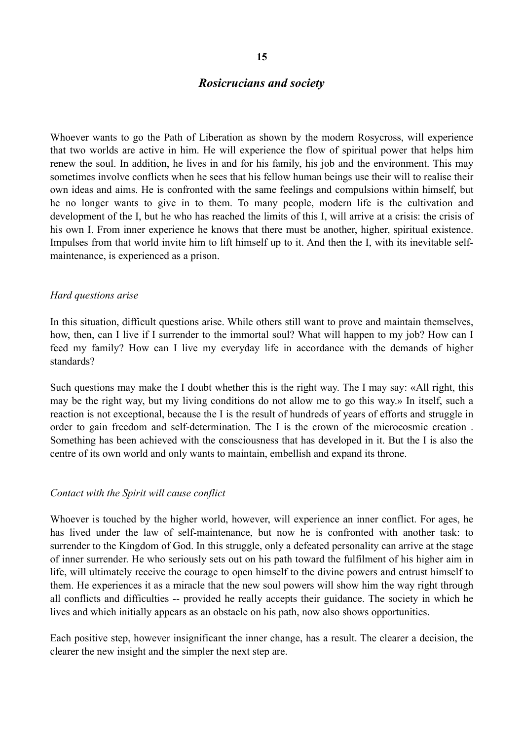## *Rosicrucians and society*

Whoever wants to go the Path of Liberation as shown by the modern Rosycross, will experience that two worlds are active in him. He will experience the flow of spiritual power that helps him renew the soul. In addition, he lives in and for his family, his job and the environment. This may sometimes involve conflicts when he sees that his fellow human beings use their will to realise their own ideas and aims. He is confronted with the same feelings and compulsions within himself, but he no longer wants to give in to them. To many people, modern life is the cultivation and development of the I, but he who has reached the limits of this I, will arrive at a crisis: the crisis of his own I. From inner experience he knows that there must be another, higher, spiritual existence. Impulses from that world invite him to lift himself up to it. And then the I, with its inevitable selfmaintenance, is experienced as a prison.

#### *Hard questions arise*

In this situation, difficult questions arise. While others still want to prove and maintain themselves, how, then, can I live if I surrender to the immortal soul? What will happen to my job? How can I feed my family? How can I live my everyday life in accordance with the demands of higher standards?

Such questions may make the I doubt whether this is the right way. The I may say: «All right, this may be the right way, but my living conditions do not allow me to go this way.» In itself, such a reaction is not exceptional, because the I is the result of hundreds of years of efforts and struggle in order to gain freedom and self-determination. The I is the crown of the microcosmic creation . Something has been achieved with the consciousness that has developed in it. But the I is also the centre of its own world and only wants to maintain, embellish and expand its throne.

#### *Contact with the Spirit will cause conflict*

Whoever is touched by the higher world, however, will experience an inner conflict. For ages, he has lived under the law of self-maintenance, but now he is confronted with another task: to surrender to the Kingdom of God. In this struggle, only a defeated personality can arrive at the stage of inner surrender. He who seriously sets out on his path toward the fulfilment of his higher aim in life, will ultimately receive the courage to open himself to the divine powers and entrust himself to them. He experiences it as a miracle that the new soul powers will show him the way right through all conflicts and difficulties -- provided he really accepts their guidance. The society in which he lives and which initially appears as an obstacle on his path, now also shows opportunities.

Each positive step, however insignificant the inner change, has a result. The clearer a decision, the clearer the new insight and the simpler the next step are.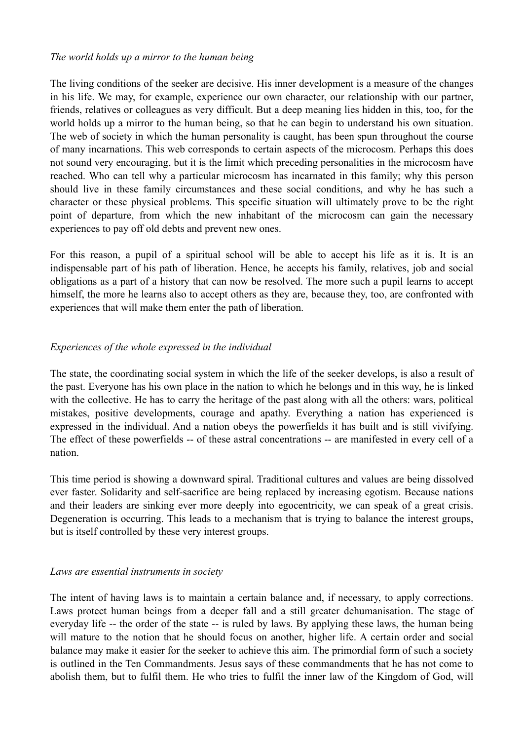### *The world holds up a mirror to the human being*

The living conditions of the seeker are decisive. His inner development is a measure of the changes in his life. We may, for example, experience our own character, our relationship with our partner, friends, relatives or colleagues as very difficult. But a deep meaning lies hidden in this, too, for the world holds up a mirror to the human being, so that he can begin to understand his own situation. The web of society in which the human personality is caught, has been spun throughout the course of many incarnations. This web corresponds to certain aspects of the microcosm. Perhaps this does not sound very encouraging, but it is the limit which preceding personalities in the microcosm have reached. Who can tell why a particular microcosm has incarnated in this family; why this person should live in these family circumstances and these social conditions, and why he has such a character or these physical problems. This specific situation will ultimately prove to be the right point of departure, from which the new inhabitant of the microcosm can gain the necessary experiences to pay off old debts and prevent new ones.

For this reason, a pupil of a spiritual school will be able to accept his life as it is. It is an indispensable part of his path of liberation. Hence, he accepts his family, relatives, job and social obligations as a part of a history that can now be resolved. The more such a pupil learns to accept himself, the more he learns also to accept others as they are, because they, too, are confronted with experiences that will make them enter the path of liberation.

## *Experiences of the whole expressed in the individual*

The state, the coordinating social system in which the life of the seeker develops, is also a result of the past. Everyone has his own place in the nation to which he belongs and in this way, he is linked with the collective. He has to carry the heritage of the past along with all the others: wars, political mistakes, positive developments, courage and apathy. Everything a nation has experienced is expressed in the individual. And a nation obeys the powerfields it has built and is still vivifying. The effect of these powerfields -- of these astral concentrations -- are manifested in every cell of a nation.

This time period is showing a downward spiral. Traditional cultures and values are being dissolved ever faster. Solidarity and self-sacrifice are being replaced by increasing egotism. Because nations and their leaders are sinking ever more deeply into egocentricity, we can speak of a great crisis. Degeneration is occurring. This leads to a mechanism that is trying to balance the interest groups, but is itself controlled by these very interest groups.

## *Laws are essential instruments in society*

The intent of having laws is to maintain a certain balance and, if necessary, to apply corrections. Laws protect human beings from a deeper fall and a still greater dehumanisation. The stage of everyday life -- the order of the state -- is ruled by laws. By applying these laws, the human being will mature to the notion that he should focus on another, higher life. A certain order and social balance may make it easier for the seeker to achieve this aim. The primordial form of such a society is outlined in the Ten Commandments. Jesus says of these commandments that he has not come to abolish them, but to fulfil them. He who tries to fulfil the inner law of the Kingdom of God, will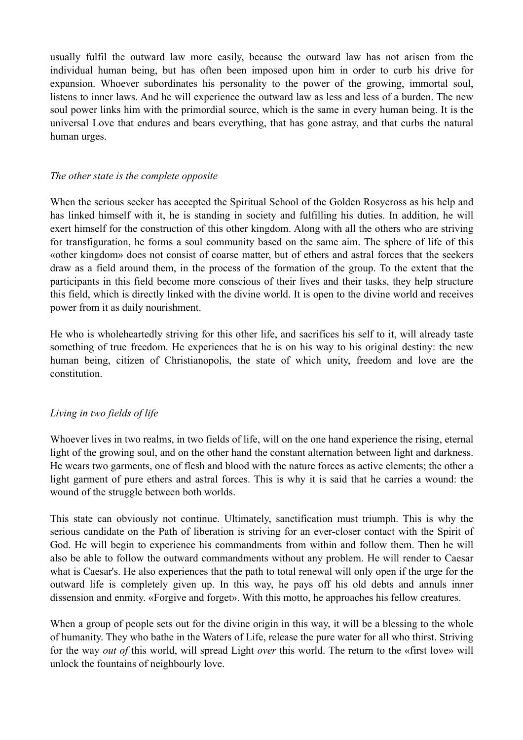usually fulfil the outward law more easily, because the outward law has not arisen from the individual human being, but has often been imposed upon him in order to curb his drive for expansion. Whoever subordinates his personality to the power of the growing, immortal soul, listens to inner laws. And he will experience the outward law as less and less of a burden. The new soul power links him with the primordial source, which is the same in every human being. It is the universal Love that endures and bears everything, that has gone astray, and that curbs the natural human urges.

## *The other state is the complete opposite*

When the serious seeker has accepted the Spiritual School of the Golden Rosycross as his help and has linked himself with it, he is standing in society and fulfilling his duties. In addition, he will exert himself for the construction of this other kingdom. Along with all the others who are striving for transfiguration, he forms a soul community based on the same aim. The sphere of life of this «other kingdom» does not consist of coarse matter, but of ethers and astral forces that the seekers draw as a field around them, in the process of the formation of the group. To the extent that the participants in this field become more conscious of their lives and their tasks, they help structure this field, which is directly linked with the divine world. It is open to the divine world and receives power from it as daily nourishment.

He who is wholeheartedly striving for this other life, and sacrifices his self to it, will already taste something of true freedom. He experiences that he is on his way to his original destiny: the new human being, citizen of Christianopolis, the state of which unity, freedom and love are the constitution.

# *Living in two fields of life*

Whoever lives in two realms, in two fields of life, will on the one hand experience the rising, eternal light of the growing soul, and on the other hand the constant alternation between light and darkness. He wears two garments, one of flesh and blood with the nature forces as active elements; the other a light garment of pure ethers and astral forces. This is why it is said that he carries a wound: the wound of the struggle between both worlds.

This state can obviously not continue. Ultimately, sanctification must triumph. This is why the serious candidate on the Path of liberation is striving for an ever-closer contact with the Spirit of God. He will begin to experience his commandments from within and follow them. Then he will also be able to follow the outward commandments without any problem. He will render to Caesar what is Caesar's. He also experiences that the path to total renewal will only open if the urge for the outward life is completely given up. In this way, he pays off his old debts and annuls inner dissension and enmity. «Forgive and forget». With this motto, he approaches his fellow creatures.

When a group of people sets out for the divine origin in this way, it will be a blessing to the whole of humanity. They who bathe in the Waters of Life, release the pure water for all who thirst. Striving for the way *out of* this world, will spread Light *over* this world. The return to the «first love» will unlock the fountains of neighbourly love.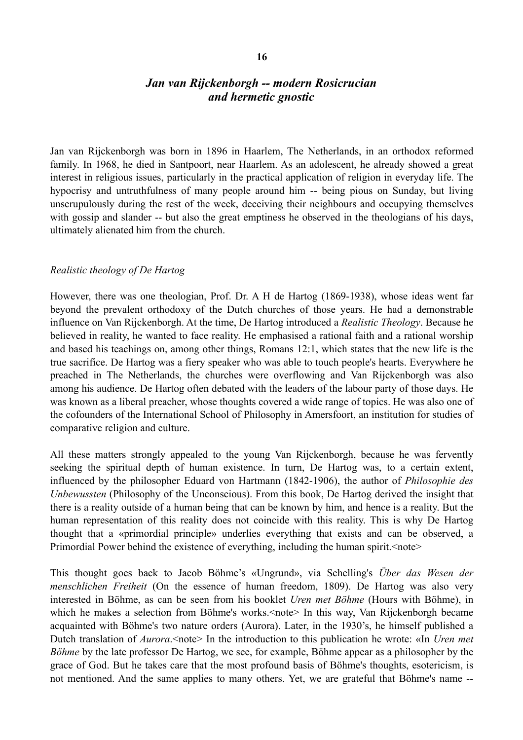# *Jan van Rijckenborgh -- modern Rosicrucian and hermetic gnostic*

Jan van Rijckenborgh was born in 1896 in Haarlem, The Netherlands, in an orthodox reformed family. In 1968, he died in Santpoort, near Haarlem. As an adolescent, he already showed a great interest in religious issues, particularly in the practical application of religion in everyday life. The hypocrisy and untruthfulness of many people around him -- being pious on Sunday, but living unscrupulously during the rest of the week, deceiving their neighbours and occupying themselves with gossip and slander -- but also the great emptiness he observed in the theologians of his days, ultimately alienated him from the church.

## *Realistic theology of De Hartog*

However, there was one theologian, Prof. Dr. A H de Hartog (1869-1938), whose ideas went far beyond the prevalent orthodoxy of the Dutch churches of those years. He had a demonstrable influence on Van Rijckenborgh. At the time, De Hartog introduced a *Realistic Theology*. Because he believed in reality, he wanted to face reality. He emphasised a rational faith and a rational worship and based his teachings on, among other things, Romans 12:1, which states that the new life is the true sacrifice. De Hartog was a fiery speaker who was able to touch people's hearts. Everywhere he preached in The Netherlands, the churches were overflowing and Van Rijckenborgh was also among his audience. De Hartog often debated with the leaders of the labour party of those days. He was known as a liberal preacher, whose thoughts covered a wide range of topics. He was also one of the cofounders of the International School of Philosophy in Amersfoort, an institution for studies of comparative religion and culture.

All these matters strongly appealed to the young Van Rijckenborgh, because he was fervently seeking the spiritual depth of human existence. In turn, De Hartog was, to a certain extent, influenced by the philosopher Eduard von Hartmann (1842-1906), the author of *Philosophie des Unbewussten* (Philosophy of the Unconscious). From this book, De Hartog derived the insight that there is a reality outside of a human being that can be known by him, and hence is a reality. But the human representation of this reality does not coincide with this reality. This is why De Hartog thought that a «primordial principle» underlies everything that exists and can be observed, a Primordial Power behind the existence of everything, including the human spirit. < note>

This thought goes back to Jacob Böhme's «Ungrund», via Schelling's *Über das Wesen der menschlichen Freiheit* (On the essence of human freedom, 1809). De Hartog was also very interested in Böhme, as can be seen from his booklet *Uren met Böhme* (Hours with Böhme), in which he makes a selection from Böhme's works.<note> In this way, Van Rijckenborgh became acquainted with Böhme's two nature orders (Aurora). Later, in the 1930's, he himself published a Dutch translation of *Aurora*.<note> In the introduction to this publication he wrote: «In *Uren met Böhme* by the late professor De Hartog, we see, for example, Böhme appear as a philosopher by the grace of God. But he takes care that the most profound basis of Böhme's thoughts, esotericism, is not mentioned. And the same applies to many others. Yet, we are grateful that Böhme's name --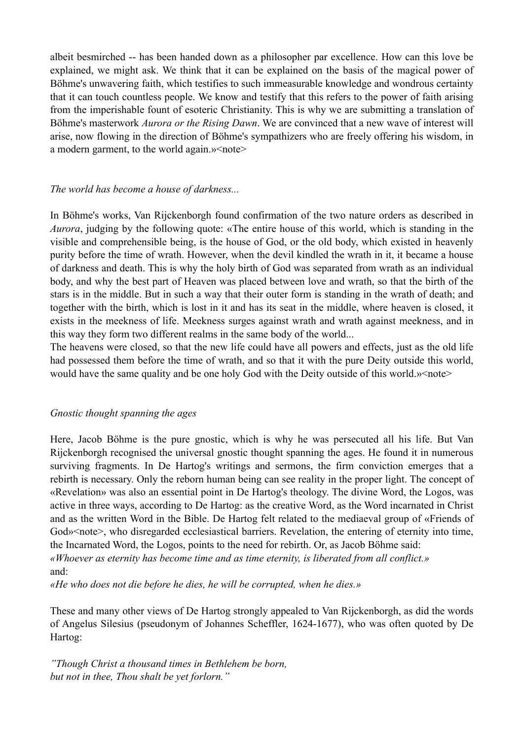albeit besmirched -- has been handed down as a philosopher par excellence. How can this love be explained, we might ask. We think that it can be explained on the basis of the magical power of Böhme's unwavering faith, which testifies to such immeasurable knowledge and wondrous certainty that it can touch countless people. We know and testify that this refers to the power of faith arising from the imperishable fount of esoteric Christianity. This is why we are submitting a translation of Böhme's masterwork *Aurora or the Rising Dawn*. We are convinced that a new wave of interest will arise, now flowing in the direction of Böhme's sympathizers who are freely offering his wisdom, in a modern garment, to the world again.» < note >

### *The world has become a house of darkness...*

In Böhme's works, Van Rijckenborgh found confirmation of the two nature orders as described in *Aurora*, judging by the following quote: «The entire house of this world, which is standing in the visible and comprehensible being, is the house of God, or the old body, which existed in heavenly purity before the time of wrath. However, when the devil kindled the wrath in it, it became a house of darkness and death. This is why the holy birth of God was separated from wrath as an individual body, and why the best part of Heaven was placed between love and wrath, so that the birth of the stars is in the middle. But in such a way that their outer form is standing in the wrath of death; and together with the birth, which is lost in it and has its seat in the middle, where heaven is closed, it exists in the meekness of life. Meekness surges against wrath and wrath against meekness, and in this way they form two different realms in the same body of the world...

The heavens were closed, so that the new life could have all powers and effects, just as the old life had possessed them before the time of wrath, and so that it with the pure Deity outside this world, would have the same quality and be one holy God with the Deity outside of this world.» < note>

## *Gnostic thought spanning the ages*

Here, Jacob Böhme is the pure gnostic, which is why he was persecuted all his life. But Van Rijckenborgh recognised the universal gnostic thought spanning the ages. He found it in numerous surviving fragments. In De Hartog's writings and sermons, the firm conviction emerges that a rebirth is necessary. Only the reborn human being can see reality in the proper light. The concept of «Revelation» was also an essential point in De Hartog's theology. The divine Word, the Logos, was active in three ways, according to De Hartog: as the creative Word, as the Word incarnated in Christ and as the written Word in the Bible. De Hartog felt related to the mediaeval group of «Friends of God» < note >, who disregarded ecclesiastical barriers. Revelation, the entering of eternity into time, the Incarnated Word, the Logos, points to the need for rebirth. Or, as Jacob Böhme said: *«Whoever as eternity has become time and as time eternity, is liberated from all conflict.»*  and:

*«He who does not die before he dies, he will be corrupted, when he dies.»* 

These and many other views of De Hartog strongly appealed to Van Rijckenborgh, as did the words of Angelus Silesius (pseudonym of Johannes Scheffler, 1624-1677), who was often quoted by De Hartog:

*"Though Christ a thousand times in Bethlehem be born, but not in thee, Thou shalt be yet forlorn."*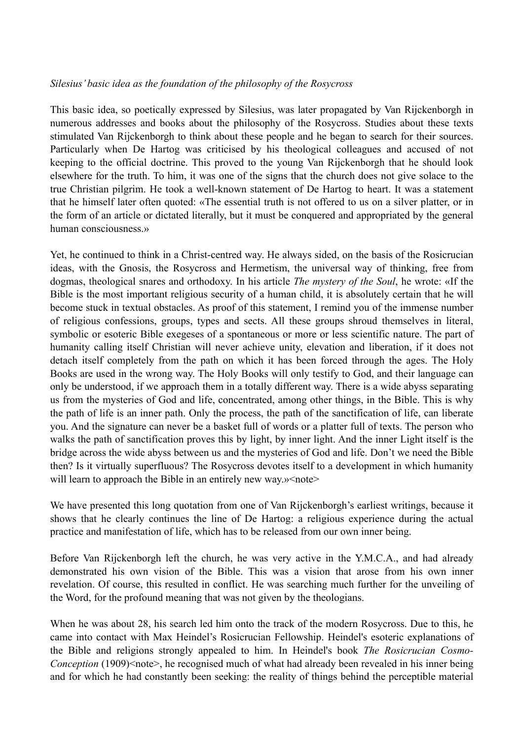## *Silesius' basic idea as the foundation of the philosophy of the Rosycross*

This basic idea, so poetically expressed by Silesius, was later propagated by Van Rijckenborgh in numerous addresses and books about the philosophy of the Rosycross. Studies about these texts stimulated Van Rijckenborgh to think about these people and he began to search for their sources. Particularly when De Hartog was criticised by his theological colleagues and accused of not keeping to the official doctrine. This proved to the young Van Rijckenborgh that he should look elsewhere for the truth. To him, it was one of the signs that the church does not give solace to the true Christian pilgrim. He took a well-known statement of De Hartog to heart. It was a statement that he himself later often quoted: «The essential truth is not offered to us on a silver platter, or in the form of an article or dictated literally, but it must be conquered and appropriated by the general human consciousness.»

Yet, he continued to think in a Christ-centred way. He always sided, on the basis of the Rosicrucian ideas, with the Gnosis, the Rosycross and Hermetism, the universal way of thinking, free from dogmas, theological snares and orthodoxy. In his article *The mystery of the Soul*, he wrote: «If the Bible is the most important religious security of a human child, it is absolutely certain that he will become stuck in textual obstacles. As proof of this statement, I remind you of the immense number of religious confessions, groups, types and sects. All these groups shroud themselves in literal, symbolic or esoteric Bible exegeses of a spontaneous or more or less scientific nature. The part of humanity calling itself Christian will never achieve unity, elevation and liberation, if it does not detach itself completely from the path on which it has been forced through the ages. The Holy Books are used in the wrong way. The Holy Books will only testify to God, and their language can only be understood, if we approach them in a totally different way. There is a wide abyss separating us from the mysteries of God and life, concentrated, among other things, in the Bible. This is why the path of life is an inner path. Only the process, the path of the sanctification of life, can liberate you. And the signature can never be a basket full of words or a platter full of texts. The person who walks the path of sanctification proves this by light, by inner light. And the inner Light itself is the bridge across the wide abyss between us and the mysteries of God and life. Don't we need the Bible then? Is it virtually superfluous? The Rosycross devotes itself to a development in which humanity will learn to approach the Bible in an entirely new way.» < note>

We have presented this long quotation from one of Van Rijckenborgh's earliest writings, because it shows that he clearly continues the line of De Hartog: a religious experience during the actual practice and manifestation of life, which has to be released from our own inner being.

Before Van Rijckenborgh left the church, he was very active in the Y.M.C.A., and had already demonstrated his own vision of the Bible. This was a vision that arose from his own inner revelation. Of course, this resulted in conflict. He was searching much further for the unveiling of the Word, for the profound meaning that was not given by the theologians.

When he was about 28, his search led him onto the track of the modern Rosycross. Due to this, he came into contact with Max Heindel's Rosicrucian Fellowship. Heindel's esoteric explanations of the Bible and religions strongly appealed to him. In Heindel's book *The Rosicrucian Cosmo-Conception* (1909)<note>, he recognised much of what had already been revealed in his inner being and for which he had constantly been seeking: the reality of things behind the perceptible material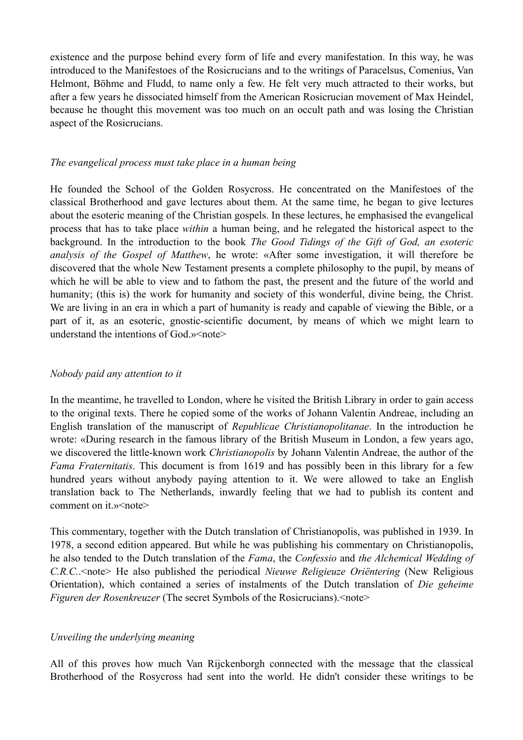existence and the purpose behind every form of life and every manifestation. In this way, he was introduced to the Manifestoes of the Rosicrucians and to the writings of Paracelsus, Comenius, Van Helmont, Böhme and Fludd, to name only a few. He felt very much attracted to their works, but after a few years he dissociated himself from the American Rosicrucian movement of Max Heindel, because he thought this movement was too much on an occult path and was losing the Christian aspect of the Rosicrucians.

#### *The evangelical process must take place in a human being*

He founded the School of the Golden Rosycross. He concentrated on the Manifestoes of the classical Brotherhood and gave lectures about them. At the same time, he began to give lectures about the esoteric meaning of the Christian gospels. In these lectures, he emphasised the evangelical process that has to take place *within* a human being, and he relegated the historical aspect to the background. In the introduction to the book *The Good Tidings of the Gift of God, an esoteric analysis of the Gospel of Matthew*, he wrote: «After some investigation, it will therefore be discovered that the whole New Testament presents a complete philosophy to the pupil, by means of which he will be able to view and to fathom the past, the present and the future of the world and humanity; (this is) the work for humanity and society of this wonderful, divine being, the Christ. We are living in an era in which a part of humanity is ready and capable of viewing the Bible, or a part of it, as an esoteric, gnostic-scientific document, by means of which we might learn to understand the intentions of God.» < note>

#### *Nobody paid any attention to it*

In the meantime, he travelled to London, where he visited the British Library in order to gain access to the original texts. There he copied some of the works of Johann Valentin Andreae, including an English translation of the manuscript of *Republicae Christianopolitanae*. In the introduction he wrote: «During research in the famous library of the British Museum in London, a few years ago, we discovered the little-known work *Christianopolis* by Johann Valentin Andreae, the author of the *Fama Fraternitatis*. This document is from 1619 and has possibly been in this library for a few hundred years without anybody paying attention to it. We were allowed to take an English translation back to The Netherlands, inwardly feeling that we had to publish its content and comment on it.» < note>

This commentary, together with the Dutch translation of Christianopolis, was published in 1939. In 1978, a second edition appeared. But while he was publishing his commentary on Christianopolis, he also tended to the Dutch translation of the *Fama*, the *Confessio* and *the Alchemical Wedding of C.R.C.*.<note> He also published the periodical *Nieuwe Religieuze Oriëntering* (New Religious Orientation), which contained a series of instalments of the Dutch translation of *Die geheime Figuren der Rosenkreuzer* (The secret Symbols of the Rosicrucians).<note>

#### *Unveiling the underlying meaning*

All of this proves how much Van Rijckenborgh connected with the message that the classical Brotherhood of the Rosycross had sent into the world. He didn't consider these writings to be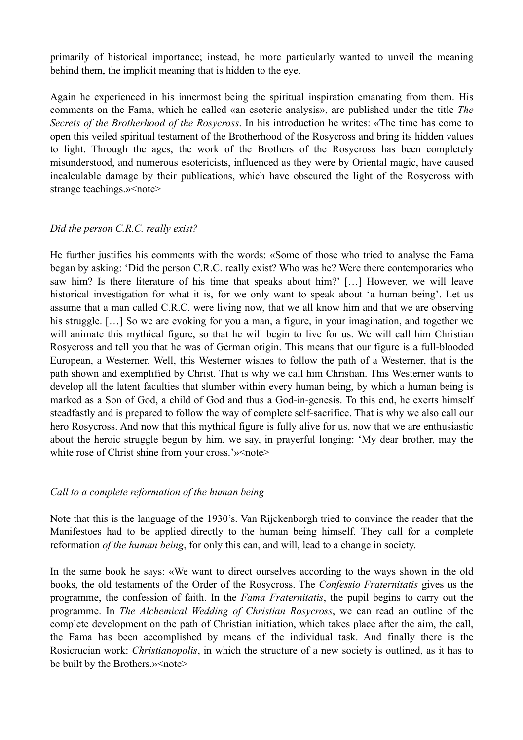primarily of historical importance; instead, he more particularly wanted to unveil the meaning behind them, the implicit meaning that is hidden to the eye.

Again he experienced in his innermost being the spiritual inspiration emanating from them. His comments on the Fama, which he called «an esoteric analysis», are published under the title *The Secrets of the Brotherhood of the Rosycross*. In his introduction he writes: «The time has come to open this veiled spiritual testament of the Brotherhood of the Rosycross and bring its hidden values to light. Through the ages, the work of the Brothers of the Rosycross has been completely misunderstood, and numerous esotericists, influenced as they were by Oriental magic, have caused incalculable damage by their publications, which have obscured the light of the Rosycross with strange teachings.» < note >

## *Did the person C.R.C. really exist?*

He further justifies his comments with the words: «Some of those who tried to analyse the Fama began by asking: 'Did the person C.R.C. really exist? Who was he? Were there contemporaries who saw him? Is there literature of his time that speaks about him?' […] However, we will leave historical investigation for what it is, for we only want to speak about 'a human being'. Let us assume that a man called C.R.C. were living now, that we all know him and that we are observing his struggle. [...] So we are evoking for you a man, a figure, in your imagination, and together we will animate this mythical figure, so that he will begin to live for us. We will call him Christian Rosycross and tell you that he was of German origin. This means that our figure is a full-blooded European, a Westerner. Well, this Westerner wishes to follow the path of a Westerner, that is the path shown and exemplified by Christ. That is why we call him Christian. This Westerner wants to develop all the latent faculties that slumber within every human being, by which a human being is marked as a Son of God, a child of God and thus a God-in-genesis. To this end, he exerts himself steadfastly and is prepared to follow the way of complete self-sacrifice. That is why we also call our hero Rosycross. And now that this mythical figure is fully alive for us, now that we are enthusiastic about the heroic struggle begun by him, we say, in prayerful longing: 'My dear brother, may the white rose of Christ shine from your cross.'»<note>

## *Call to a complete reformation of the human being*

Note that this is the language of the 1930's. Van Rijckenborgh tried to convince the reader that the Manifestoes had to be applied directly to the human being himself. They call for a complete reformation *of the human being*, for only this can, and will, lead to a change in society.

In the same book he says: «We want to direct ourselves according to the ways shown in the old books, the old testaments of the Order of the Rosycross. The *Confessio Fraternitatis* gives us the programme, the confession of faith. In the *Fama Fraternitatis*, the pupil begins to carry out the programme. In *The Alchemical Wedding of Christian Rosycross*, we can read an outline of the complete development on the path of Christian initiation, which takes place after the aim, the call, the Fama has been accomplished by means of the individual task. And finally there is the Rosicrucian work: *Christianopolis*, in which the structure of a new society is outlined, as it has to be built by the Brothers.»<note>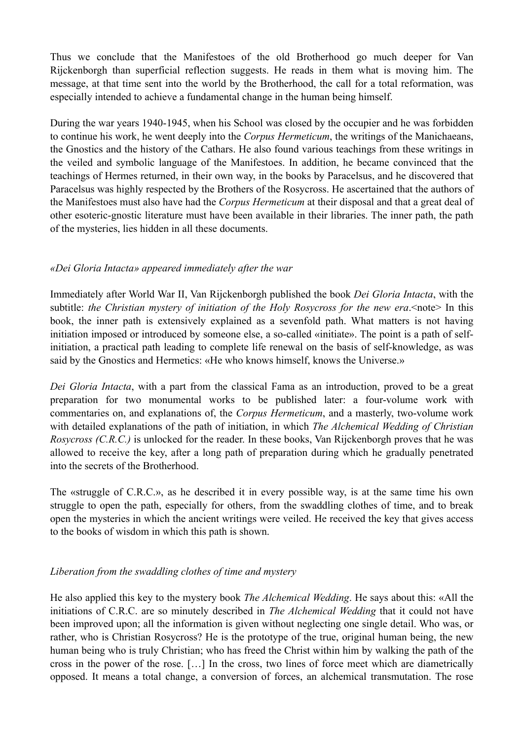Thus we conclude that the Manifestoes of the old Brotherhood go much deeper for Van Rijckenborgh than superficial reflection suggests. He reads in them what is moving him. The message, at that time sent into the world by the Brotherhood, the call for a total reformation, was especially intended to achieve a fundamental change in the human being himself.

During the war years 1940-1945, when his School was closed by the occupier and he was forbidden to continue his work, he went deeply into the *Corpus Hermeticum*, the writings of the Manichaeans, the Gnostics and the history of the Cathars. He also found various teachings from these writings in the veiled and symbolic language of the Manifestoes. In addition, he became convinced that the teachings of Hermes returned, in their own way, in the books by Paracelsus, and he discovered that Paracelsus was highly respected by the Brothers of the Rosycross. He ascertained that the authors of the Manifestoes must also have had the *Corpus Hermeticum* at their disposal and that a great deal of other esoteric-gnostic literature must have been available in their libraries. The inner path, the path of the mysteries, lies hidden in all these documents.

## *«Dei Gloria Intacta» appeared immediately after the war*

Immediately after World War II, Van Rijckenborgh published the book *Dei Gloria Intacta*, with the subtitle: *the Christian mystery of initiation of the Holy Rosycross for the new era*. <note> In this book, the inner path is extensively explained as a sevenfold path. What matters is not having initiation imposed or introduced by someone else, a so-called «initiate». The point is a path of selfinitiation, a practical path leading to complete life renewal on the basis of self-knowledge, as was said by the Gnostics and Hermetics: «He who knows himself, knows the Universe.»

*Dei Gloria Intacta*, with a part from the classical Fama as an introduction, proved to be a great preparation for two monumental works to be published later: a four-volume work with commentaries on, and explanations of, the *Corpus Hermeticum*, and a masterly, two-volume work with detailed explanations of the path of initiation, in which *The Alchemical Wedding of Christian Rosycross (C.R.C.)* is unlocked for the reader. In these books, Van Rijckenborgh proves that he was allowed to receive the key, after a long path of preparation during which he gradually penetrated into the secrets of the Brotherhood.

The «struggle of C.R.C.», as he described it in every possible way, is at the same time his own struggle to open the path, especially for others, from the swaddling clothes of time, and to break open the mysteries in which the ancient writings were veiled. He received the key that gives access to the books of wisdom in which this path is shown.

# *Liberation from the swaddling clothes of time and mystery*

He also applied this key to the mystery book *The Alchemical Wedding*. He says about this: «All the initiations of C.R.C. are so minutely described in *The Alchemical Wedding* that it could not have been improved upon; all the information is given without neglecting one single detail. Who was, or rather, who is Christian Rosycross? He is the prototype of the true, original human being, the new human being who is truly Christian; who has freed the Christ within him by walking the path of the cross in the power of the rose. […] In the cross, two lines of force meet which are diametrically opposed. It means a total change, a conversion of forces, an alchemical transmutation. The rose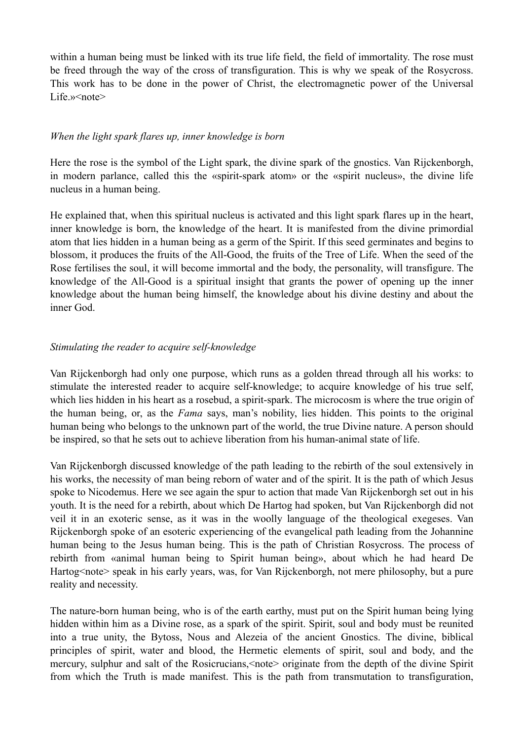within a human being must be linked with its true life field, the field of immortality. The rose must be freed through the way of the cross of transfiguration. This is why we speak of the Rosycross. This work has to be done in the power of Christ, the electromagnetic power of the Universal Life »<note>

## *When the light spark flares up, inner knowledge is born*

Here the rose is the symbol of the Light spark, the divine spark of the gnostics. Van Rijckenborgh, in modern parlance, called this the «spirit-spark atom» or the «spirit nucleus», the divine life nucleus in a human being.

He explained that, when this spiritual nucleus is activated and this light spark flares up in the heart, inner knowledge is born, the knowledge of the heart. It is manifested from the divine primordial atom that lies hidden in a human being as a germ of the Spirit. If this seed germinates and begins to blossom, it produces the fruits of the All-Good, the fruits of the Tree of Life. When the seed of the Rose fertilises the soul, it will become immortal and the body, the personality, will transfigure. The knowledge of the All-Good is a spiritual insight that grants the power of opening up the inner knowledge about the human being himself, the knowledge about his divine destiny and about the inner God.

### *Stimulating the reader to acquire self-knowledge*

Van Rijckenborgh had only one purpose, which runs as a golden thread through all his works: to stimulate the interested reader to acquire self-knowledge; to acquire knowledge of his true self, which lies hidden in his heart as a rosebud, a spirit-spark. The microcosm is where the true origin of the human being, or, as the *Fama* says, man's nobility, lies hidden. This points to the original human being who belongs to the unknown part of the world, the true Divine nature. A person should be inspired, so that he sets out to achieve liberation from his human-animal state of life.

Van Rijckenborgh discussed knowledge of the path leading to the rebirth of the soul extensively in his works, the necessity of man being reborn of water and of the spirit. It is the path of which Jesus spoke to Nicodemus. Here we see again the spur to action that made Van Rijckenborgh set out in his youth. It is the need for a rebirth, about which De Hartog had spoken, but Van Rijckenborgh did not veil it in an exoteric sense, as it was in the woolly language of the theological exegeses. Van Rijckenborgh spoke of an esoteric experiencing of the evangelical path leading from the Johannine human being to the Jesus human being. This is the path of Christian Rosycross. The process of rebirth from «animal human being to Spirit human being», about which he had heard De Hartog<note> speak in his early years, was, for Van Rijckenborgh, not mere philosophy, but a pure reality and necessity.

The nature-born human being, who is of the earth earthy, must put on the Spirit human being lying hidden within him as a Divine rose, as a spark of the spirit. Spirit, soul and body must be reunited into a true unity, the Bytoss, Nous and Alezeia of the ancient Gnostics. The divine, biblical principles of spirit, water and blood, the Hermetic elements of spirit, soul and body, and the mercury, sulphur and salt of the Rosicrucians,<note> originate from the depth of the divine Spirit from which the Truth is made manifest. This is the path from transmutation to transfiguration,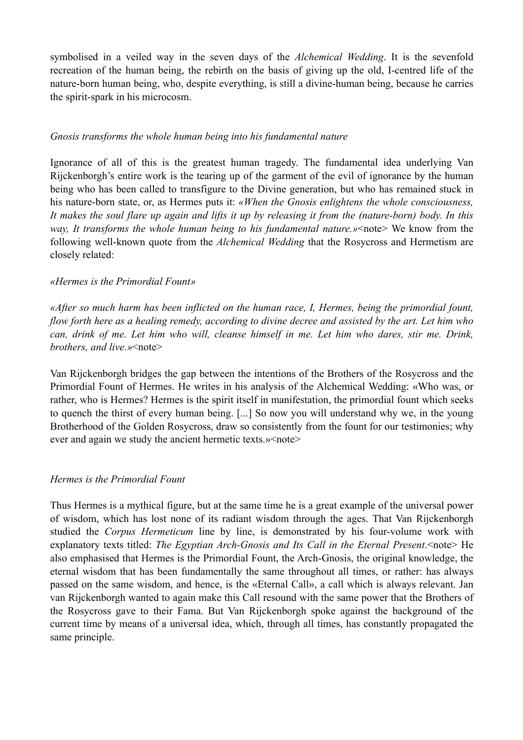symbolised in a veiled way in the seven days of the *Alchemical Wedding*. It is the sevenfold recreation of the human being, the rebirth on the basis of giving up the old, I-centred life of the nature-born human being, who, despite everything, is still a divine-human being, because he carries the spirit-spark in his microcosm.

### *Gnosis transforms the whole human being into his fundamental nature*

Ignorance of all of this is the greatest human tragedy. The fundamental idea underlying Van Rijckenborgh's entire work is the tearing up of the garment of the evil of ignorance by the human being who has been called to transfigure to the Divine generation, but who has remained stuck in his nature-born state, or, as Hermes puts it: *«When the Gnosis enlightens the whole consciousness, It makes the soul flare up again and lifts it up by releasing it from the (nature-born) body. In this way, It transforms the whole human being to his fundamental nature.»*<note> We know from the following well-known quote from the *Alchemical Wedding* that the Rosycross and Hermetism are closely related:

### *«Hermes is the Primordial Fount»*

*«After so much harm has been inflicted on the human race, I, Hermes, being the primordial fount, flow forth here as a healing remedy, according to divine decree and assisted by the art. Let him who can, drink of me. Let him who will, cleanse himself in me. Let him who dares, stir me. Drink, brothers, and live.»*<note>

Van Rijckenborgh bridges the gap between the intentions of the Brothers of the Rosycross and the Primordial Fount of Hermes. He writes in his analysis of the Alchemical Wedding: «Who was, or rather, who is Hermes? Hermes is the spirit itself in manifestation, the primordial fount which seeks to quench the thirst of every human being. [...] So now you will understand why we, in the young Brotherhood of the Golden Rosycross, draw so consistently from the fount for our testimonies; why ever and again we study the ancient hermetic texts.»<note>

## *Hermes is the Primordial Fount*

Thus Hermes is a mythical figure, but at the same time he is a great example of the universal power of wisdom, which has lost none of its radiant wisdom through the ages. That Van Rijckenborgh studied the *Corpus Hermeticum* line by line, is demonstrated by his four-volume work with explanatory texts titled: *The Egyptian Arch-Gnosis and Its Call in the Eternal Present*.<note> He also emphasised that Hermes is the Primordial Fount, the Arch-Gnosis, the original knowledge, the eternal wisdom that has been fundamentally the same throughout all times, or rather: has always passed on the same wisdom, and hence, is the «Eternal Call», a call which is always relevant. Jan van Rijckenborgh wanted to again make this Call resound with the same power that the Brothers of the Rosycross gave to their Fama. But Van Rijckenborgh spoke against the background of the current time by means of a universal idea, which, through all times, has constantly propagated the same principle.